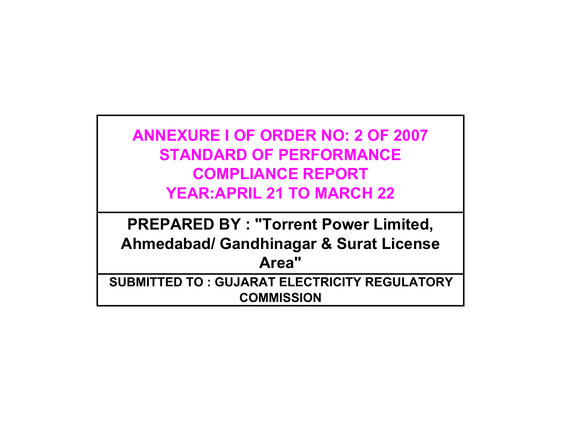**ANNEXURE I OF ORDER NO: 2 OF 2007 STANDARD OF PERFORMANCECOMPLIANCE REPORTYEAR:APRIL 21 TO MARCH 22**

**PREPARED BY : "Torrent Power Limited, Ahmedabad/ Gandhinagar & Surat License Area" SUBMITTED TO : GUJARAT ELECTRICITY REGULATORY** 

**COMMISSION**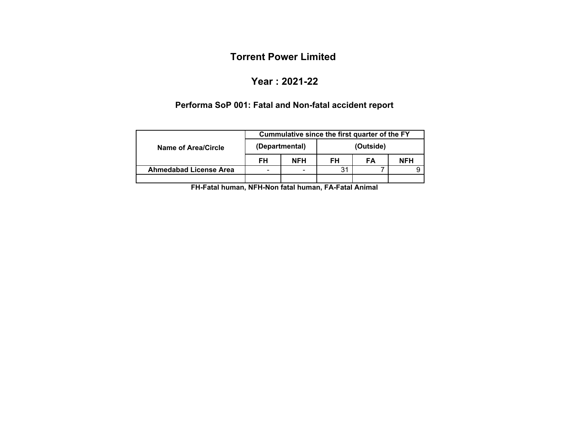## **Year : 2021-22**

#### **Performa SoP 001: Fatal and Non-fatal accident report**

|                               | Cummulative since the first quarter of the FY |                |    |           |            |  |
|-------------------------------|-----------------------------------------------|----------------|----|-----------|------------|--|
| Name of Area/Circle           |                                               | (Departmental) |    | (Outside) |            |  |
|                               | FH                                            | <b>NFH</b>     | FH | FA        | <b>NFH</b> |  |
| <b>Ahmedabad License Area</b> | $\overline{\phantom{0}}$                      |                | 31 |           |            |  |
|                               |                                               |                |    |           |            |  |

**FH-Fatal human, NFH-Non fatal human, FA-Fatal Animal**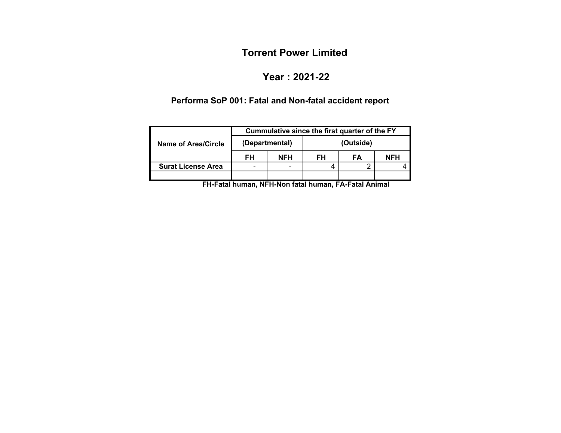### **Year : 2021-22**

# **Performa SoP 001: Fatal and Non-fatal accident report**

|                           |    |                | Cummulative since the first quarter of the FY |           |  |  |  |  |  |
|---------------------------|----|----------------|-----------------------------------------------|-----------|--|--|--|--|--|
| Name of Area/Circle       |    | (Departmental) |                                               | (Outside) |  |  |  |  |  |
|                           | FH | <b>NFH</b>     | FH                                            | NFH       |  |  |  |  |  |
| <b>Surat License Area</b> |    |                |                                               |           |  |  |  |  |  |
|                           |    |                |                                               |           |  |  |  |  |  |

**FH-Fatal human, NFH-Non fatal human, FA-Fatal Animal**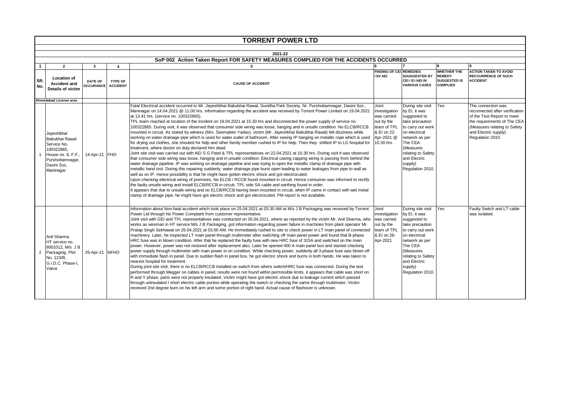|                                 | <b>TORRENT POWER LTD</b>                                                                                                        |                                                  |                                          |                                                                                                                                                                                                                                                                                                                                                                                                                                                                                                                                                                                                                                                                                                                                                                                                                                                                                                                                                                                                                                                                                                                                                                                                                                                                                                                                                                                                                                                                                                                                                                                                                                                                                                                                                                                                                                                                                                                                                                                                                                                                                                                                                                                    |                                                                                                               |                                                                                                                                                                                                                            |                                                                               |                                                                                                                                                                                               |  |  |
|---------------------------------|---------------------------------------------------------------------------------------------------------------------------------|--------------------------------------------------|------------------------------------------|------------------------------------------------------------------------------------------------------------------------------------------------------------------------------------------------------------------------------------------------------------------------------------------------------------------------------------------------------------------------------------------------------------------------------------------------------------------------------------------------------------------------------------------------------------------------------------------------------------------------------------------------------------------------------------------------------------------------------------------------------------------------------------------------------------------------------------------------------------------------------------------------------------------------------------------------------------------------------------------------------------------------------------------------------------------------------------------------------------------------------------------------------------------------------------------------------------------------------------------------------------------------------------------------------------------------------------------------------------------------------------------------------------------------------------------------------------------------------------------------------------------------------------------------------------------------------------------------------------------------------------------------------------------------------------------------------------------------------------------------------------------------------------------------------------------------------------------------------------------------------------------------------------------------------------------------------------------------------------------------------------------------------------------------------------------------------------------------------------------------------------------------------------------------------------|---------------------------------------------------------------------------------------------------------------|----------------------------------------------------------------------------------------------------------------------------------------------------------------------------------------------------------------------------|-------------------------------------------------------------------------------|-----------------------------------------------------------------------------------------------------------------------------------------------------------------------------------------------|--|--|
|                                 |                                                                                                                                 |                                                  |                                          |                                                                                                                                                                                                                                                                                                                                                                                                                                                                                                                                                                                                                                                                                                                                                                                                                                                                                                                                                                                                                                                                                                                                                                                                                                                                                                                                                                                                                                                                                                                                                                                                                                                                                                                                                                                                                                                                                                                                                                                                                                                                                                                                                                                    |                                                                                                               |                                                                                                                                                                                                                            |                                                                               |                                                                                                                                                                                               |  |  |
|                                 |                                                                                                                                 |                                                  |                                          | 2021-22                                                                                                                                                                                                                                                                                                                                                                                                                                                                                                                                                                                                                                                                                                                                                                                                                                                                                                                                                                                                                                                                                                                                                                                                                                                                                                                                                                                                                                                                                                                                                                                                                                                                                                                                                                                                                                                                                                                                                                                                                                                                                                                                                                            |                                                                                                               |                                                                                                                                                                                                                            |                                                                               |                                                                                                                                                                                               |  |  |
|                                 |                                                                                                                                 |                                                  |                                          | SoP 002 Action Taken Report FOR SAFETY MEASURES COMPLIED FOR THE ACCIDENTS OCCURRED                                                                                                                                                                                                                                                                                                                                                                                                                                                                                                                                                                                                                                                                                                                                                                                                                                                                                                                                                                                                                                                                                                                                                                                                                                                                                                                                                                                                                                                                                                                                                                                                                                                                                                                                                                                                                                                                                                                                                                                                                                                                                                |                                                                                                               |                                                                                                                                                                                                                            |                                                                               |                                                                                                                                                                                               |  |  |
| $\mathbf 1$<br><b>SR</b><br>No. | $\overline{2}$<br><b>Location of</b><br><b>Accident and</b><br>Details of victim                                                | 3<br><b>DATE OF</b><br><b>OCCURANCE ACCIDENT</b> | $\boldsymbol{\Lambda}$<br><b>TYPE OF</b> | <b>CAUSE OF ACCIDENT</b>                                                                                                                                                                                                                                                                                                                                                                                                                                                                                                                                                                                                                                                                                                                                                                                                                                                                                                                                                                                                                                                                                                                                                                                                                                                                                                                                                                                                                                                                                                                                                                                                                                                                                                                                                                                                                                                                                                                                                                                                                                                                                                                                                           | <b>FINDING OF CEI REMEDIES</b><br>/ EI/ AEI                                                                   | <b>SUUGGESTED BY</b><br>CEI / EI /AEI IN<br><b>VARIOUS CASES</b>                                                                                                                                                           | <b>WHETHER THE</b><br><b>REMEDY</b><br><b>SUGGESTED IS</b><br><b>COMPLIED</b> | <b>g</b><br><b>ACTION TAKEN TO AVOID</b><br><b>RECCURRENCE OF SUCH</b><br><b>ACCIDENT</b>                                                                                                     |  |  |
|                                 | Ahmedabad License area                                                                                                          |                                                  |                                          |                                                                                                                                                                                                                                                                                                                                                                                                                                                                                                                                                                                                                                                                                                                                                                                                                                                                                                                                                                                                                                                                                                                                                                                                                                                                                                                                                                                                                                                                                                                                                                                                                                                                                                                                                                                                                                                                                                                                                                                                                                                                                                                                                                                    |                                                                                                               |                                                                                                                                                                                                                            |                                                                               |                                                                                                                                                                                               |  |  |
|                                 | Jayeshbhai<br>Babubhai Rawal<br>Service No.<br>100322865,<br>House no. 8, F.F.,<br>Purshottamnagar,<br>Daxini Soc.<br>Maninagar | 14-Apr-21 FHO                                    |                                          | Fatal Electrical accident occurred to Mr. Jayeshbhai Babubhai Rawal, Suvidha Park Society, Nr. Purshottamnagar, Daxini Soc.,<br>Maninagar on 14.04.2021 @ 11.00 hrs. Information regarding the accident was received by Torrent Power Limited on 19.04.2021<br>at 13.41 hrs. (service no. 100322865).<br>TPL team reached at location of the incident on 19.04.2021 at 15.30 hrs and disconnected the power supply of service no.<br>100322865. During visit, it was observed that consumer side wiring was loose, hanging and in unsafe condition. No ELCB/RCCB<br>mounted in circuit. As stated by witness (Mrs. Seemaben Yadav), victim (Mr. Jayeshbhai Babubhai Rawal) felt dizziness while<br>working on water drainage pipe which is used for water outlet of bathroom. After seeing IP hanging on metallic rope which is used<br>for drying out clothes, she shouted for help and other family member rushed to IP for help. Then they shifted IP to LG hospital for<br>treatment, where doctor on duty declared him dead.<br>Joint site visit was carried out with AEI S G Patel & TPL representatives on 22.04.2021 at 10.30 hrs. During visit it was observed<br>that consumer side wiring was loose, hanging and in unsafe condition. Electrical casing capping wiring is passing from behind the<br>water drainage pipeline. IP was working on drainage pipeline and was trying to open the metallic clamp of drainage pipe with<br>metallic hand tool. During this repairing suddenly, water drainage pipe burst open leading to water leakages from pipe to wall as<br>well as on IP. Hence possibility is that he might have gotten electric shock and got electrocuted.<br>Upon checking electrical wiring of premises, No ELCB / RCCB found mounted in circuit. Hence consumer was informed to rectify<br>the faulty unsafe wiring and install ELCB/RCCB in circuit. TPL side SA cable and earthing found in order.<br>It appears that due to unsafe wiring and no ELCB/RCCB having been mounted in circuit, when IP came in contact with wet metal<br>clamp of drainage pipe, he might have got electric shock and got electrocuted. PM report is not available. | Joint<br>investigation<br>was carried<br>out by the<br>team of TPL<br>& EI on 22-<br>Apr-2021 @<br>10.30 hrs. | During site visit<br>by EI, it was<br>suggested to<br>take precaution<br>to carry out work<br>on electrical<br>network as per<br>The CEA<br>(Measures<br>relating to Safety<br>and Electric<br>supply)<br>Regulation 2010. | Yes                                                                           | The connection was<br>reconnected after verification<br>of the Test Report to meet<br>the requirements of The CEA<br>(Measures relating to Safety<br>and Electric supply)<br>Regulation 2010. |  |  |
|                                 | Anil Sharma<br>HT service no.<br>8001012, M/s J B<br>2 Packaging, Plot<br>No. 123/B,<br>G.I.D.C. Phase-I,<br>Vatva              | 25-Apr-21 NFHO                                   |                                          | Information about Non-fatal accident which took place on 25.04.2021 at 03.30 AM at M/s J B Packaging was received by Torrent<br>Power Ltd through No Power Complaint from customer representative.<br>Joint visit with GEI and TPL representatives was conducted on 26.04.2021, where as reported by the victim Mr. Anil Sharma, who<br>works as wireman in HT service M/s J B Packaging, got information regarding power failure in machines from plant operator Mr.<br>Pratap Singh Sekhawat on 25.04.2021 at 03.00 AM. He immediately rushed to site to check power in LT main panel of connected<br>machinery. Later, he inspected LT main panel through multimeter after switching off main panel power and found that B-phase<br>HRC fuse was in blown condition. After that he replaced the faulty fuse with new HRC fuse of 315A and switched on the main<br>power. However, power was not restored after replacement also. Later he opened 400 A main panel box and started checking<br>power supply through multimeter with main power in on condition. While checking power, suddenly all 3-phase fuse was blown off<br>with immediate flash in panel. Due to sudden flash in panel box, he got electric shock and burns in both hands. He was taken to<br>nearest hospital for treatment.<br>During joint site visit, there is no ELCB/RCCB installed on switch from where switch/HRC fuse was connected. During the test<br>performed through Megger on cables in panel, results were not found within permissible limits. it appears that cable was short on<br>R and Y phase, parts were not properly insulated. Victim might have got electric shock due to leakage current which passed<br>through uninsulated / short electric cable portion while operating the switch or checking the same through multimeter. Victim<br>received 2nd degree burn on his left arm and some portion of right hand. Actual cause of flashover is unknown.                                                                                                                                                                                                                        | Joint<br>investigation<br>was carried<br>out by the<br>team of TPL<br>& EI on 26-<br>Apr-2021                 | During site visit<br>by EI, it was<br>suggested to<br>take precaution<br>to carry out work<br>on electrical<br>network as per<br>The CEA<br>(Measures<br>relating to Safety<br>and Electric<br>supply)<br>Regulation 2010. | Yes                                                                           | Faulty Switch and LT cable<br>was isolated.                                                                                                                                                   |  |  |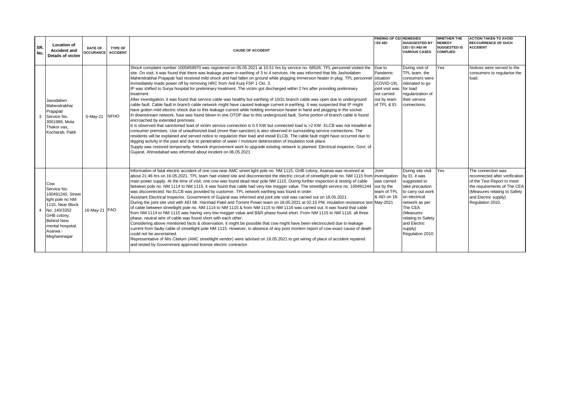| ISR.<br>No. | <b>Location of</b><br><b>Accident and</b><br>Details of victim                                                                                                                      | DATE OF<br><b>OCCURANCE</b> | <b>TYPE OF</b><br><b>ACCIDENT</b> | <b>CAUSE OF ACCIDENT</b>                                                                                                                                                                                                                                                                                                                                                                                                                                                                                                                                                                                                                                                                                                                                                                                                                                                                                                                                                                                                                                                                                                                                                                                                                                                                                                                                                                                                                                                                                                                                                                                                                                                                                                                                                                                                                                                                                                                      | <b>FINDING OF CEL REMEDIES</b><br>/ EI/ AEI                                                        | <b>SUUGGESTED BY</b><br>CEI / EI /AEI IN<br><b>VARIOUS CASES</b>                                                                                                                                                          | <b>WHETHER THE</b><br><b>REMEDY</b><br><b>SUGGESTED IS</b><br><b>COMPLIED</b> | <b>ACTION TAKEN TO AVOID</b><br><b>RECCURRENCE OF SUCH</b><br><b>ACCIDENT</b>                                                                                                                 |
|-------------|-------------------------------------------------------------------------------------------------------------------------------------------------------------------------------------|-----------------------------|-----------------------------------|-----------------------------------------------------------------------------------------------------------------------------------------------------------------------------------------------------------------------------------------------------------------------------------------------------------------------------------------------------------------------------------------------------------------------------------------------------------------------------------------------------------------------------------------------------------------------------------------------------------------------------------------------------------------------------------------------------------------------------------------------------------------------------------------------------------------------------------------------------------------------------------------------------------------------------------------------------------------------------------------------------------------------------------------------------------------------------------------------------------------------------------------------------------------------------------------------------------------------------------------------------------------------------------------------------------------------------------------------------------------------------------------------------------------------------------------------------------------------------------------------------------------------------------------------------------------------------------------------------------------------------------------------------------------------------------------------------------------------------------------------------------------------------------------------------------------------------------------------------------------------------------------------------------------------------------------------|----------------------------------------------------------------------------------------------------|---------------------------------------------------------------------------------------------------------------------------------------------------------------------------------------------------------------------------|-------------------------------------------------------------------------------|-----------------------------------------------------------------------------------------------------------------------------------------------------------------------------------------------|
| 3           | Jasodaben<br>Mahendrabhai<br>Prajapati<br>Service No.<br>3001989. Mota<br>Thakor vas.<br>Kocharab, Paldi                                                                            | 5-May-21 NFHO               |                                   | Shock complaint number 1005859970 was registered on 05.05.2021 at 10.51 hrs by service no. 68526. TPL personnel visited the<br>site. On visit, it was found that there was leakage power in earthing of 3 to 4 services. He was informed that Ms Jashodaben<br>Mahendrabhai Prajapati had received mild shock and had fallen on ground while plugging immersion heater in plug. TPL personnel situation<br>immediately made power off by removing HRC from Anil Kunj FSP 1 Ckt. 3.<br>IP was shifted to Surya hospital for preliminary treatment. The victim got discharged within 2 hrs after providing preliminary<br>treatment.<br>After investigation, it was found that service cable was healthy but earthing of 10/2c branch cable was open due to underground<br>cable fault. Cable fault in branch cable network might have caused leakage current in earthing. It was suspected that IP might<br>have gotten mild electric shock due to this leakage current while holding immersion heater in hand and plugging in the socket.<br>In downstream network, fuse was found blown in one OTDP due to this underground fault. Some portion of branch cable is found<br>encroached by extended premises.<br>It is observed that sanctioned load of victim service connection is 0.5 KW but connected load is >2 KW. ELCB was not installed at<br>consumer premises. Use of unauthorized load (more than sanction) is also observed in surrounding service connections. The<br>residents will be explained and served notice to reqularize their load and install ELCB. The cable fault might have occurred due to<br>digging activity in the past and due to penetration of water / moisture deterioration of insulation took place.<br>Supply was restored temporarily. Network improvement work to upgrade existing network is planned. Electrical inspector, Govt. of<br>Gujarat, Ahmedabad was informed about incident on 06.05.2021 | Due to<br>Pandemic<br>(COVID-19).<br>joint visit was<br>not carried<br>out by team<br>of TPL & EI. | During visit of<br>TPL team, the<br>consumers were<br>intimated to go<br>for load<br>regularization of<br>their service<br>connections.                                                                                   | <b>Yes</b>                                                                    | Noitces were served to the<br>consumers to regularise the<br>load.                                                                                                                            |
|             | Cow<br>Service No.<br>100491240, Street<br>light pole no NM<br>1115. Near Block<br>No. 140/3352<br>GHB colony,<br><b>Behind New</b><br>mental hospotal,<br>Asarwa -<br>Meghaninagar | 16-May-21 FAO               |                                   | Information of fatal electric accident of one cow near AMC street light pole no. NM 1115, GHB colony, Asarwa was received at<br>about 21:46 hrs on 16.05.2021. TPL team had visited site and disconnected the electric circuit of streetlight pole no. NM 1115 from investigation<br>main power supply. At the time of visit, one cow was found dead near pole NM 1115. During further inspection & testing of cable<br>between pole no. NM 1114 to NM 1115, it was found that cable had very low megger value. The streetlight service no. 100491244<br>was disconnected. No ELCB was provided by customer. TPL network earthing was found in order.<br>Assistant Electrical Inspector, Government of Gujarat was informed and joint site visit was carried out on 18.05.2021.<br>During the joint site visit with AEI Mr. Harshad Patel and Torrent Power team on 18.05.2021 at 02.15 PM, insulation resistance test May-2021<br>of cable between streetlight pole no. NM 1114 to NM 1115 & from NM 1115 to NM 1116 was carried out. It was found that cable<br>from NM 1114 to NM 1115 was having very low megger value and B&R phase found short. From NM 1115 to NM 1116, all three<br>phase, neutral wire of cable was found short with each other.<br>Considering above mentioned facts & observation, it might be possible that cow might have been electrocuted due to leakage<br>current from faulty cable of streetlight pole NM 1115. However, in absence of any post mortem report of cow exact cause of death<br>could not be ascertained.<br>Representative of M/s Citelum (AMC streetlight vendor) were advised on 18.05.2021 to get wiring of place of accident repaired<br>and tested by Government approved license electric contractor.                                                                                                                                                                                   | Joint<br>was carried<br>out by the<br>team of TPL<br>& AEI on 18-                                  | During site visit<br>by EI, it was<br>suggested to<br>take precaution<br>to carry out work<br>on electrical<br>network as per<br>The CEA<br>(Measures<br>relating to Safety<br>and Electric<br>supply)<br>Regulation 2010 | <b>Yes</b>                                                                    | The connection was<br>reconnected after verification<br>of the Test Report to meet<br>the requirements of The CEA<br>(Measures relating to Safety<br>and Electric supply)<br>Regulation 2010. |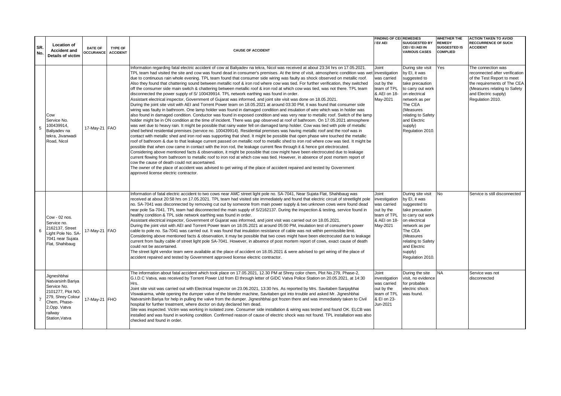|                |                                                                                                                                                         |                                    |                                   |                                                                                                                                                                                                                                                                                                                                                                                                                                                                                                                                                                                                                                                                                                                                                                                                                                                                                                                                                                                                                                                                                                                                                                                                                                                                                                                                                                                                                                                                                                                                                                                                                                                                                                                                                                                                                                                                                                                                                                                                                                                                                                                                                                                                                                                                                                                                                                                                                                                                                                                                                                                                                 | <b>FINDING OF CEI REMEDIES</b>                                                                 |                                                                                                                                                                                                                           | <b>WHETHER THE</b>                                      | <b>ACTION TAKEN TO AVOID</b>                                                                                                                                                                  |
|----------------|---------------------------------------------------------------------------------------------------------------------------------------------------------|------------------------------------|-----------------------------------|-----------------------------------------------------------------------------------------------------------------------------------------------------------------------------------------------------------------------------------------------------------------------------------------------------------------------------------------------------------------------------------------------------------------------------------------------------------------------------------------------------------------------------------------------------------------------------------------------------------------------------------------------------------------------------------------------------------------------------------------------------------------------------------------------------------------------------------------------------------------------------------------------------------------------------------------------------------------------------------------------------------------------------------------------------------------------------------------------------------------------------------------------------------------------------------------------------------------------------------------------------------------------------------------------------------------------------------------------------------------------------------------------------------------------------------------------------------------------------------------------------------------------------------------------------------------------------------------------------------------------------------------------------------------------------------------------------------------------------------------------------------------------------------------------------------------------------------------------------------------------------------------------------------------------------------------------------------------------------------------------------------------------------------------------------------------------------------------------------------------------------------------------------------------------------------------------------------------------------------------------------------------------------------------------------------------------------------------------------------------------------------------------------------------------------------------------------------------------------------------------------------------------------------------------------------------------------------------------------------------|------------------------------------------------------------------------------------------------|---------------------------------------------------------------------------------------------------------------------------------------------------------------------------------------------------------------------------|---------------------------------------------------------|-----------------------------------------------------------------------------------------------------------------------------------------------------------------------------------------------|
| SR.<br>No.     | <b>Location of</b><br><b>Accident and</b><br>Details of victim                                                                                          | <b>DATE OF</b><br><b>OCCURANCE</b> | <b>TYPE OF</b><br><b>ACCIDENT</b> | <b>CAUSE OF ACCIDENT</b>                                                                                                                                                                                                                                                                                                                                                                                                                                                                                                                                                                                                                                                                                                                                                                                                                                                                                                                                                                                                                                                                                                                                                                                                                                                                                                                                                                                                                                                                                                                                                                                                                                                                                                                                                                                                                                                                                                                                                                                                                                                                                                                                                                                                                                                                                                                                                                                                                                                                                                                                                                                        | EI/ AEI                                                                                        | <b>SUUGGESTED BY</b><br>CEI / EI /AEI IN<br><b>VARIOUS CASES</b>                                                                                                                                                          | <b>REMEDY</b><br><b>SUGGESTED IS</b><br><b>COMPLIED</b> | <b>RECCURRENCE OF SUCH</b><br><b>ACCIDENT</b>                                                                                                                                                 |
| 5              | Cow<br>Service No.<br>100439914,<br>Baliyadev na<br>tekra. Jivanwadi<br>Road, Nicol                                                                     | 17-May-21 FAO                      |                                   | Information regarding fatal electric accident of cow at Baliyadev na tekra, Nicol was received at about 23:34 hrs on 17.05.2021.<br>TPL team had visited the site and cow was found dead in consumer's premises. At the time of visit, atmospheric condition was wet linvestigation<br>due to continuous rain whole evening. TPL team found that consumer side wiring was faulty as shock observed on metallic roof.<br>Also they found that chattering sound between metallic roof & iron rod where cow was tied. For further verification, they switched<br>off the consumer side main switch & chattering between metallic roof & iron rod at which cow was tied, was not there. TPL team<br>disconnected the power supply of S/ 100439914. TPL network earthing was found in order.<br>Assistant electrical inspector, Government of Gujarat was informed, and joint site visit was done on 18.05.2021.<br>During the joint site visit with AEI and Torrent Power team on 18.05.2021 at around 03:30 PM, it was found that consumer side<br>wiring was faulty in bathroom. One lamp holder was found in damaged condition and insulation of wire which was in holder was<br>also found in damaged condition. Conductor was found in exposed condition and was very near to metallic roof. Switch of the lamp<br>holder might be in ON condition at the time of incident. There was gap observed at roof of bathroom. On 17.05.2021 atmosphere<br>was wet due to heavy rain. It might be possible that rainy water fell on damaged lamp holder. Cow was tied with pole of metallic<br>shed behind residential premises (service no. 100439914). Residential premises was having metallic roof and the roof was in<br>contact with metallic shed and iron rod was supporting that shed. It might be possible that open phase wire touched the metallic<br>roof of bathroom & due to that leakage current passed on metallic roof to metallic shed to iron rod where cow was tied. It might be<br>possible that when cow came in contact with the iron rod, the leakage current flew through it & hence got electrocuted.<br>Considering above mentioned facts & observation, it might be possible that cow might have been electrocuted due to leakage<br>current flowing from bathroom to metallic roof to iron rod at which cow was tied. However, in absence of post mortem report of<br>cow the cause of death could not ascertained.<br>The owner of the place of accident was advised to get wiring of the place of accident repaired and tested by Government<br>approved license electric contractor. | Joint<br>was carried<br>out by the<br>team of TPL<br>& AEI on 18-<br>May-2021                  | During site visit<br>by EI, it was<br>suggested to<br>take precaution<br>to carry out work<br>on electrical<br>network as per<br>The CEA<br>(Measures<br>relating to Safety<br>and Electric<br>supply)<br>Regulation 2010 | Yes                                                     | The connection was<br>reconnected after verification<br>of the Test Report to meet<br>the requirements of The CEA<br>(Measures relating to Safety<br>and Electric supply)<br>Regulation 2010. |
| 6              | Cow - 02 nos.<br>Service no.<br>2162137, Street<br>Light Pole No. SA-<br>7041 near Sujata<br>Flat, Shahibaug                                            | 17-May-21 FAO                      |                                   | Information of fatal electric accident to two cows near AMC street light pole no. SA-7041, Near Sujata Flat, Shahibaug was<br>received at about 20:58 hrs on 17.05.2021. TPL team had visited site immediately and found that electric circuit of streetlight pole<br>no. SA-7041 was disconnected by removing cut out by someone from main power supply & two unknown cows were found dead<br>near pole Sa-7041. TPL team had disconnected the main supply of S/2162137. During the inspection & testing, service found in<br>healthy condition & TPL side network earthing was found in order.<br>Assistant electrical inspector, Government of Gujarat was informed, and joint visit was carried out on 18.05.2021.<br>During the joint visit with AEI and Torrent Power team on 18.05.2021 at around 05:00 PM, insulation test of consumer's power<br>cable to pole no. Sa-7041 was carried out. It was found that insulation resistance of cable was not within permissible limit.<br>Considering above mentioned facts & observation, it may be possible that two cows might have been electrocuted due to leakage<br>current from faulty cable of street light pole SA-7041. However, in absence of post mortem report of cows, exact cause of death<br>could not be ascertained.<br>The street light vendor team were available at the place of accident on 18.05.2021 & were advised to get wiring of the place of<br>accident repaired and tested by Government approved license electric contractor.                                                                                                                                                                                                                                                                                                                                                                                                                                                                                                                                                                                                                                                                                                                                                                                                                                                                                                                                                                                                                                                                                                 | Joint<br>investigation<br>was carried<br>out by the<br>team of TPL<br>& AEI on 18-<br>May-2021 | During site visit<br>by EI, it was<br>suggested to<br>take precaution<br>to carry out work<br>on electrical<br>network as per<br>The CEA<br>(Measures<br>relating to Safety<br>and Electric<br>supply)<br>Regulation 2010 | N <sub>0</sub>                                          | Service is still disconnected                                                                                                                                                                 |
| $\overline{7}$ | Jigneshbhai<br>Natvarsinh Bariva<br>Service No.<br>2101277, Plot NO.<br>279, Shrey Colour<br>Chem, Phase-<br>2, Opp. Vatva<br>railway<br>Station, Vatva | 17-May-21 FHO                      |                                   | The information about fatal accident which took place on 17.05.2021, 12.30 PM at Shrey color chem, Plot No.279, Phase-2,<br>G.I.D.C Vatva, was received by Torrent Power Ltd from El through letter of GIDC Vatva Police Station on 20.05.2021, at 14:30<br>Hrs.<br>Joint site visit was carried out with Electrical Inspector on 23.06.2021, 13:30 hrs. As reported by Mrs. Savitaben Sanjaybhai<br>Viswakarma, while opening the dumper valve of the blender machine, Savitaben got into trouble and asked Mr. Jigneshbhai<br>Natvarsinh Bariya for help in pulling the valve from the dumper. Jigneshbhai got frozen there and was immediately taken to Civil<br>hospital for further treatment, where doctor on duty declared him dead.<br>Site was inspected. Victim was working in isolated zone. Consumer side installation & wiring was tested and found OK. ELCB was<br>installed and was found in working condition. Confirmed reason of cause of electric shock was not found. TPL installation was also<br>checked and found in order.                                                                                                                                                                                                                                                                                                                                                                                                                                                                                                                                                                                                                                                                                                                                                                                                                                                                                                                                                                                                                                                                                                                                                                                                                                                                                                                                                                                                                                                                                                                                                              | Joint<br>investigation<br>was carried<br>out by the<br>team of TPL<br>& EI on 23-<br>Jun-2021  | During the site<br>visit, no evidence<br>for probable<br>electric shock<br>was found.                                                                                                                                     | NA                                                      | Service was not<br>disconnected                                                                                                                                                               |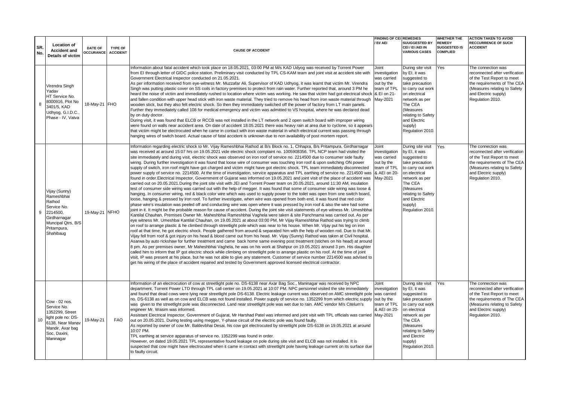|            |                                                                                                                                               |                      |                            |                                                                                                                                                                                                                                                                                                                                                                                                                                                                                                                                                                                                                                                                                                                                                                                                                                                                                                                                                                                                                                                                                                                                                                                                                                                                                                                                                                                                                                                                                                                                                                                                                                                                                                                                                                                                                                                                                                                                                                                                                                                                                                                                                                                                                                                                                                                                                                                                                                                                                                                                                                                                                                                                                                                                                                                                                                                                                                                                                                                                                                                                                                                  | <b>FINDING OF CEI REMEDIES</b>                                                                 |                                                                                                                                                                                                                           | <b>WHETHER THE</b>                                      | <b>ACTION TAKEN TO AVOID</b>                                                                                                                                                                  |
|------------|-----------------------------------------------------------------------------------------------------------------------------------------------|----------------------|----------------------------|------------------------------------------------------------------------------------------------------------------------------------------------------------------------------------------------------------------------------------------------------------------------------------------------------------------------------------------------------------------------------------------------------------------------------------------------------------------------------------------------------------------------------------------------------------------------------------------------------------------------------------------------------------------------------------------------------------------------------------------------------------------------------------------------------------------------------------------------------------------------------------------------------------------------------------------------------------------------------------------------------------------------------------------------------------------------------------------------------------------------------------------------------------------------------------------------------------------------------------------------------------------------------------------------------------------------------------------------------------------------------------------------------------------------------------------------------------------------------------------------------------------------------------------------------------------------------------------------------------------------------------------------------------------------------------------------------------------------------------------------------------------------------------------------------------------------------------------------------------------------------------------------------------------------------------------------------------------------------------------------------------------------------------------------------------------------------------------------------------------------------------------------------------------------------------------------------------------------------------------------------------------------------------------------------------------------------------------------------------------------------------------------------------------------------------------------------------------------------------------------------------------------------------------------------------------------------------------------------------------------------------------------------------------------------------------------------------------------------------------------------------------------------------------------------------------------------------------------------------------------------------------------------------------------------------------------------------------------------------------------------------------------------------------------------------------------------------------------------------------|------------------------------------------------------------------------------------------------|---------------------------------------------------------------------------------------------------------------------------------------------------------------------------------------------------------------------------|---------------------------------------------------------|-----------------------------------------------------------------------------------------------------------------------------------------------------------------------------------------------|
| SR.<br>No. | <b>Location of</b><br><b>Accident and</b><br>Details of victim                                                                                | DATE OF<br>OCCURANCE | TYPE OF<br><b>ACCIDENT</b> | <b>CAUSE OF ACCIDENT</b>                                                                                                                                                                                                                                                                                                                                                                                                                                                                                                                                                                                                                                                                                                                                                                                                                                                                                                                                                                                                                                                                                                                                                                                                                                                                                                                                                                                                                                                                                                                                                                                                                                                                                                                                                                                                                                                                                                                                                                                                                                                                                                                                                                                                                                                                                                                                                                                                                                                                                                                                                                                                                                                                                                                                                                                                                                                                                                                                                                                                                                                                                         | EI/ AEI                                                                                        | <b>SUUGGESTED BY</b><br>CEI / EI /AEI IN<br><b>VARIOUS CASES</b>                                                                                                                                                          | <b>REMEDY</b><br><b>SUGGESTED IS</b><br><b>COMPLIED</b> | <b>RECCURRENCE OF SUCH</b><br><b>ACCIDENT</b>                                                                                                                                                 |
| 8          | Virendra Singh<br>Yadav<br>HT Service No.<br>8000916, Plot No<br>3401/5, KAD<br>Udhyog, G.I.D.C.,<br>Phase - IV. Vatva                        | 18-May-21 FHO        |                            | Information about fatal accident which took place on 18.05.2021, 03:00 PM at M/s KAD Udyog was received by Torrent Power<br>from EI through letter of GIDC police station. Preliminary visit conducted by TPL CS-KAM team and joint visit at accident site with<br>Government Electrical Inspector conducted on 21.05.2021.<br>As per information received from eye-witness Mr. Muzzafar Ali, Supervisor of KAD Udhyog, it was learnt that victim Mr. Virendra<br>Singh was putting plastic cover on SS coils in factory premises to protect from rain water. Further reported that, around 3 PM he<br>heard the noise of victim and immediately rushed to location where victim was working. He saw that victim had got electrical shock   & EI on 21-<br>and fallen condition with upper head stick with iron waste material. They tried to remove his head from iron waste material through<br>wooden stick, but they also felt electric shock. So then they immediately switched off the power of factory from LT main panels.<br>Further they immediately called 108 for medical emergency and victim was admitted to VS hospital, where he was declared dead<br>by on duty doctor.<br>During visit, it was found that ELCB or RCCB was not installed in the LT network and 2 open switch board with improper wiring<br>were found on walls near accident area. On date of accident 18.05.2021 there was heavy rain at area due to cyclone, so it appears<br>that victim might be electrocuted when he came in contact with iron waste material in which electrical current was passing through<br>hanging wires of switch board. Actual cause of fatal accident is unknown due to non availability of post mortem report.                                                                                                                                                                                                                                                                                                                                                                                                                                                                                                                                                                                                                                                                                                                                                                                                                                                                                                                                                                                                                                                                                                                                                                                                                                                                                                                                                                                  | Joint<br>investigation<br>was carried<br>out by the<br>team of TPL<br>May-2021                 | During site visit<br>by EI, it was<br>suggested to<br>take precaution<br>to carry out work<br>on electrical<br>network as per<br>The CEA<br>(Measures<br>relating to Safety<br>and Electric<br>supply)<br>Regulation 2010 | Yes                                                     | The connection was<br>reconnected after verification<br>of the Test Report to meet<br>the requirements of The CEA<br>(Measures relating to Safety<br>and Electric supply)<br>Regulation 2010. |
| 9          | Vijay (Sunny)<br>Rameshbhai<br>Rathod<br>Service No.<br>2214500,<br>Girdharnagar<br>Muncipal Qtrs, B/S<br>Pritampura,<br>Shahibaug            | 19-May-21 NFHO       |                            | Information regarding electric shock to Mr. Vijay Rameshbhai Rathod at B/s Block no. 1, Chhapra, B/s Pritampura, Girdharnagar<br>was received at around 15:07 hrs on 19.05.2021 vide electric shock complaint no. 1005908356. TPL NCP team had visited the<br>site immediately and during visit, electric shock was observed on iron roof of service no. 2214500 due to consumer side faulty<br>wiring. During further investigation it was found that loose wire of consumer was touching iron roof & upon switching ON power<br>supply of switch, iron roof might have got charged and victim might have got electric shock. TPL team immediately disconnected<br>power supply of service no. 2214500. At the time of investigation, service apparatus and TPL earthing of service no. 2214500 was<br>found in order.Electrical Inspector, Government of Gujarat was informed on 19.05.2021 and joint visit of the place of accident was<br>carried out on 20.05.2021.During the joint site visit with JEI and Torrent Power team on 20.05.2021, around 11:30 AM, insulation<br>test of consumer side wiring was carried out with the help of megger. It was found that some of consumer side wiring was loose &<br>hanging. In consumer wiring, red & black color wire which was used to supply power to the toilet was open from one switch board,<br>loose, hanging & pressed by iron roof. To further investigate, when wire was opened from both end, it was found that red color<br>phase wire's insulation was peeled off and conducting wire was open where it was pressed by iron roof & also the wire had some<br>joint in it. It might be the probable reason for cause of accident. During the joint site visit statements of eye witness Mr. Umeshbhai<br>Kantilal Chauhan, Premises Owner Mr. Maheshbhai Rameshbhai Vaghela were taken & site Panchnama was carried out. As per<br>eye witness Mr. Umeshbai Kantilal Chauhan, on 19.05.2021 at about 03:00 PM, Mr Vijay Rameshbhai Rathod was trying to climb<br>on roof to arrange plastic & he climbed through streetlight pole which was near to his house. When Mr. Vijay put his leg on iron<br>roof at that time, he got electric shock. People gathered from around & separated him with the help of wooden rod. Due to that Mr.<br>Vijay fell from roof & got injury on his head & blood came out from his head. Mr. Vijay (Sunny) Rathod was taken at Civil hospital,<br>Asarwa by auto rickshaw for further treatment and came back home same evening post treatment (stiches on his head) at around<br>8 pm. As per premises owner, Mr Maheshbhai Vaghela, he was on his work at Shahpur on 19.05.2021 around 3 pm. His daughter<br>called him to inform that IP got electric shock while climbing on streetlight pole to arrange plastic on his roof. At the time of joint<br>visit, IP was present at his place, but he was not able to give any statement. Customer of service number 2214500 was advised to<br>get his wiring of the place of accident repaired and tested by Government approved licensed electrical contractor. | Joint<br>investigation<br>was carried<br>out by the<br>team of TPL<br>& AEI on 20-<br>May-2021 | During site visit<br>by EI, it was<br>suggested to<br>take precaution<br>to carry out work<br>on electrical<br>network as per<br>The CEA<br>(Measures<br>relating to Safety<br>and Electric<br>supply)<br>Regulation 2010 | Yes                                                     | The connection was<br>reconnected after verification<br>of the Test Report to meet<br>the requirements of The CEA<br>(Measures relating to Safety<br>and Electric supply)<br>Regulation 2010. |
|            | Cow - 02 nos.<br>Service No.<br>1352299. Street<br>10 light pole no: DS-<br>6138, Near Manav<br>Mandir, Axar bag<br>Soc, Daxini,<br>Maninagar | 19-May-21            | <b>FAO</b>                 | Information of an electrocution of cow at streetlight pole no. DS-6138 near Axar Bag Soc., Maninagar was received by NPC<br>department, Torrent Power LTD through TPL call center on 19.05.2021 at 10:07 PM. NPC personnel visited the site immediately<br>and found that dead cows were lying near streetlight pole DS-6138. Electric leakage current was observed on AMC streetlight pole was carried<br>no. DS-6138 as well as on cow and ELCB was not found installed. Power supply of service no. 1352299 from which electric supply out by the<br>was given to the streetlight pole was disconnected. Land near streetlight pole was wet due to rain. AMC vendor M/s Citelum's<br>engineer Mr. Wasim was informed.<br>Assistant Electrical Inspector, Government of Gujarat, Mr Harshad Patel was informed and joint visit with TPL officials was carried May-2021<br>out on 20.05.2021. During testing using megger, Y-phase circuit of the electric pole was found faulty.<br>As reported by owner of cow Mr. Baldevbhai Desai, his cow got electrocuted by streetlight pole DS-6138 on 19.05.2021 at around<br>10:07 PM.<br>TPL earthing at service apparatus of service no. 1352299 was found in order.<br>However, on dated 19.05.2021 TPL representative found leakage on pole during site visit and ELCB was not installed. It is<br>suspected that cow might have electrocuted when it came in contact with streetlight pole having leakage current on its surface due<br>to faulty circuit.                                                                                                                                                                                                                                                                                                                                                                                                                                                                                                                                                                                                                                                                                                                                                                                                                                                                                                                                                                                                                                                                                                                                                                                                                                                                                                                                                                                                                                                                                                                                                                                                       | Joint<br>investigation<br>team of TPL<br>& AEI on 20-                                          | During site visit<br>by EI, it was<br>suggested to<br>take precaution<br>to carry out work<br>on electrical<br>network as per<br>The CEA<br>(Measures<br>relating to Safety<br>and Electric<br>supply)<br>Regulation 2010 | Yes                                                     | The connection was<br>reconnected after verification<br>of the Test Report to meet<br>the requirements of The CEA<br>(Measures relating to Safety<br>and Electric supply)<br>Regulation 2010. |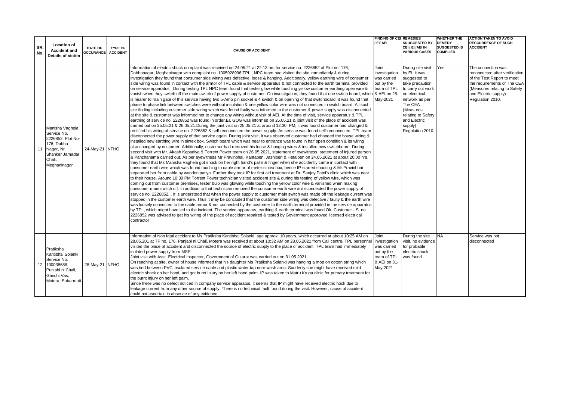|            |                                                                                                                              |                                    |                                   |                                                                                                                                                                                                                                                                                                                                                                                                                                                                                                                                                                                                                                                                                                                                                                                                                                                                                                                                                                                                                                                                                                                                                                                                                                                                                                                                                                                                                                                                                                                                                                                                                                                                                                                                                                                                                                                                                                                                                                                                                                                                                                                                                                                                                                                                                                                                                                                                                                                                                                                                                                                                                                                                                                                                                                                                                                                                                                                                                                                                                                                                                                                                                                                                                                                                                                                                                                                                                                                                                                                                                                                                                                                                                                                                                                                                                                                                                                                       | <b>FINDING OF CEI REMEDIES</b>                                                                 |                                                                                                                                                                                                                           | <b>WHETHER THE</b>                                      | <b>ACTION TAKEN TO AVOID</b>                                                                                                                                                                  |
|------------|------------------------------------------------------------------------------------------------------------------------------|------------------------------------|-----------------------------------|-----------------------------------------------------------------------------------------------------------------------------------------------------------------------------------------------------------------------------------------------------------------------------------------------------------------------------------------------------------------------------------------------------------------------------------------------------------------------------------------------------------------------------------------------------------------------------------------------------------------------------------------------------------------------------------------------------------------------------------------------------------------------------------------------------------------------------------------------------------------------------------------------------------------------------------------------------------------------------------------------------------------------------------------------------------------------------------------------------------------------------------------------------------------------------------------------------------------------------------------------------------------------------------------------------------------------------------------------------------------------------------------------------------------------------------------------------------------------------------------------------------------------------------------------------------------------------------------------------------------------------------------------------------------------------------------------------------------------------------------------------------------------------------------------------------------------------------------------------------------------------------------------------------------------------------------------------------------------------------------------------------------------------------------------------------------------------------------------------------------------------------------------------------------------------------------------------------------------------------------------------------------------------------------------------------------------------------------------------------------------------------------------------------------------------------------------------------------------------------------------------------------------------------------------------------------------------------------------------------------------------------------------------------------------------------------------------------------------------------------------------------------------------------------------------------------------------------------------------------------------------------------------------------------------------------------------------------------------------------------------------------------------------------------------------------------------------------------------------------------------------------------------------------------------------------------------------------------------------------------------------------------------------------------------------------------------------------------------------------------------------------------------------------------------------------------------------------------------------------------------------------------------------------------------------------------------------------------------------------------------------------------------------------------------------------------------------------------------------------------------------------------------------------------------------------------------------------------------------------------------------------------------------------------------|------------------------------------------------------------------------------------------------|---------------------------------------------------------------------------------------------------------------------------------------------------------------------------------------------------------------------------|---------------------------------------------------------|-----------------------------------------------------------------------------------------------------------------------------------------------------------------------------------------------|
| SR.<br>No. | <b>Location of</b><br><b>Accident and</b><br>Details of victim                                                               | <b>DATE OF</b><br><b>OCCURANCE</b> | <b>TYPE OF</b><br><b>ACCIDENT</b> | <b>CAUSE OF ACCIDENT</b>                                                                                                                                                                                                                                                                                                                                                                                                                                                                                                                                                                                                                                                                                                                                                                                                                                                                                                                                                                                                                                                                                                                                                                                                                                                                                                                                                                                                                                                                                                                                                                                                                                                                                                                                                                                                                                                                                                                                                                                                                                                                                                                                                                                                                                                                                                                                                                                                                                                                                                                                                                                                                                                                                                                                                                                                                                                                                                                                                                                                                                                                                                                                                                                                                                                                                                                                                                                                                                                                                                                                                                                                                                                                                                                                                                                                                                                                                              | / EI/ AEI                                                                                      | <b>SUUGGESTED BY</b><br>CEI / EI /AEI IN<br><b>VARIOUS CASES</b>                                                                                                                                                          | <b>REMEDY</b><br><b>SUGGESTED IS</b><br><b>COMPLIED</b> | <b>RECCURRENCE OF SUCH</b><br><b>ACCIDENT</b>                                                                                                                                                 |
| 11         | Manisha Vaghela<br>Service No.<br>2226852. Plot No-<br>176. Dabba<br>Nagar, Nr.<br>Shanker Jamadar<br>Chali.<br>Meghaninagar | 24-May-21 NFHO                     |                                   | Information of electric shock complaint was received on 24.05.21 at 22:13 hrs for service no. 2226852 of Plot no. 176,<br>Dabbanagar, Meghaninagar with complaint no. 1005928996.TPL, NPC team had visited the site immediately & during<br>investigation they found that consumer side wiring was defective, loose & hanging. Additionally, yellow earthing wire of consumer<br>side wiring was found in contact with the armor of TPL cable & service apparatus & not connected to the earth terminal provided<br>on service apparatus. During testing TPL NPC team found that tester glow while touching yellow customer earthing open wire &<br>vanish when they switch off the main switch of power supply of customer. On investigation, they found that one switch board, which & AEI on 25-<br>is nearer to main gate of this service having two 5-Amp pin socket & 4 switch & on opening of that switchboard, it was found that<br>phase to phase link between switches were without insulation & one yellow color wire was not connected in switch board. All such<br>site finding including customer side wiring which was found faulty was informed to the customer & power supply was disconnected<br>at the site & customer was informed not to change any wiring without visit of AEI. At the time of visit, service apparatus & TPL<br>earthing of service no. 2226852 was found in order. El, GOG was informed on 25.05.21 & joint visit of the place of accident was<br>carried out on 25.05.21 & 26.05.21. During the joint visit on 25.05.21 at around 12:30 PM, it was found customer had changed &<br>rectified his wiring of service no. 2226852 & self reconnected the power supply. As service was found self-reconnected, TPL team<br>disconnected the power supply of that service again. During joint visit, it was observed customer had changed the house wiring &<br>installed new earthing wire in sintex box. Switch board which was near to entrance was found in half open condition & its wiring<br>also changed by customer. Additionally, customer had removed his loose & hanging wires & installed new switchboard. During<br>second visit with Mr. Akash Kapadiya & Torrent Power team on 26.05.2021, statement of eyewitness, statement of injured person<br>& Panchanama carried out. As per eyewitness Mr Pravinbhai, Kantaben, Jashiben & Hetalben on 24.05.2021 at about 20:00 hrs,<br>they found that Ms Manisha Vaghela got shock on her right hand's palm & finger when she accidently came in contact with<br>consumer earth wire which was found touching to cable armor of meter sintex box, hence IP started shouting & Mr Pravinbhai<br>separated her from cable by wooden patiya. Further they took IP for first aid treatment at Dr. Sanjay Patni's clinic which was near<br>to their house. Around 10:30 PM Torrent Power technician visited accident site & during his testing of yellow wire, which was<br>coming out from customer premises, tester bulb was glowing while touching the yellow color wire & vanished when making<br>consumer main switch off. In addition to that technician removed the consumer earth wire & disconnected the power supply of<br>service no. 2226852. It is understood that when the power supply to customer main switch was made off the leakage current was<br>stopped in the customer earth wire. Thus it may be concluded that the customer side wiring was defective / faulty & the earth wire<br>was loosely connected to the cable armor & not connected by the customer to the earth terminal provided in the service apparatus<br>by TPL, which might have led to the incident. The service apparatus, earthing & earth terminal was found Ok. Customer - S. no.<br>2226852 was advised to get his wiring of the place of accident repaired & tested by Government approved licensed electrical<br>contractor | Joint<br>investigation<br>was carried<br>out by the<br>team of TPL<br>May-2021                 | During site visit<br>by EI, it was<br>suggested to<br>take precaution<br>to carry out work<br>on electrical<br>network as per<br>The CEA<br>(Measures<br>relating to Safety<br>and Electric<br>supply)<br>Regulation 2010 | Yes                                                     | The connection was<br>reconnected after verification<br>of the Test Report to meet<br>the requirements of The CEA<br>(Measures relating to Safety<br>and Electric supply)<br>Regulation 2010. |
|            | Pratiksha<br>Kantibhai Solanki<br>Service No.<br>12 100038688,<br>Punjabi ni Chali,<br>Gandhi Vas,<br>Motera, Sabarmati      | 28-May-21 NFHO                     |                                   | Information of Non fatal accident to Ms Pratiksha Kantibhai Solanki, age approx. 10 years, which occurred at about 10:25 AM on<br>28.05.201 at TP no. 176, Panjabi ni Chali, Motera was received at about 10:32 AM on 28.05.2021 from Call centre. TPL personnel<br>visited the place of accident and disconnected the source of electric supply to the place of accident. TPL team had immediately<br>isolated power supply from MSP.<br>Joint visit with Asst. Electrical Inspector, Government of Gujarat was carried out on 31.05.2021.<br>On reaching at site, owner of house informed that his daughter Ms Pratiksha Solanki was hanging a mop on cotton string which<br>was tied between PVC insulated service cable and plastic water tap near wash area. Suddenly she might have received mild<br>electric shock on her hand, and got burnt injury on her left hand palm. IP was taken to Matru Krupa clinic for primary treatment for<br>the burnt injury on her left palm.<br>Since there was no defect noticed in company service apparatus, it seems that IP might have received electric hock due to<br>leakage current from any other source of supply. There is no technical fault found during the visit. However, cause of accident<br>could not ascertain in absence of any evidence.                                                                                                                                                                                                                                                                                                                                                                                                                                                                                                                                                                                                                                                                                                                                                                                                                                                                                                                                                                                                                                                                                                                                                                                                                                                                                                                                                                                                                                                                                                                                                                                                                                                                                                                                                                                                                                                                                                                                                                                                                                                                                                                                                                                                                                                                                                                                                                                                                                                                                                                                                                                                              | Joint<br>investigation<br>was carried<br>out by the<br>team of TPL<br>& AEI on 31-<br>May-2021 | During the site<br>visit, no evidence<br>for probable<br>electric shock<br>was found.                                                                                                                                     | <b>NA</b>                                               | Service was not<br>disconnected                                                                                                                                                               |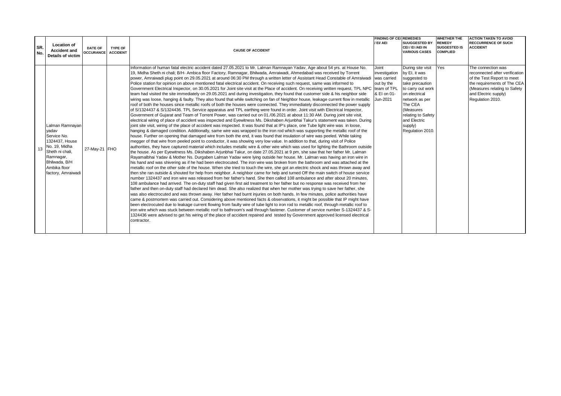| SR.<br>No. | <b>Location of</b><br><b>Accident and</b><br><b>Details of victim</b>                                                                                                | <b>DATE OF</b><br>OCCURANCE ACCIDENT | <b>TYPE OF</b> | <b>CAUSE OF ACCIDENT</b>                                                                                                                                                                                                                                                                                                                                                                                                                                                                                                                                                                                                                                                                                                                                                                                                                                                                                                                                                                                                                                                                                                                                                                                                                                                                                                                                                                                                                                                                                                                                                                                                                                                                                                                                                                                                                                                                                                                                                                                                                                                                                                                                                                                                                                                                                                                                                                                                                                                                                                                                                                                                                                                                                                                                                                                                                                                                                                                                                                                                                                                                                                                                                                                                                                                                                                                                                                                                                                                                                                                                                                                                                                                                                                                                                                                                                                                                                                                   | <b>FINDING OF CEL REMEDIES</b><br>/ EI/ AEI                                    | <b>SUUGGESTED BY</b><br>CEI / EI /AEI IN<br><b>VARIOUS CASES</b>                                                                                                                                                           | <b>WHETHER THE</b><br><b>REMEDY</b><br><b>SUGGESTED IS</b><br><b>COMPLIED</b> | <b>ACTION TAKEN TO AVOID</b><br><b>RECCURRENCE OF SUCH</b><br><b>ACCIDENT</b>                                                                                                                 |
|------------|----------------------------------------------------------------------------------------------------------------------------------------------------------------------|--------------------------------------|----------------|--------------------------------------------------------------------------------------------------------------------------------------------------------------------------------------------------------------------------------------------------------------------------------------------------------------------------------------------------------------------------------------------------------------------------------------------------------------------------------------------------------------------------------------------------------------------------------------------------------------------------------------------------------------------------------------------------------------------------------------------------------------------------------------------------------------------------------------------------------------------------------------------------------------------------------------------------------------------------------------------------------------------------------------------------------------------------------------------------------------------------------------------------------------------------------------------------------------------------------------------------------------------------------------------------------------------------------------------------------------------------------------------------------------------------------------------------------------------------------------------------------------------------------------------------------------------------------------------------------------------------------------------------------------------------------------------------------------------------------------------------------------------------------------------------------------------------------------------------------------------------------------------------------------------------------------------------------------------------------------------------------------------------------------------------------------------------------------------------------------------------------------------------------------------------------------------------------------------------------------------------------------------------------------------------------------------------------------------------------------------------------------------------------------------------------------------------------------------------------------------------------------------------------------------------------------------------------------------------------------------------------------------------------------------------------------------------------------------------------------------------------------------------------------------------------------------------------------------------------------------------------------------------------------------------------------------------------------------------------------------------------------------------------------------------------------------------------------------------------------------------------------------------------------------------------------------------------------------------------------------------------------------------------------------------------------------------------------------------------------------------------------------------------------------------------------------------------------------------------------------------------------------------------------------------------------------------------------------------------------------------------------------------------------------------------------------------------------------------------------------------------------------------------------------------------------------------------------------------------------------------------------------------------------------------------------------|--------------------------------------------------------------------------------|----------------------------------------------------------------------------------------------------------------------------------------------------------------------------------------------------------------------------|-------------------------------------------------------------------------------|-----------------------------------------------------------------------------------------------------------------------------------------------------------------------------------------------|
|            | Lalman Ramnayan<br>vadav<br>Service No.<br>1324437, House<br>13 No. 19, Midha<br>Sheth ni chali,<br>Ramnagar,<br>Bhilwada, B/H<br>Ambika floor<br>factory, Amraiwadi | 27-May-21 FHO                        |                | Information of human fatal electric accident dated 27.05.2021 to Mr. Lalman Ramnayan Yadav, Age about 54 yrs. at House No.<br>19, Midha Sheth ni chali; B/H- Ambica floor Factory, Ramnagar, Bhilwada, Amraiwadi, Ahmedabad was received by Torrent<br>power, Amraiwadi plug point on 29.05.2021 at around 06:30 PM through a written letter of Assistant Head Constable of Amraiwadi<br>Police station for opinion on above mentioned fatal electrical accident. On receiving such request, same was informed to<br>Government Electrical Inspector, on 30.05.2021 for Joint site visit at the Place of accident. On receiving written request, TPL NPC team of TPL<br>team had visited the site immediately on 29.05.2021 and during investigation, they found that customer side & his neighbor side<br>wiring was loose, hanging & faulty. They also found that while switching on fan of Neighbor house, leakage current flow in metallic<br>roof of both the houses since metallic roofs of both the houses were connected. They immediately disconnected the power supply<br>of S/1324437 & S/1324436. TPL Service apparatus and TPL earthing were found in order. Joint visit with Electrical Inspector,<br>Government of Gujarat and Team of Torrent Power, was carried out on 01./06.2021 at about 11:30 AM. During joint site visit,<br>electrical wiring of place of accident was inspected and Eyewitness Ms. Dikshaben Arjunbhai Takur's statement was taken. During<br>joint site visit, wiring of the place of accident was inspected. It was found that at IP's place, one Tube light wire was in loose,<br>hanging & damaged condition. Additionally, same wire was wrapped to the iron rod which was supporting the metallic roof of the<br>house. Further on opening that damaged wire from both the end, it was found that insulation of wire was peeled. While taking<br>megger of that wire from peeled point to conductor, it was showing very low value. In addition to that, during visit of Police<br>authorities, they have captured material which includes metallic wire & other wire which was used for lighting the Bathroom outside<br>the house. As per Eyewitness Ms. Dikshaben Arjunbhai Takur, on date 27.05.2021 at 9 pm, she saw that her father Mr. Lalman<br>Rayamalbhai Yadav & Mother Ns. Durgaben Lalman Yadav were lying outside her house. Mr. Lalman was having an iron wire in<br>his hand and was shivering as if he had been electrocuted. The iron wire was broken from the bathroom and was attached at the<br>metallic roof on the other side of the house. When she tried to touch the wire, she got an electric shock and was thrown away and<br>then she ran outside & shouted for help from neighbor. A neighbor came for help and turned Off the main switch of house service<br>number 1324437 and iron wire was released from her father's hand. She then called 108 ambulance and after about 20 minutes.<br>108 ambulance had arrived. The on-duty staff had given first aid treatment to her father but no response was received from her<br>father and then on-duty staff had declared him dead. She also realized that when her mother was trying to save her father, she<br>was also electrocuted and was thrown away. Her father had burnt injuries on both hands. In few minutes, police authorities have<br>came & postmortem was carried out. Considering above mentioned facts & observations, it might be possible that IP might have<br>been electrocuted due to leakage current flowing from faulty wire of tube light to iron rod to metallic roof, through metallic roof to<br>iron wire which was stuck between metallic roof to bathroom's wall through fastener. Customer of service number S-1324437 & S-<br>1324436 were advised to get his wiring of the place of accident repaired and tested by Government approved licensed electrical<br>contractor. | Joint<br>investigation<br>was carried<br>out by the<br>& EI on 01-<br>Jun-2021 | During site visit<br>by EI, it was<br>suggested to<br>take precaution<br>to carry out work<br>on electrical<br>network as per<br>The CEA<br>(Measures<br>relating to Safety<br>and Electric<br>supply)<br>Regulation 2010. | Yes                                                                           | The connection was<br>reconnected after verification<br>of the Test Report to meet<br>the requirements of The CEA<br>(Measures relating to Safety<br>and Electric supply)<br>Regulation 2010. |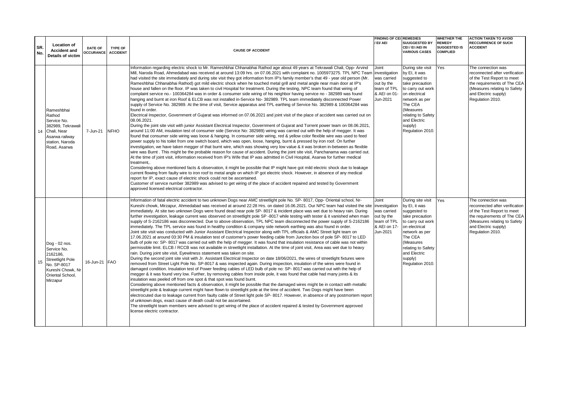|            |                                                                                                                                         |                                    |                                   |                                                                                                                                                                                                                                                                                                                                                                                                                                                                                                                                                                                                                                                                                                                                                                                                                                                                                                                                                                                                                                                                                                                                                                                                                                                                                                                                                                                                                                                                                                                                                                                                                                                                                                                                                                                                                                                                                                                                                                                                                                                                                                                                                                                                                                                                                                                                                                                                                                                                                                                                                                                                                                                                                                                                       | <b>FINDING OF CEI REMEDIES</b>                                                                 |                                                                                                                                                                                                                           | <b>WHETHER THE</b>                                      | <b>ACTION TAKEN TO AVOID</b>                                                                                                                                                                  |
|------------|-----------------------------------------------------------------------------------------------------------------------------------------|------------------------------------|-----------------------------------|---------------------------------------------------------------------------------------------------------------------------------------------------------------------------------------------------------------------------------------------------------------------------------------------------------------------------------------------------------------------------------------------------------------------------------------------------------------------------------------------------------------------------------------------------------------------------------------------------------------------------------------------------------------------------------------------------------------------------------------------------------------------------------------------------------------------------------------------------------------------------------------------------------------------------------------------------------------------------------------------------------------------------------------------------------------------------------------------------------------------------------------------------------------------------------------------------------------------------------------------------------------------------------------------------------------------------------------------------------------------------------------------------------------------------------------------------------------------------------------------------------------------------------------------------------------------------------------------------------------------------------------------------------------------------------------------------------------------------------------------------------------------------------------------------------------------------------------------------------------------------------------------------------------------------------------------------------------------------------------------------------------------------------------------------------------------------------------------------------------------------------------------------------------------------------------------------------------------------------------------------------------------------------------------------------------------------------------------------------------------------------------------------------------------------------------------------------------------------------------------------------------------------------------------------------------------------------------------------------------------------------------------------------------------------------------------------------------------------------------|------------------------------------------------------------------------------------------------|---------------------------------------------------------------------------------------------------------------------------------------------------------------------------------------------------------------------------|---------------------------------------------------------|-----------------------------------------------------------------------------------------------------------------------------------------------------------------------------------------------|
| SR.<br>No. | <b>Location of</b><br><b>Accident and</b><br><b>Details of victim</b>                                                                   | <b>DATE OF</b><br><b>OCCURANCE</b> | <b>TYPE OF</b><br><b>ACCIDENT</b> | <b>CAUSE OF ACCIDENT</b>                                                                                                                                                                                                                                                                                                                                                                                                                                                                                                                                                                                                                                                                                                                                                                                                                                                                                                                                                                                                                                                                                                                                                                                                                                                                                                                                                                                                                                                                                                                                                                                                                                                                                                                                                                                                                                                                                                                                                                                                                                                                                                                                                                                                                                                                                                                                                                                                                                                                                                                                                                                                                                                                                                              | / EI/ AEI                                                                                      | <b>SUUGGESTED BY</b><br>CEI / EI /AEI IN<br><b>VARIOUS CASES</b>                                                                                                                                                          | <b>REMEDY</b><br><b>SUGGESTED IS</b><br><b>COMPLIED</b> | <b>RECCURRENCE OF SUCH</b><br><b>ACCIDENT</b>                                                                                                                                                 |
| 14         | Rameshbhai<br>Rathod<br>Service No.<br>382989, Tekrawali<br>Chali, Near<br>Asarwa railway<br>station, Naroda<br>Road, Asarwa            | 7-Jun-21                           | <b>NFHO</b>                       | Information regarding electric shock to Mr. Rameshbhai Chhanabhai Rathod age about 49 years at Tekrawali Chali, Opp-Arvind<br>Mill, Naroda Road, Ahmedabad was received at around 13:09 hrs. on 07.06.2021 with complaint no. 1005973275. TPL NPC Team investigation<br>had visited the site immediately and during site visit they got information from IP's family member's that 49 - year old person (Mr.<br>Rameshbhai Chhanabhai Rathod) got mild electric shock when he touched metal grill and metal angle near main door at IP's<br>house and fallen on the floor. IP was taken to civil Hospital for treatment. During the testing, NPC team found that wiring of<br>complaint service no.- 100364284 was in order & consumer side wiring of his neighbor having service no - 382989 was found<br>hanging and burnt at iron Roof & ELCB was not installed in-Service No- 382989. TPL team immediately disconnected Power<br>supply of Service No. 382989. At the time of visit, Service apparatus and TPL earthing of Service No. 382989 & 100364284 was<br>found in order.<br>Electrical Inspector, Government of Gujarat was informed on 07.06.2021 and joint visit of the place of accident was carried out on<br>08.06.2021.<br>During the joint site visit with junior Assistant Electrical Inspector, Government of Gujarat and Torrent power team on 08.06.2021,<br>around 11:00 AM, insulation test of consumer side (Service No: 382989) wiring was carried out with the help of megger. It was<br>found that consumer side wiring was loose & hanging. In consumer side wiring, red & yellow color flexible wire was used to feed<br>power supply to his toilet from one switch board, which was open, loose, hanging, burnt & pressed by iron roof. On further<br>investigation, we have taken megger of that burnt wire, which was showing very low value & it was broken in-between as flexible<br>wire was Burnt. This might be the probable reason for cause of accident. During the joint site visit, Panchanama was carried out.<br>At the time of joint visit, information received from IP's Wife that IP was admitted in Civil Hospital, Asarwa for further medical<br>treatment,.<br>Considering above mentioned facts & observation, it might be possible that IP might have got mild electric shock due to leakage<br>current flowing from faulty wire to iron roof to metal angle on which IP got electric shock. However, in absence of any medical<br>report for IP, exact cause of electric shock could not be ascertained.<br>Customer of service number 382989 was advised to get wiring of the place of accident repaired and tested by Government<br>approved licensed electrical contractor. | Joint<br>was carried<br>out by the<br>team of TPL<br>& AEI on 01-<br>Jun-2021                  | During site visit<br>by EI, it was<br>suggested to<br>take precaution<br>to carry out work<br>on electrical<br>network as per<br>The CEA<br>(Measures<br>relating to Safety<br>and Electric<br>supply)<br>Regulation 2010 | Yes                                                     | The connection was<br>reconnected after verification<br>of the Test Report to meet<br>the requirements of The CEA<br>(Measures relating to Safety<br>and Electric supply)<br>Regulation 2010. |
| 15         | Dog - 02 nos.<br>Service No.<br>2162186.<br><b>Streetlight Pole</b><br>No. SP-8017<br>Kureshi Chowk, Nr<br>Oriental School.<br>Mirzapur | 16-Jun-21 FAO                      |                                   | Information of fatal electric accident to two unknown Dogs near AMC streetlight pole No. SP-8017, Opp-Oriental school, Nr-<br>Kureshi chowk, Mirzapur, Ahmedabad was received at around 22:28 Hrs. on dated 16.06.2021. Our NPC team had visited the site<br>immediately. At site two unknown Dogs were found dead near pole SP-8017 & incident place was wet due to heavy rain. During<br>further investigation, leakage current was observed on streetlight pole SP -8017 while testing with tester & it vanished when main<br>supply of S-2162186 was disconnected. Due to above observation, TPL NPC team disconnected the power supply of S-2162186<br>immediately. The TPL service was found in healthy condition & company side network earthing was also found in order.<br>Joint site visit was conducted with Junior Assistant Electrical Inspector along with TPL officials & AMC Street light team on<br>17.06.2021 at around 03:30 PM & insulation test of customer's power feeding cable from Junction box of pole SP-8017 to LED<br>bulb of pole no: SP-8017 was carried out with the help of megger. It was found that insulation resistance of cable was not within<br>permissible limit. ELCB / RCCB was not available in streetlight installation. At the time of joint visit, Area was wet due to heavy<br>rain. During joint site visit, Eyewitness statement was taken on site.<br>During the second joint site visit with Jr. Assistant Electrical Inspector on date 18/06/2021, the wires of streetlight fixtures were<br>removed from Street Light Pole No. SP-8017 & was inspected again. During inspection, insulation of the wires were found in<br>damaged condition. Insulation test of Power feeding cables of LED bulb of pole no: SP-8017 was carried out with the help of<br>megger & it was found very low. Further, by removing cables from inside pole, it was found that cable had many joints & its<br>insulation was peeled off from one spot & that spot was found burnt.<br>Considering above mentioned facts & observation, it might be possible that the damaged wires might be in contact with metallic<br>streetlight pole & leakage current might have flown to streetlight pole at the time of accident. Two Dogs might have been<br>electrocuted due to leakage current from faulty cable of Street light pole SP-8017. However, in absence of any postmortem report<br>of unknown dogs, exact cause of death could not be ascertained.<br>The streetlight team members were advised to get wiring of the place of accident repaired & tested by Government approved<br>license electric contractor.                                                                                 | Joint<br>investigation<br>was carried<br>out by the<br>team of TPL<br>& AEI on 17-<br>Jun-2021 | During site visit<br>by EI, it was<br>suggested to<br>take precaution<br>to carry out work<br>on electrical<br>network as per<br>The CEA<br>(Measures<br>relating to Safety<br>and Electric<br>supply)<br>Regulation 2010 | Yes                                                     | The connection was<br>reconnected after verification<br>of the Test Report to meet<br>the requirements of The CEA<br>(Measures relating to Safety<br>and Electric supply)<br>Regulation 2010. |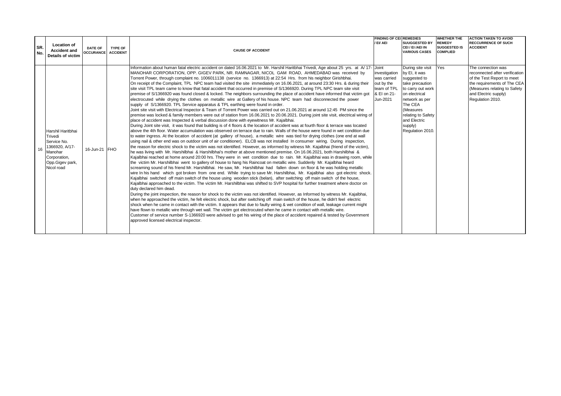| SR.<br>No. | <b>Location of</b><br><b>Accident and</b><br><b>Details of victim</b>                                                     | <b>DATE OF</b><br>OCCURANCE ACCIDENT | <b>TYPE OF</b> | <b>CAUSE OF ACCIDENT</b>                                                                                                                                                                                                                                                                                                                                                                                                                                                                                                                                                                                                                                                                                                                                                                                                                                                                                                                                                                                                                                                                                                                                                                                                                                                                                                                                                                                                                                                                                                                                                                                                                                                                                                                                                                                                                                                                                                                                                                                                                                                                                                                                                                                                                                                                                                                                                                                                                                                                                                                                                                                                                                                                                                                                                                                                                                                                                                                                                                                                                                                                                                                                                                                                                                                                                                                                                                                                                                                                                                                                                                                                                                                                                  | <b>FINDING OF CEL REMEDIES</b><br>/ EI/ AEI                                          | <b>SUUGGESTED BY</b><br>CEI / EI /AEI IN<br><b>VARIOUS CASES</b>                                                                                                                                                           | <b>WHETHER THE</b><br><b>REMEDY</b><br><b>SUGGESTED IS</b><br><b>COMPLIED</b> | <b>ACTION TAKEN TO AVOID</b><br><b>RECCURRENCE OF SUCH</b><br><b>ACCIDENT</b>                                                                                                                 |
|------------|---------------------------------------------------------------------------------------------------------------------------|--------------------------------------|----------------|-----------------------------------------------------------------------------------------------------------------------------------------------------------------------------------------------------------------------------------------------------------------------------------------------------------------------------------------------------------------------------------------------------------------------------------------------------------------------------------------------------------------------------------------------------------------------------------------------------------------------------------------------------------------------------------------------------------------------------------------------------------------------------------------------------------------------------------------------------------------------------------------------------------------------------------------------------------------------------------------------------------------------------------------------------------------------------------------------------------------------------------------------------------------------------------------------------------------------------------------------------------------------------------------------------------------------------------------------------------------------------------------------------------------------------------------------------------------------------------------------------------------------------------------------------------------------------------------------------------------------------------------------------------------------------------------------------------------------------------------------------------------------------------------------------------------------------------------------------------------------------------------------------------------------------------------------------------------------------------------------------------------------------------------------------------------------------------------------------------------------------------------------------------------------------------------------------------------------------------------------------------------------------------------------------------------------------------------------------------------------------------------------------------------------------------------------------------------------------------------------------------------------------------------------------------------------------------------------------------------------------------------------------------------------------------------------------------------------------------------------------------------------------------------------------------------------------------------------------------------------------------------------------------------------------------------------------------------------------------------------------------------------------------------------------------------------------------------------------------------------------------------------------------------------------------------------------------------------------------------------------------------------------------------------------------------------------------------------------------------------------------------------------------------------------------------------------------------------------------------------------------------------------------------------------------------------------------------------------------------------------------------------------------------------------------------------------------|--------------------------------------------------------------------------------------|----------------------------------------------------------------------------------------------------------------------------------------------------------------------------------------------------------------------------|-------------------------------------------------------------------------------|-----------------------------------------------------------------------------------------------------------------------------------------------------------------------------------------------|
| 16         | Harshil Haritbhai<br>Trivedi<br>Service No.<br>1366920, A/17-<br>Manohar<br>Corporation,<br>Opp.Gigev park,<br>Nicol road | 16-Jun-21 FHO                        |                | Information about human fatal electric accident on dated 16.06.2021 to Mr. Harshil Haritbhai Trivedi, Age about 25 yrs. at A/17- Joint<br>MANOHAR CORPORATION, OPP. GIGEV PARK, NR. RAMNAGAR, NICOL GAM ROAD, AHMEDABAD was received by<br>Torrent Power, through complaint no. 1006011138 (service no. 1366913) at 22:54 Hrs. from his neighbor Girishbhai.<br>On receipt of the Complaint, TPL NPC team had visited the site immediately on 16.06.2021, at around 23:30 Hrs. & during their<br>site visit TPL team came to know that fatal accident that occurred in premise of S/1366920. During TPL NPC team site visit<br>premise of S/1366920 was found closed & locked. The neighbors surrounding the place of accident have informed that victim got<br>electrocuted while drying the clothes on metallic wire at Gallery of his house. NPC team had disconnected the power<br>supply of S/1366920. TPL Service apparatus & TPL earthing were found in order.<br>Joint site visit with Electrical Inspector & Team of Torrent Power was carried out on 21.06.2021 at around 12:45 PM since the<br>premise was locked & family members were out of station from 16.06.2021 to 20.06.2021. During joint site visit, electrical wiring of<br>place of accident was Inspected & verbal discussion done with eyewitness Mr. Kajalbhai.<br>During Joint site visit, it was found that building is of 4 floors & the location of accident was at fourth floor & terrace was located<br>above the 4th floor. Water accumulation was observed on terrace due to rain. Walls of the house were found in wet condition due<br>to water ingress. At the location of accident (at gallery of house), a metallic wire was tied for drying clothes (one end at wall<br>using nail & other end was on outdoor unit of air conditioner). ELCB was not installed In consumer wiring. During inspection,<br>the reason for electric shock to the victim was not identified. However, as informed by witness Mr. Kajalbhai (friend of the victim),<br>he was living with Mr. Harshilbhai & Harshilbhai's mother at above mentioned premise. On 16.06.2021, both Harshilbhai &<br>Kajalbhai reached at home around 20:00 hrs. They were in wet condition due to rain. Mr. Kajalbhai was in drawing room, while<br>the victim Mr. Harshilbhai went to gallery of house to hang his Raincoat on metallic wire. Suddenly Mr. Kajalbhai heard<br>screaming sound of his friend Mr. Harshilbhai. He saw, Mr. Harshilbhai had fallen down on floor & he was holding metallic<br>wire In his hand which got broken from one end. While trying to save Mr. Harshilbhai, Mr. Kajalbhai also got electric shock.<br>Kajalbhai switched off main switch of the house using wooden stick (belan), after switching off main switch of the house,<br>Kajalbhai approached to the victim. The victim Mr. Harshilbhai was shifted to SVP hospital for further treatment where doctor on<br>duty declared him dead.<br>During the joint inspection, the reason for shock to the victim was not identified. However, as Informed by witness Mr. Kajalbhai,<br>when he approached the victim, he felt electric shock, but after switching off main switch of the house, he didn't feel electric<br>shock when he came in contact with the victim. It appears that due to faulty wiring & wet condition of wall, leakage current might<br>have flown to metallic wire through wet wall. The victim got electrocuted when he came in contact with metallic wire.<br>Customer of service number S-1366920 were advised to get his wiring of the place of accident repaired & tested by Government<br>approved licensed electrical inspector. | investigation<br>was carried<br>out by the<br>team of TPL<br>& EI on 21-<br>Jun-2021 | During site visit<br>by EI, it was<br>suggested to<br>take precaution<br>to carry out work<br>on electrical<br>network as per<br>The CEA<br>(Measures<br>relating to Safety<br>and Electric<br>supply)<br>Regulation 2010. | Yes                                                                           | The connection was<br>reconnected after verification<br>of the Test Report to meet<br>the requirements of The CEA<br>(Measures relating to Safety<br>and Electric supply)<br>Regulation 2010. |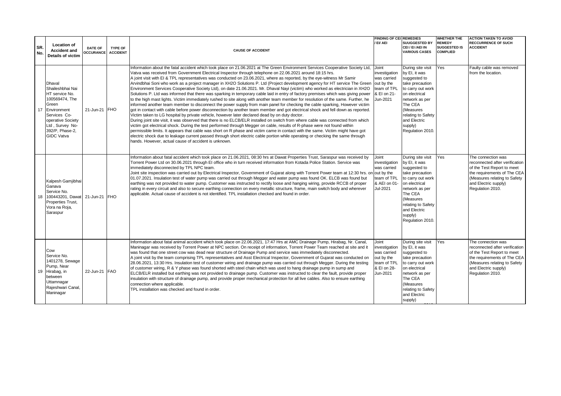| SR.<br>No. | <b>Location of</b><br><b>Accident and</b><br><b>Details of victim</b>                                                                                                                         | <b>DATE OF</b><br><b>OCCURANCE</b> | <b>TYPE OF</b><br><b>ACCIDENT</b> | <b>CAUSE OF ACCIDENT</b>                                                                                                                                                                                                                                                                                                                                                                                                                                                                                                                                                                                                                                                                                                                                                                                                                                                                                                                                                                                                                                                                                                                                                                                                                                                                                                                                                                                                                                                                                                                                                                                                                                                                                                                                                                                                                                                         | <b>FINDING OF CEI REMEDIES</b><br>/ EI/ AEI                                                    | <b>SUUGGESTED BY</b><br>CEI / EI /AEI IN<br><b>VARIOUS CASES</b>                                                                                                                                                           | <b>WHETHER THE</b><br><b>REMEDY</b><br><b>SUGGESTED IS</b><br><b>COMPLIED</b> | <b>ACTION TAKEN TO AVOID</b><br><b>RECCURRENCE OF SUCH</b><br><b>ACCIDENT</b>                                                                                                                 |
|------------|-----------------------------------------------------------------------------------------------------------------------------------------------------------------------------------------------|------------------------------------|-----------------------------------|----------------------------------------------------------------------------------------------------------------------------------------------------------------------------------------------------------------------------------------------------------------------------------------------------------------------------------------------------------------------------------------------------------------------------------------------------------------------------------------------------------------------------------------------------------------------------------------------------------------------------------------------------------------------------------------------------------------------------------------------------------------------------------------------------------------------------------------------------------------------------------------------------------------------------------------------------------------------------------------------------------------------------------------------------------------------------------------------------------------------------------------------------------------------------------------------------------------------------------------------------------------------------------------------------------------------------------------------------------------------------------------------------------------------------------------------------------------------------------------------------------------------------------------------------------------------------------------------------------------------------------------------------------------------------------------------------------------------------------------------------------------------------------------------------------------------------------------------------------------------------------|------------------------------------------------------------------------------------------------|----------------------------------------------------------------------------------------------------------------------------------------------------------------------------------------------------------------------------|-------------------------------------------------------------------------------|-----------------------------------------------------------------------------------------------------------------------------------------------------------------------------------------------|
| 17         | <b>Dhaval</b><br>Shaileshbhai Nai<br>HT service No.<br>100569474, The<br>Green<br>Environment<br>Services Co-<br>operative Society<br>Ltd, Survey No-<br>392/P, Phase-2,<br><b>GIDC Vatva</b> | 21-Jun-21 FHO                      |                                   | Information about the fatal accident which took place on 21.06.2021 at The Green Environment Services Cooperative Society Ltd,<br>Vatva was received from Government Electrical Inspector through telephone on 22.06.2021 around 18:15 hrs.<br>A joint visit with EI & TPL representatives was conducted on 23.06.2021, where as reported, by the eye-witness Mr Samir<br>Arvindbhai Soni who work as a project manager in XH2O Solutions P. Ltd (Project development agency for HT service The Green<br>Environment Services Cooperative Society Ltd), on date 21.06.2021. Mr. Dhaval Nayi (victim) who worked as electrician in XH2O<br>Solutions P. Ltd was informed that there was sparking in temporary cable laid in entry of factory premises which was giving power<br>to the high mast lights. Victim immediately rushed to site along with another team member for resolution of the same. Further, he<br>informed another team member to disconnect the power supply from main panel for checking the cable sparking, However victim<br>got in contact with cable before power disconnection by another team member and got electrical shock and fell down as reported.<br>Victim taken to LG hospital by private vehicle, however later declared dead by on duty doctor.<br>During joint site visit, it was observed that there is no ELCB/ELR installed on switch from where cable was connected from which<br>victim got electrical shock. During the test performed through Megger on cable, results of R-phase were not found within<br>permissible limits. It appears that cable was short on R phase and victim came in contact with the same. Victim might have got<br>electric shock due to leakage current passed through short electric cable portion while operating or checking the same through<br>hands. However, actual cause of accident is unknown. | Joint<br>investigation<br>was carried<br>out by the<br>team of TPL<br>& EI on 21-<br>Jun-2021  | During site visit<br>by EI, it was<br>suggested to<br>take precaution<br>to carry out work<br>on electrical<br>network as per<br>The CEA<br>(Measures<br>relating to Safety<br>and Electric<br>supply)<br>Regulation 2010. | Yes                                                                           | Faulty cable was removed<br>from the location.                                                                                                                                                |
| 18         | Kalpesh Gamjibhai<br>Ganava<br>Service No.<br>100443201, Dawat 21-Jun-21 FHO<br>Properties Trust,<br>Vora na Roja,<br>Saraspur                                                                |                                    |                                   | Information about fatal accident which took place on 21.06.2021, 08:30 hrs at Dawat Properties Trust, Saraspur was received by<br>Torrent Power Ltd on 30.06.2021 through EI office who in turn received information from Kotada Police Station. Service was<br>immediately disconnected by TPL NPC team.<br>Joint site inspection was carried out by Electrical Inspector, Government of Gujarat along with Torrent Power team at 12:30 hrs. or<br>01.07.2021. Insulation test of water pump was carried out through Megger and water pump was found OK. ELCB was found but<br>earthing was not provided to water pump. Customer was instructed to rectify loose and hanging wiring, provide RCCB of proper<br>rating in every circuit and also to secure earthing connection on every metallic structure, frame, main switch body and wherever<br>applicable. Actual cause of accident is not identified. TPL installation checked and found in order.                                                                                                                                                                                                                                                                                                                                                                                                                                                                                                                                                                                                                                                                                                                                                                                                                                                                                                                         | Joint<br>investigation<br>was carried<br>out by the<br>team of TPL<br>& AEI on 01-<br>Jul-2021 | During site visit<br>by EI, it was<br>suggested to<br>take precaution<br>to carry out work<br>on electrical<br>network as per<br>The CEA<br>(Measures<br>relating to Safety<br>and Electric<br>supply)<br>Regulation 2010. | Yes                                                                           | The connection was<br>reconnected after verification<br>of the Test Report to meet<br>the requirements of The CEA<br>(Measures relating to Safety<br>and Electric supply)<br>Regulation 2010. |
|            | Cow<br>Service No.<br>1401278, Sewage<br>Pump, Near<br>19 Hirabag, in<br>between<br>Uttamnagar<br>Rajeshwari Canal<br>Maninagar                                                               | 22-Jun-21 FAO                      |                                   | Information about fatal animal accident which took place on 22.06.2021, 17:47 Hrs at AMC Drainage Pump, Hirabag, Nr. Canal,<br>Maninagar was received by Torrent Power at NPC section. On receipt of information, Torrent Power Team reached at site and it<br>was found that one street cow was dead near structure of Drainage Pump and service was immediately disconnected.<br>A joint visit by the team comprising TPL representatives and Asst Electrical Inspector, Government of Gujarat was conducted on<br>28.06.2021, 13:30 Hrs. Insulation test of customer wiring and drainage pump was carried out through Megger. During the testing<br>of customer wiring, R & Y phase was found shorted with steel chain which was used to hang drainage pump in sump and<br>ELCB/ELR installed but earthing was not provided to drainage pump. Customer was instructed to clear the fault, provide proper<br>insulation with structure of drainage pump, and provide proper mechanical protection for all live cables. Also to ensure earthing<br>connection where applicable.<br>TPL installation was checked and found in order.                                                                                                                                                                                                                                                                                                                                                                                                                                                                                                                                                                                                                                                                                                                                             | Joint<br>investigation<br>was carried<br>out by the<br>team of TPL<br>& EI on 28-<br>Jun-2021  | During site visit<br>by EI, it was<br>suggested to<br>take precaution<br>to carry out work<br>on electrical<br>network as per<br>The CEA<br>(Measures<br>relating to Safety<br>and Electric<br>supply)                     | Yes                                                                           | The connection was<br>reconnected after verification<br>of the Test Report to meet<br>the requirements of The CEA<br>(Measures relating to Safety<br>and Electric supply)<br>Regulation 2010. |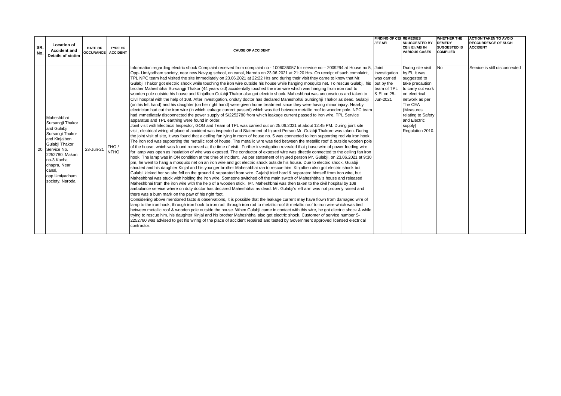| SR.<br>No. | <b>Location of</b><br><b>Accident and</b><br><b>Details of victim</b>                                                                                                                                               | <b>DATE OF</b><br><b>OCCURANCE ACCIDENT</b> | TYPE OF              | <b>CAUSE OF ACCIDENT</b>                                                                                                                                                                                                                                                                                                                                                                                                                                                                                                                                                                                                                                                                                                                                                                                                                                                                                                                                                                                                                                                                                                                                                                                                                                                                                                                                                                                                                                                                                                                                                                                                                                                                                                                                                                                                                                                                                                                                                                                                                                                                                                                                                                                                                                                                                                                                                                                                                                                                                                                                                                                                                                                                                                                                                                                                                                                                                                                                                                                                                                                                                                                                                                                                                                                                                                                                                                                                                                                                                                                                                                                                                                                                                                                                                                                                                                                                                      | <b>FINDING OF CEL REMEDIES</b><br>/ EI/ AEI                                          | <b>SUUGGESTED BY</b><br>CEI / EI /AEI IN<br><b>VARIOUS CASES</b>                                                                                                                                                           | <b>WHETHER THE</b><br><b>REMEDY</b><br><b>SUGGESTED IS</b><br><b>COMPLIED</b> | <b>ACTION TAKEN TO AVOID</b><br><b>RECCURRENCE OF SUCH</b><br><b>ACCIDENT</b> |
|------------|---------------------------------------------------------------------------------------------------------------------------------------------------------------------------------------------------------------------|---------------------------------------------|----------------------|---------------------------------------------------------------------------------------------------------------------------------------------------------------------------------------------------------------------------------------------------------------------------------------------------------------------------------------------------------------------------------------------------------------------------------------------------------------------------------------------------------------------------------------------------------------------------------------------------------------------------------------------------------------------------------------------------------------------------------------------------------------------------------------------------------------------------------------------------------------------------------------------------------------------------------------------------------------------------------------------------------------------------------------------------------------------------------------------------------------------------------------------------------------------------------------------------------------------------------------------------------------------------------------------------------------------------------------------------------------------------------------------------------------------------------------------------------------------------------------------------------------------------------------------------------------------------------------------------------------------------------------------------------------------------------------------------------------------------------------------------------------------------------------------------------------------------------------------------------------------------------------------------------------------------------------------------------------------------------------------------------------------------------------------------------------------------------------------------------------------------------------------------------------------------------------------------------------------------------------------------------------------------------------------------------------------------------------------------------------------------------------------------------------------------------------------------------------------------------------------------------------------------------------------------------------------------------------------------------------------------------------------------------------------------------------------------------------------------------------------------------------------------------------------------------------------------------------------------------------------------------------------------------------------------------------------------------------------------------------------------------------------------------------------------------------------------------------------------------------------------------------------------------------------------------------------------------------------------------------------------------------------------------------------------------------------------------------------------------------------------------------------------------------------------------------------------------------------------------------------------------------------------------------------------------------------------------------------------------------------------------------------------------------------------------------------------------------------------------------------------------------------------------------------------------------------------------------------------------------------------------------------------------------|--------------------------------------------------------------------------------------|----------------------------------------------------------------------------------------------------------------------------------------------------------------------------------------------------------------------------|-------------------------------------------------------------------------------|-------------------------------------------------------------------------------|
|            | Maheshbhai<br>Sursangji Thakor<br>and Gulabji<br>Sursangi Thakor<br>and Kinjalben<br>Gulabji Thakor<br>20 Service No.<br>2252780, Makan<br>no-3 Kacha<br>chapra, Near<br>canal.<br>opp.Umiyadham<br>society. Naroda | 23-Jun-21                                   | FHO /<br><b>NFHO</b> | Information regarding electric shock Complaint received from complaint no - 1006036057 for service no - 2009294 at House no 5, Joint<br>Opp- Umiyadham society, near new Navyug school, on canal, Naroda on 23.06.2021 at 21:20 Hrs. On receipt of such complaint,<br>TPL NPC team had visited the site immediately on 23.06.2021 at 22:22 Hrs and during their visit they came to know that Mr.<br>Gulabji Thakor got electric shock while touching the iron wire outside his house while hanging mosquito net. To rescue Gulabji, his<br>brother Maheshbhai Sursangji Thakor (44 years old) accidentally touched the iron wire which was hanging from iron roof to<br>wooden pole outside his house and Kinjalben Gulabji Thakor also got electric shock. Maheshbhai was unconscious and taken to<br>Civil hospital with the help of 108. After investigation, onduty doctor has declared Maheshbhai Sursinghij Thakor as dead. Gulabij<br>(on his left hand) and his daughter (on her right hand) were given home treatment since they were having minor injury. Nearby<br>electrician had cut the iron wire (in which leakage current passed) which was tied between metallic roof to wooden pole. NPC team<br>had immediately disconnected the power supply of S/2252780 from which leakage current passed to iron wire. TPL Service<br>apparatus and TPL earthing were found in order.<br>Joint visit with Electrical Inspector, GOG and Team of TPL was carried out on 25.06.2021 at about 12:45 PM. During joint site<br>visit, electrical wiring of place of accident was inspected and Statement of Injured Person Mr. Gulabji Thakore was taken. During<br>the joint visit of site, it was found that a ceiling fan lying in room of house no. 5 was connected to iron supporting rod via iron hook.<br>The iron rod was supporting the metallic roof of house. The metallic wire was tied between the metallic roof & outside wooden pole<br>of the house, which was found removed at the time of visit. Further investigation revealed that phase wire of power feeding wire<br>for lamp was open as insulation of wire was exposed. The conductor of exposed wire was directly connected to the ceiling fan iron<br>hook. The lamp was in ON condition at the time of incident. As per statement of Injured person Mr. Gulabji, on 23.06.2021 at 9:30<br>pm, he went to hang a mosquito net on an iron wire and got electric shock outside his house. Due to electric shock, Gulabji<br>shouted and his daughter Kinjal and his younger brother Maheshbhai ran to rescue him. Kinjalben also got electric shock but<br>Gulabji kicked her so she fell on the ground & separated from wire. Gujabji tried hard & separated himself from iron wire, but<br>Maheshbhai was stuck with holding the iron wire. Someone switched off the main switch of Maheshbhai's house and released<br>Maheshbhai from the iron wire with the help of a wooden stick. Mr. Maheshbhai was then taken to the civil hospital by 108<br>ambulance service where on duty doctor has declared Maheshbhai as dead. Mr. Gulabji's left arm was not properly raised and<br>there was a burn mark on the paw of his right foot.<br>Considering above mentioned facts & observations, it is possible that the leakage current may have flown from damaged wire of<br>lamp to the iron hook, through iron hook to iron rod, through iron rod to metallic roof & metallic roof to iron wire which was tied<br>between metallic roof & wooden pole outside the house. When Gulabji came in contact with this wire, he got electric shock & while<br>trying to rescue him, his daughter Kinjal and his brother Maheshbhai also got electric shock. Customer of service number S-<br>2252780 was advised to get his wiring of the place of accident repaired and tested by Government approved licensed electrical<br>contractor. | investigation<br>was carried<br>out by the<br>team of TPL<br>& EI on 25-<br>Jun-2021 | During site visit<br>by El, it was<br>suggested to<br>take precaution<br>to carry out work<br>on electrical<br>network as per<br>The CEA<br>(Measures<br>relating to Safety<br>and Electric<br>supply)<br>Regulation 2010. | <b>No</b>                                                                     | Service is still disconnected                                                 |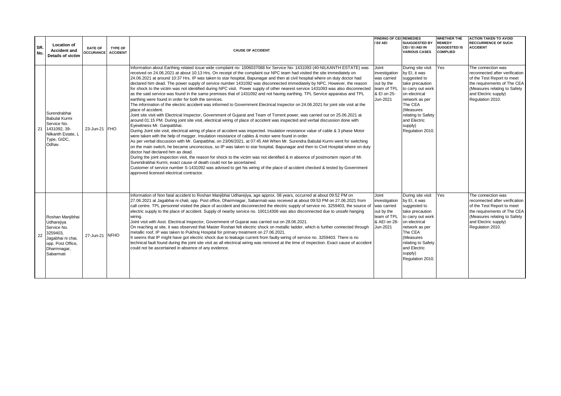| SR.<br>No. | <b>Location of</b><br><b>Accident and</b><br><b>Details of victim</b>                                                           | <b>DATE OF</b><br><b>OCCURANCE</b> | <b>TYPE OF</b><br><b>ACCIDENT</b> | <b>CAUSE OF ACCIDENT</b>                                                                                                                                                                                                                                                                                                                                                                                                                                                                                                                                                                                                                                                                                                                                                                                                                                                                                                                                                                                                                                                                                                                                                                                                                                                                                                                                                                                                                                                                                                                                                                                                                                                                                                                                                                                                                                                                                                                                                                                                                                                                                                                                                                                                                | <b>FINDING OF CEI REMEDIES</b><br>/ EI/ AEI                                                    | <b>SUUGGESTED BY</b><br>CEI / EI /AEI IN<br><b>VARIOUS CASES</b>                                                                                                                                                           | <b>WHETHER THE</b><br><b>REMEDY</b><br><b>SUGGESTED IS</b><br><b>COMPLIED</b> | <b>ACTION TAKEN TO AVOID</b><br><b>RECCURRENCE OF SUCH</b><br><b>ACCIDENT</b>                                                                                                                 |
|------------|---------------------------------------------------------------------------------------------------------------------------------|------------------------------------|-----------------------------------|-----------------------------------------------------------------------------------------------------------------------------------------------------------------------------------------------------------------------------------------------------------------------------------------------------------------------------------------------------------------------------------------------------------------------------------------------------------------------------------------------------------------------------------------------------------------------------------------------------------------------------------------------------------------------------------------------------------------------------------------------------------------------------------------------------------------------------------------------------------------------------------------------------------------------------------------------------------------------------------------------------------------------------------------------------------------------------------------------------------------------------------------------------------------------------------------------------------------------------------------------------------------------------------------------------------------------------------------------------------------------------------------------------------------------------------------------------------------------------------------------------------------------------------------------------------------------------------------------------------------------------------------------------------------------------------------------------------------------------------------------------------------------------------------------------------------------------------------------------------------------------------------------------------------------------------------------------------------------------------------------------------------------------------------------------------------------------------------------------------------------------------------------------------------------------------------------------------------------------------------|------------------------------------------------------------------------------------------------|----------------------------------------------------------------------------------------------------------------------------------------------------------------------------------------------------------------------------|-------------------------------------------------------------------------------|-----------------------------------------------------------------------------------------------------------------------------------------------------------------------------------------------|
| 21         | Surendrabhai<br><b>Babulal Kurmi</b><br>Service No.<br>1431092.39-<br>Nilkanth Estate. L<br>Type, GIDC,<br>Odhav.               | 23-Jun-21 FHO                      |                                   | Information about Earthing related issue wide complaint no: 1006037088 for Service No: 1431093 (40-NILKANTH ESTATE) was<br>received on 24.06.2021 at about 10:13 Hrs. On receipt of the complaint our NPC team had visited the site immediately on<br>24.06.2021 at around 10:37 Hrs. IP was taken to star hospital, Bapunagar and then at civil hospital where on duty doctor had<br>declared him dead. The power supply of service number 1431092 was disconnected immediately by NPC. However, the reason<br>for shock to the victim was not identified during NPC visit. Power supply of other nearest service 1431093 was also disconnected<br>as the said service was found in the same premises that of 1431092 and not having earthing. TPL Service apparatus and TPL<br>earthing were found in order for both the services.<br>The information of the electric accident was informed to Government Electrical Inspector on 24.06.2021 for joint site visit at the<br>place of accident.<br>Joint site visit with Electrical Inspector, Government of Gujarat and Team of Torrent power, was carried out on 25.06.2021 at<br>around 01:15 PM. During joint site visit, electrical wiring of place of accident was inspected and verbal discussion done with<br>Eyewitness Mr. Ganpatbhai.<br>During Joint site visit, electrical wiring of place of accident was inspected. Insulation resistance value of cable & 3 phase Motor<br>were taken with the help of megger. Insulation resistance of cables & motor were found in order.<br>As per verbal discussion with Mr. Ganpatbhai, on 23/06/2021, at 07:45 AM When Mr. Surendra Babulal Kurmi went for switching<br>on the main switch, he became unconscious, so IP was taken to star hospital, Bapunagar and then to Civil Hospital where on duty<br>doctor had declared him as dead.<br>During the joint inspection visit, the reason for shock to the victim was not identified & in absence of postmortem report of Mr.<br>Surendrabhai Kurmi, exact cause of death could not be ascertained.<br>Customer of service number S-1431092 was advised to get his wiring of the place of accident checked & tested by Government<br>approved licensed electrical contractor. | Joint<br>investigation<br>was carried<br>out by the<br>team of TPL<br>& EI on 25-<br>Jun-2021  | During site visit<br>by El. it was<br>suggested to<br>take precaution<br>to carry out work<br>on electrical<br>network as per<br>The CEA<br>(Measures<br>relating to Safety<br>and Electric<br>supply)<br>Regulation 2010. | <b>Yes</b>                                                                    | The connection was<br>reconnected after verification<br>of the Test Report to meet<br>the requirements of The CEA<br>(Measures relating to Safety<br>and Electric supply)<br>Regulation 2010. |
| 22         | Roshan Manjibhai<br>Udharejiya<br>Service No.<br>3259403.<br>Jaqabhai ni chai,<br>opp. Post Office,<br>Dharmnagar,<br>Sabarmati | 27-Jun-21 NFHO                     |                                   | Information of Non fatal accident to Roshan Manjibhai Udharejiya, age approx. 08 years, occurred at about 09:52 PM on<br>27.06.2021 at Jagabhai ni chali, opp. Post office, Dharmnagar, Sabarmati was received at about 09:53 PM on 27.06.2021 from<br>call centre. TPL personnel visited the place of accident and disconnected the electric supply of service no. 3259403, the source of<br>electric supply to the place of accident. Supply of nearby service no. 100114306 was also disconnected due to unsafe hanging<br>wirina.<br>Joint visit with Asst. Electrical Inspector, Government of Gujarat was carried out on 28.06.2021.<br>On reaching at site, it was observed that Master Roshan felt electric shock on metallic ladder, which is further connected through<br>metallic roof, IP was taken to Pukhraj Hospital for primary treatment on 27.06.2021.<br>It seems that IP might have got electric shock due to leakage current from faulty wiring of service no. 3259403. There is no<br>technical fault found during the joint site visit as all electrical wiring was removed at the time of inspection. Exact cause of accident<br>could not be ascertained in absence of any evidence.                                                                                                                                                                                                                                                                                                                                                                                                                                                                                                                                                                                                                                                                                                                                                                                                                                                                                                                                                                                                                           | Joint<br>investigation<br>was carried<br>out by the<br>team of TPL<br>& AEI on 28-<br>Jun-2021 | During site visit<br>by EI, it was<br>suggested to<br>take precaution<br>to carry out work<br>on electrical<br>network as per<br>The CEA<br>(Measures<br>relating to Safety<br>and Electric<br>supply)<br>Regulation 2010. | Yes                                                                           | The connection was<br>reconnected after verification<br>of the Test Report to meet<br>the requirements of The CEA<br>(Measures relating to Safety<br>and Electric supply)<br>Regulation 2010. |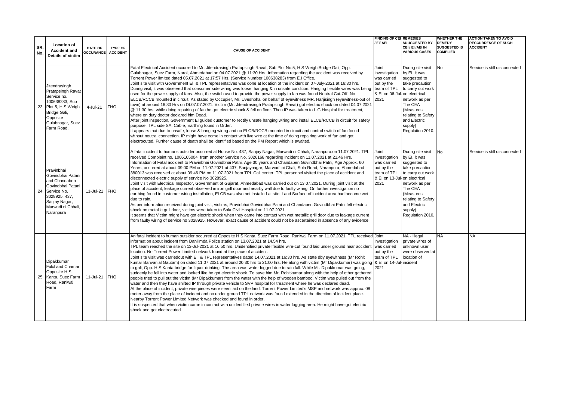| SR.<br>No. | <b>Location of</b><br><b>Accident and</b><br><b>Details of victim</b>                                                                                    | <b>DATE OF</b><br>OCCURANCE ACCIDENT | <b>TYPE OF</b> | <b>CAUSE OF ACCIDENT</b>                                                                                                                                                                                                                                                                                                                                                                                                                                                                                                                                                                                                                                                                                                                                                                                                                                                                                                                                                                                                                                                                                                                                                                                                                                                                                                                                                                                                                                                                                                                                                                                                                                                                                                                                                                                         | <b>FINDING OF CEI REMEDIES</b><br>/ EI/ AEI                                                                | <b>SUUGGESTED BY</b><br>CEI / EI /AEI IN<br><b>VARIOUS CASES</b>                                                                                                                                          | <b>WHETHER THE</b><br><b>REMEDY</b><br><b>SUGGESTED IS</b><br><b>COMPLIED</b> | <b>ACTION TAKEN TO AVOID</b><br><b>RECCURRENCE OF SUCH</b><br><b>ACCIDENT</b> |
|------------|----------------------------------------------------------------------------------------------------------------------------------------------------------|--------------------------------------|----------------|------------------------------------------------------------------------------------------------------------------------------------------------------------------------------------------------------------------------------------------------------------------------------------------------------------------------------------------------------------------------------------------------------------------------------------------------------------------------------------------------------------------------------------------------------------------------------------------------------------------------------------------------------------------------------------------------------------------------------------------------------------------------------------------------------------------------------------------------------------------------------------------------------------------------------------------------------------------------------------------------------------------------------------------------------------------------------------------------------------------------------------------------------------------------------------------------------------------------------------------------------------------------------------------------------------------------------------------------------------------------------------------------------------------------------------------------------------------------------------------------------------------------------------------------------------------------------------------------------------------------------------------------------------------------------------------------------------------------------------------------------------------------------------------------------------------|------------------------------------------------------------------------------------------------------------|-----------------------------------------------------------------------------------------------------------------------------------------------------------------------------------------------------------|-------------------------------------------------------------------------------|-------------------------------------------------------------------------------|
| 23         | Jitendrasingh<br>Pratapsingh Ravat<br>Service no.<br>100638283, Sub<br>Plot 5, H S Weigh<br>Bridge Gali,<br>Opposite<br>Gulabnagar, Suez<br>Farm Road.   | 4-Jul-21                             | <b>FHO</b>     | Fatal Electrical Accident occurred to Mr. Jitendrasingh Pratapsingh Ravat, Sub Plot No.5, H S Weigh Bridge Gali, Opp.<br>Gulabnagar, Suez Farm, Narol, Ahmedabad on 04.07.2021 @ 11:30 Hrs. Information regarding the accident was received by<br>Torrent Power limited dated 05.07.2021 at 17:57 Hrs. (Service Number 100638283) from E.I Cffice,<br>Joint site visit with Government EI & TPL representatives was done at location of the incident on 07-July-2021 at 16:30 hrs.<br>During visit, it was observed that consumer side wiring was loose, hanging & in unsafe condition. Hanging flexible wires was being team of TPL<br>used for the power supply of fans. Also, the switch used to provide the power supply to fan was found Neutral Cut-Off. No<br>ELCB/RCCB mounted in circuit. As stated by Occupier, Mr. Uveshbhai on behalf of eyewitness MR. Harjisingh (eyewitness-out of<br>town) at around 16:30 Hrs on Dt.07.07.2021. Victim (Mr. Jitendrasingh Pratapsingh Ravat) got electric shock on dated 04 07.2021<br>@ 11:30 hrs. while doing repairing of fan he got electric shock & fell on floor. Then IP was taken to L.G Hospital for treatment,<br>where on duty doctor declared him Dead.<br>After joint inspection, Government El quided customer to rectify unsafe hanging wiring and install ELCB/RCCB in circuit for safety<br>purpose. TPL side SA, Cable, Earthing found in Order.<br>It appears that due to unsafe, loose & hanging wiring and no ELCB/RCCB mounted in circuit and control switch of fan found<br>without neutral connection. IP might have come in contact with live wire at the time of doing repairing work of fan and got<br>electrocuted. Further cause of death shall be identified based on the PM Report which is awaited.                             | Joint<br>investigation<br>was carried<br>out by the<br>& EI on 06-Jul-on electrical<br>2021                | During site visit<br>by EI, it was<br>suggested to<br>take precaution<br>to carry out work<br>network as per<br>The CEA<br>(Measures<br>relating to Safety<br>and Electric<br>supply)<br>Regulation 2010. | <b>No</b>                                                                     | Service is still disconnected                                                 |
| 24         | Pravinbhai<br>Govindbhai Patani<br>and Chandaben<br>Govindbhai Patani<br>Service No.<br>3028925.437.<br>Sanjay Nagar,<br>Marwadi ni Chhali.<br>Naranpura | 11-Jul-21 FHO                        |                | A fatal incident to humans outsider occurred at House No. 437, Sanjay Nagar, Marwadi ni Chhali, Naranpura.on 11.07.2021. TPL<br>received Complaint no. 1006105004 from another Service No. 3026168 regarding incident on 11.07.2021 at 21.46 Hrs.<br>Information of Fatal accident to Pravinbhai Govindbhai Patni, Age 30 years and Chandaben Govindbhai Patni, Age Approx. 60<br>Years, occurred at about 09:00 PM on 11.07.2021 at 437, Sanjaynagar, Marwadi ni Chali, Sola Road, Naranpura, Ahmedabad<br>380013 was received at about 09:46 PM on 11.07.2021 from TPL Call center. TPL personnel visited the place of accident and<br>disconnected electric supply of service No 3028925.<br>Joint visit with Electrical Inspector, Government of Gujarat, Ahmedabad was carried out on 13.07.2021. During joint visit at the<br>place of accident, leakage current observed in iron grill door and nearby wall due to faulty wiring. On further investigation no<br>earthing found in customer wiring installation, ELCB was also not installed at site. Land Surface of incident area had become wet<br>due to rain.<br>As per information received during joint visit, victims, Pravinbhai Govindbhai Patni and Chandaben Govindbhai Patni felt electric<br>shock on metallic grill door, victims were taken to Sola Civil Hospital on 11.07.2021.<br>It seems that Victim might have got electric shock when they came into contact with wet metallic grill door due to leakage current<br>from faulty wiring of service no 3028925. However, exact cause of accident could not be ascertained in absence of any evidence.                                                                                                                                                                                | Joint<br>investigation<br>was carried<br>out by the<br>team of TPL<br>& EI on 13-Jul-on electrical<br>2021 | During site visit<br>by EI, it was<br>suggested to<br>take precaution<br>to carry out work<br>network as per<br>The CEA<br>(Measures<br>relating to Safety<br>and Electric<br>supply)<br>Regulation 2010  | <b>No</b>                                                                     | Service is still disconnected                                                 |
| 25         | Dipakkumar<br><b>Fulchand Chamar</b><br>Opposite H S<br>Kanta, Suez Farm<br>Road, Raniwal<br>Farm                                                        | 11-Jul-21 FHO                        |                | An fatal incident to human outsider occurred at Opposite H S Kanta, Suez Farm Road, Raniwal Farm on 11.07.2021. TPL received Joint<br>information about incident from Danilimda Police station on 13.07.2021 at 14.54 hrs.<br>TPL team reached the site on 13-Jul-2021 at 16:50 hrs. Unidentified private lfexible wire-cut found laid under ground near accident was carried<br>location. No Torrent Power Limited network found at the place of accident.<br>Joint site visit was carriedout with EI & TPL representatives dated 14.07.2021 at 16;30 hrs. As state dby eyewitness (Mr Rohit<br>kumar Banvarilal Gautam) on dated 11.07.2021 at around 20:30 hrs to 21:00 hrs. He along with victim (Mr Dipakkumar) was going [& EI on 14-Jul-incident<br>to gali, Opp. H S Kanta bridge for liquor drinking. The area was water logged due to rain fall. While Mr. Dipakkumar was going,<br>suddenly he fell into water and looked like he got electric shock. To save him Mr. Rohitkumar along with the help of other gathered<br>people tried to pull out the victim (Mr Dipakkumar) from the water with the help of wooden bamboo. Victim was pulled out from the<br>water and then they have shifted IP through private vehicle to SVP hospital for treatment where he was declared dead.<br>At the place of incident, private wire pieces were seen laid on the land. Torrent Power Limited's MSP and network was approx. 08<br>meter away from the place of incident and no under ground TPL network was found extended in the direction of incident place.<br>Nearby Torrent Power Limited Network was checked and found in order.<br>It is suspected that when victim came in contact with unidentified private wires in water logging area. He might have got electric<br>shock and got electrocuted. | investigation<br>out by the<br>team of TPL<br>2021                                                         | NA - illegal<br>private wires of<br>unknown user<br>were observed at<br>location of                                                                                                                       | <b>NA</b>                                                                     | <b>NA</b>                                                                     |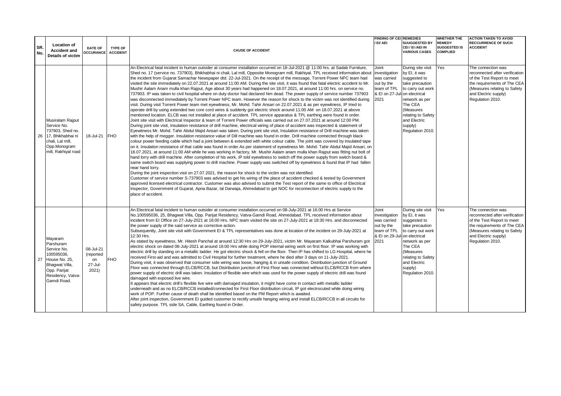| SR.<br>No. | <b>Location of</b><br><b>Accident and</b><br>Details of victim                                                                              | DATE OF<br><b>OCCURANCE</b>                      | <b>TYPE OF</b><br><b>ACCIDENT</b> | <b>CAUSE OF ACCIDENT</b>                                                                                                                                                                                                                                                                                                                                                                                                                                                                                                                                                                                                                                                                                                                                                                                                                                                                                                                                                                                                                                                                                                                                                                                                                                                                                                                                                                                                                                                                                                                                                                                                                                                                                                                                                                                                                                                                                                                                                                                                                                                                                                                                                                                                                                                                                                                                                                                                                                                                                                                                                                                                                                                                                                                                                                                                                                                                                                                                                                                                                                                                                                      | <b>FINDING OF CEI REMEDIES</b><br>/ EI/ AEI                                                                | <b>SUUGGESTED BY</b><br>CEI / EI /AEI IN<br><b>VARIOUS CASES</b>                                                                                                                                          | WHETHER THE<br><b>REMEDY</b><br><b>SUGGESTED IS</b><br><b>COMPLIED</b> | <b>ACTION TAKEN TO AVOID</b><br><b>RECCURRENCE OF SUCH</b><br><b>ACCIDENT</b>                                                                                                                 |
|------------|---------------------------------------------------------------------------------------------------------------------------------------------|--------------------------------------------------|-----------------------------------|-------------------------------------------------------------------------------------------------------------------------------------------------------------------------------------------------------------------------------------------------------------------------------------------------------------------------------------------------------------------------------------------------------------------------------------------------------------------------------------------------------------------------------------------------------------------------------------------------------------------------------------------------------------------------------------------------------------------------------------------------------------------------------------------------------------------------------------------------------------------------------------------------------------------------------------------------------------------------------------------------------------------------------------------------------------------------------------------------------------------------------------------------------------------------------------------------------------------------------------------------------------------------------------------------------------------------------------------------------------------------------------------------------------------------------------------------------------------------------------------------------------------------------------------------------------------------------------------------------------------------------------------------------------------------------------------------------------------------------------------------------------------------------------------------------------------------------------------------------------------------------------------------------------------------------------------------------------------------------------------------------------------------------------------------------------------------------------------------------------------------------------------------------------------------------------------------------------------------------------------------------------------------------------------------------------------------------------------------------------------------------------------------------------------------------------------------------------------------------------------------------------------------------------------------------------------------------------------------------------------------------------------------------------------------------------------------------------------------------------------------------------------------------------------------------------------------------------------------------------------------------------------------------------------------------------------------------------------------------------------------------------------------------------------------------------------------------------------------------------------------------|------------------------------------------------------------------------------------------------------------|-----------------------------------------------------------------------------------------------------------------------------------------------------------------------------------------------------------|------------------------------------------------------------------------|-----------------------------------------------------------------------------------------------------------------------------------------------------------------------------------------------|
|            | Musiralam Rajput<br>Service No.<br>737903. Shed no.<br>26 17, Bhikhabhai ni<br>chali. Lal mill.<br>Opp.Monogram<br>mill, Rakhiyal road      | 18-Jul-21                                        | <b>FHO</b>                        | An Electrical fatal incident to human outsider at consumer installation occurred on 18-Jul-2021 @ 11:00 hrs. at Sadab Furniture.<br>Shed no. 17 (service no. 737903), Bhikhabhai ni chali, Lal mill, Opposite Monogram mill, Rakhiyal. TPL received information about<br>the incident from Gujarat Samachar Newspaper dtd. 22-Jul-2021. On the receipt of the message, Torrent Power NPC team had<br>visited the site immediately on 22.07.2021 at around 11:00 AM. During the site visit, it was found that fatal electric accident to Mr.<br>Mushir Aalam Anam mulla khan Rajput, Age about 30 years had happened on 18.07.2021, at around 11:00 hrs. on service no.<br>737903. IP was taken to civil hospital where on duty doctor had declared him dead. The power supply of service number 737903<br>was disconnected immediately by Torrent Power NPC team. However the reason for shock to the victim was not identified during<br>visit. During visit Torrent Power team met eyewitness, Mr. Mohd. Tahir Ansari on 22.07.2021 & as per eyewitness, IP tried to<br>operate drill by using extended two core cord wires & suddenly got electric shock around 11:00 AM on 18.07.2021 at above<br>mentioned location. ELCB was not installed at place of accident. TPL service apparatus & TPL earthing were found in order.<br>Joint site visit with Electrical Inspector & team of Torrent Power officials was carried out on 27.07.2021 at around 12:00 PM.<br>During joint site visit, Insulation resistance of drill machine, electrical wiring of place of accident was inspected & statement of<br>Eyewitness Mr. Mohd. Tahir Abdul Majid Ansari was taken. During joint site visit, Insulation resistance of Drill machine was taken<br>with the help of megger. Insulation resistance value of Dill machine was found in order. Drill machine connected through black<br>colour power feeding cable which had a joint between & extended with white colour cable. The joint was covered by insulated tape<br>on it. Insulation resistance of that cable was found in order. As per statement of eyewitness Mr. Mohd. Tahir Abdul Majid Ansari, on<br>18.07.2021, at around 11:00 AM while he was working in factory, Mr. Mushir Aalam anam mulla khan Rajput was fitting nut bolt of<br>hand lorry with drill machine. After completion of his work, IP told eyewitness to switch off the power supply from switch board &<br>same switch board was supplying power to drill machine. Power supply was switched off by eyewitness & found that IP had fallen<br>near hand lorry.<br>During the joint inspection visit on 27.07.2021, the reason for shock to the victim was not identified.<br>Customer of service number S-737903 was advised to get his wiring of the place of accident checked & tested by Government<br>approved licensed electrical contractor. Customer was also advised to submit the Test report of the same to office of Electrical<br>Inspector, Government of Gujarat, Apna Bazar, Ial Darwaja, Ahmedabad to get NOC for reconnection of electric supply to the<br>place of accident. | Joint<br>investigation<br>was carried<br>out by the<br>team of TPL<br>& EI on 27-Jul-on electrical<br>2021 | During site visit<br>by EI, it was<br>suggested to<br>take precaution<br>to carry out work<br>network as per<br>The CEA<br>(Measures<br>relating to Safety<br>and Electric<br>supply)<br>Regulation 2010. | Yes                                                                    | The connection was<br>reconnected after verification<br>of the Test Report to meet<br>the requirements of The CEA<br>(Measures relating to Safety<br>and Electric supply)<br>Regulation 2010. |
|            | Mayaram<br>Parshuram<br>Service No.<br>100595036,<br>27 House No. 25,<br>Bhaqwat Villa,<br>Opp. Parijat<br>Residency, Vatva-<br>Gamdi Road. | 08-Jul-21<br>(reported<br>on<br>27-Jul-<br>2021) | <b>FHO</b>                        | An Electrical fatal incident to human outsider at consumer installation occurred on 08-July-2021 at 16:00 Hrs at Service<br>No.100595036, 25, Bhaqwat Villa, Opp. Parijat Residency, Vatva-Gamdi Road, Ahmedabad. TPL received information about<br>incident from EI Office on 27-July-2021 at 16:00 Hrs. NPC team visited the site on 27-July-2021 at 18:30 Hrs. and disconnected<br>the power supply of the said service as corrective action.<br>Subsequently, Joint site visit with Government EI & TPL representatives was done at location of the incident on 29-July-2021 at<br>12:30 Hrs.<br>As stated by eyewitness, Mr. Hitesh Panchal at around 12:30 Hrs on 29-July-2021, victim Mr. Mayaram Kalkubhai Parshuram got<br>electric shock on dated 08-July-2021 at around 16:00 Hrs while doing POP internal wiring work on first floor. IP was working with<br>electric drill by standing on a metallic ladder. He got electric shock & fell on the floor. Then IP has shifted to LG Hospital, where he<br>received First-aid and was admitted to Civil Hospital for further treatment, where he died after 3 days on 11-July-2021.<br>During visit, it was observed that consumer side wiring was loose, hanging & in unsafe condition. Distribution junction of Ground<br>Floor was connected through ELCB/RCCB, but Distribution junction of First Floor was connected without ELCB/RCCB from where<br>power supply of electric drill was taken. Insulation of flexible wire which was used for the power supply of electric drill was found<br>damaged with exposed live wire.<br>It appears that electric drill's flexible live wire with damaged insulation, it might have come in contact with metallic ladder<br>underneath and as no ELCB/RCCB installed/connected for First Floor distribution circuit, IP got electrocuted while doing wiring<br>work of POP. Further cause of death shall be identified based on the PM Report which is awaited.<br>After joint inspection, Government EI quided customer to rectify unsafe hanging wiring and install ELCB/RCCB in all circuits for<br>safety purpose. TPL side SA, Cable, Earthing found in Order.                                                                                                                                                                                                                                                                                                                                                                                                                                                                                                                                                                                                                                                                                                                                                                                                                                                                                                                                                    | Joint<br>investigation<br>was carried<br>out by the<br>team of TPL<br>& EI on 29-Jul-on electrical<br>2021 | During site visit<br>by EI, it was<br>suggested to<br>take precaution<br>to carry out work<br>network as per<br>The CEA<br>(Measures<br>relating to Safety<br>and Electric<br>supply)<br>Regulation 2010. | Yes                                                                    | The connection was<br>reconnected after verification<br>of the Test Report to meet<br>the requirements of The CEA<br>(Measures relating to Safety<br>and Electric supply)<br>Regulation 2010. |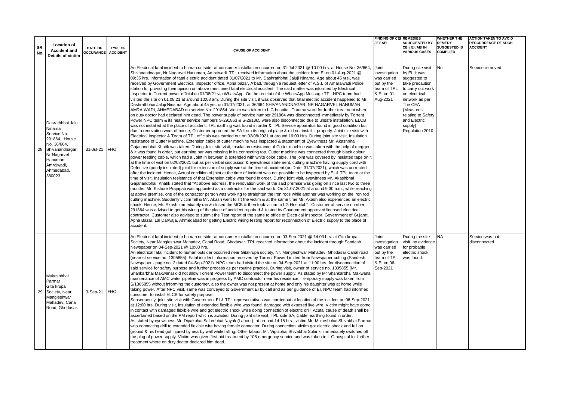| SR.<br>No. | <b>Location of</b><br><b>Accident and</b><br><b>Details of victim</b>                                                                                                   | DATE OF<br><b>OCCURANCE</b> | <b>TYPE OF</b><br><b>ACCIDENT</b> | <b>CAUSE OF ACCIDENT</b>                                                                                                                                                                                                                                                                                                                                                                                                                                                                                                                                                                                                                                                                                                                                                                                                                                                                                                                                                                                                                                                                                                                                                                                                                                                                                                                                                                                                                                                                                                                                                                                                                                                                                                                                                                                                                                                                                                                                                                                                                                                                                                                                                                                                                                                                                                                                                                                                                                                                                                                                                                                                                                                                                                                                                                                                                                                                                                                                                                                                                                                                                                                                                                                                                                                                                                                                                                                                                                                                                                                                                                                                                                                                                                                                                                                                                                                                                                                                                                                                                 | <b>FINDING OF CEI REMEDIES</b><br>/ EI/ AEI                                                   | SUUGGESTED BY<br>CEI/EI/AEI IN<br><b>VARIOUS CASES</b>                                                                                                                                                                    | WHETHER THE<br><b>REMEDY</b><br><b>SUGGESTED IS</b><br><b>COMPLIED</b> | <b>ACTION TAKEN TO AVOID</b><br><b>RECCURRENCE OF SUCH</b><br><b>ACCIDENT</b> |
|------------|-------------------------------------------------------------------------------------------------------------------------------------------------------------------------|-----------------------------|-----------------------------------|------------------------------------------------------------------------------------------------------------------------------------------------------------------------------------------------------------------------------------------------------------------------------------------------------------------------------------------------------------------------------------------------------------------------------------------------------------------------------------------------------------------------------------------------------------------------------------------------------------------------------------------------------------------------------------------------------------------------------------------------------------------------------------------------------------------------------------------------------------------------------------------------------------------------------------------------------------------------------------------------------------------------------------------------------------------------------------------------------------------------------------------------------------------------------------------------------------------------------------------------------------------------------------------------------------------------------------------------------------------------------------------------------------------------------------------------------------------------------------------------------------------------------------------------------------------------------------------------------------------------------------------------------------------------------------------------------------------------------------------------------------------------------------------------------------------------------------------------------------------------------------------------------------------------------------------------------------------------------------------------------------------------------------------------------------------------------------------------------------------------------------------------------------------------------------------------------------------------------------------------------------------------------------------------------------------------------------------------------------------------------------------------------------------------------------------------------------------------------------------------------------------------------------------------------------------------------------------------------------------------------------------------------------------------------------------------------------------------------------------------------------------------------------------------------------------------------------------------------------------------------------------------------------------------------------------------------------------------------------------------------------------------------------------------------------------------------------------------------------------------------------------------------------------------------------------------------------------------------------------------------------------------------------------------------------------------------------------------------------------------------------------------------------------------------------------------------------------------------------------------------------------------------------------------------------------------------------------------------------------------------------------------------------------------------------------------------------------------------------------------------------------------------------------------------------------------------------------------------------------------------------------------------------------------------------------------------------------------------------------------------------------------------------------|-----------------------------------------------------------------------------------------------|---------------------------------------------------------------------------------------------------------------------------------------------------------------------------------------------------------------------------|------------------------------------------------------------------------|-------------------------------------------------------------------------------|
| 28         | Dasrathbhai Jaluji<br><b>Ninama</b><br>Service No.<br>291864, House<br>No. 36/664,<br>Shivanandnagar,<br>Nr Nagarvel<br>Hanuman,<br>Amraiwadi,<br>Ahmedabad,<br>380023. | 31-Jul-21                   | <b>FHO</b>                        | An Electrical fatal incident to human outsider at consumer installation occurred on 31-Jul-2021 @ 10:00 hrs. at House No. 36/664,<br>Shivanandnagar, Nr Nagarvel Hanuman, Amraiwadi. TPL received information about the incident from El on 01-Aug-2021 @<br>09:35 hrs. Information of fatal electric accident dated 31/07/2021 to Mr. Dashrathbhai Jaluji Ninama, Age about 45 yrs., was<br>received by Government Electrical Inspector office, Apna bazar, A'bad, through a request letter of A.S.I. of Amaraiwadi Police<br>station for providing their opinion on above mentioned fatal electrical accident. The said matter was informed by Electrical<br>Inspector to Torrent power official on 01/08/21 via WhatsApp. On the receipt of the WhatsApp Message TPL NPC team had<br>visited the site on 01.08.21 at around 10:08 am. During the site visit, it was observed that fatal electric accident happened to Mr.<br>Dashrathbhai Jaluji Ninama, Age about 45 yrs. on 31/07/2021, at 36/664 SHIVANANDNAGAR, NR NAGARVEL HANUMAN<br>AMRAIWADI, AHMEDABAD on service No: 291864. Victim was taken to L G hospital, Trauma ward for further treatment where<br>on duty doctor had declared him dead. The power supply of service number 291864 was disconnected immediately by Torrent<br>Power NPC team & its nearer service numbers S-291863 & S-291865 were also disconnected due to unsafe installation. ELCB<br>was not installed at the place of accident. TPL earthing was found in order & TPL Service apparatus found in good condition but<br>due to renovation work of house, Customer uprooted the SA from its original place & did not install it properly. Joint site visit with<br>Electrical Inspector & Team of TPL officials was carried out on 02/08/2021 at around 16:00 Hrs. During joint site visit, Insulation<br>resistance of Cutter Machine, Extension cable of cutter machine was inspected & statement of Eyewitness Mr. Akashbhai<br>Gajanandbhai Khatik was taken. During Joint site visit, Insulation resistance of Cutter machine was taken with the help of megger<br>& it was found in order, but earthing bar was missing in its connecting top. Cutter machine was connected through black colour<br>power feeding cable, which had a Joint in between & extended with white color cable. The joint was covered by insulated tape on it<br>at the time of visit on 02/08/2021 but as per verbal discussion & eyewitness statement, cutting machine having supply cord with<br>Defective (poorly insulated) joint for extension of supply wire at the time of accident (on Date: 31/07/2021), which was corrected<br>after the incident. Hence, Actual condition of joint at the time of incident was not possible to be inspected by EI & TPL team at the<br>time of visit. Insulation resistance of that Extension cable was found in order. During joint visit, eyewitness Mr. Akashbhai<br>Gajanandbhai Khatik stated that "At above address, the renovation work of the said premise was going on since last two to three<br>months. Mr. Kishore Prajapati was appointed as a contractor for the said work. On 31.07.2021 at around 9:30 a.m., while reaching<br>at above premise, one of the contractor person was working to straighten the iron rods while another was working on the iron rod<br>cutting machine. Suddenly victim fell & Mr. Akash went to lift the victim & at the same time Mr. Akash also experienced an electric<br>shock. Hence, Mr. Akash immediately ran & closed the MCB & then took victim to LG Hospital." Customer of service number<br>291864 was advised to get his wiring of the place of accident repaired & tested by Government approved licensed electrical<br>contractor. Customer also advised to submit the Test report of the same to office of Electrical Inspector, Government of Gujarat,<br>Apna Bazar, Lal Darwaja, Ahmedabad for getting Electric wiring testing report for reconnection of Electric supply to the place of<br>accident. | Joint<br>investigation<br>was carried<br>out by the<br>team of TPL<br>& EI on 01-<br>Aug-2021 | During site visit<br>by EI, it was<br>suggested to<br>take precaution<br>to carry out work<br>on electrical<br>network as per<br>The CEA<br>(Measures<br>relating to Safety<br>and Electric<br>supply)<br>Regulation 2010 | No                                                                     | Service removed                                                               |
| 29         | Mukeshbhai<br>Parmar<br>Gita krupa<br>Society, Near<br>Mangleshwar<br>Mahadev, Canal<br>Road, Ghodasar.                                                                 | 3-Sep-21                    | <b>FHO</b>                        | An Electrical fatal incident to human outsider at consumer installation occurred on 03-Sep-2021 @ 14:00 hrs. at Gita krupa<br>Society, Near Mangleshwar Mahadev, Canal Road, Ghodasar. TPL received information about the incident through Sandesh<br>Newspaper on 04-Sep-2021 @ 10:00 hrs.<br>An electrical fatal incident to human outsider occurred near Gitakrupa society, Nr. Mangleshwar Mahadev, Ghodasar Canal road<br>(nearest service no. 1305855). Fatal incident information received by Torrent Power Limited from Newspaper cutting (Sandesh<br>Newspaper - page no. 2 dated 04-Sep-2021). NPC team had visited the site on 04-Sep-2021 at 11:00 hrs. for disconnection of<br>said service for safety purpose and further process as per routine practice. During visit, owner of service no. 1305855 (Mr.<br>Shankarbhai Makwana) did not allow Torrent Power team to disconnect the power supply. As stated by Mr Shankarbhai Makwana<br>maintenance of AMC water pipeline was in progress by AMC contractor near his residence. Temporary supply was taken from<br>S/1305855 without informing the customer, also the owner was not present at home and only his daughter was at home while<br>taking power. After NPC visit, same was conveyed to Government EI by call and as per quidance of EI, NPC team had informed<br>consumer to install ELCB for safety purpose.<br>Subsequently, joint site visit with Government EI & TPL representatives was carriedout at location of the incident on 06-Sep-2021<br>at 12:00 hrs. During visit, insulation of extended flexible wire was found damaged with exposed live wire. Victim might have come<br>in contact with damaged flexible wire and got electric shock while doing connection of electric drill. Acutal cause of death shall be<br>ascertained based on the PM report which is awaited. During joint site visit, TPL side SA, Cable, earthing found in order.<br>As stated by eyewitness Mr. Dipakbhai Salambhai Nayak (Labour), at around 14:15 hrs., victim Mr. Mukeshbhai Shivabhai Parmar<br>was connecting drill to extended flexible wire having female connector. During connection, victim got electric shock and fell on<br>ground & his head got injured by nearby wall while falling. Other labour, Mr. Vipulbhai Shivabhai Solanki immediately switched off<br>the plug of power supply. Victim was given first aid treatment by 108 emergency service and was taken to L G hospital for further<br>treatment where on duty doctor declared him dead.                                                                                                                                                                                                                                                                                                                                                                                                                                                                                                                                                                                                                                                                                                                                                                                                                                                                                                                                                                                                                                                                                                                                                                                                                                                                                                                                                                                                                                                                                          | Joint<br>investigation<br>was carried<br>out by the<br>team of TPL<br>& EI on 06-<br>Sep-2021 | During the site<br>visit, no evidence<br>for probable<br>electric shock<br>was found.                                                                                                                                     | <b>NA</b>                                                              | Service was not<br>disconnected                                               |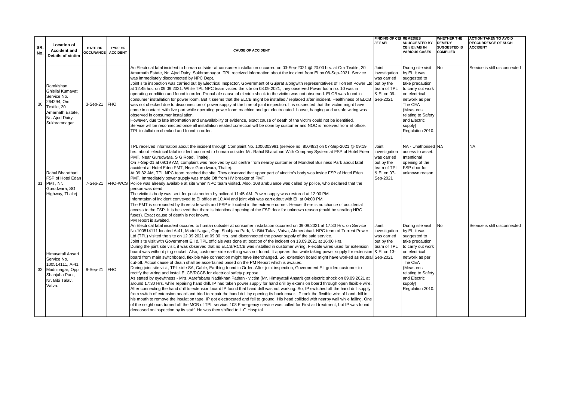|            |                                                                                                                                         |                                    |                                   |                                                                                                                                                                                                                                                                                                                                                                                                                                                                                                                                                                                                                                                                                                                                                                                                                                                                                                                                                                                                                                                                                                                                                                                                                                                                                                                                                                                                                                                                                                                                                                                                                                                                                                                                                                                                                                                                                                                                                                                                                                                                                                                                                                                  | <b>FINDING OF CEI REMEDIES</b>                                                                |                                                                                                                                                                                                                           | <b>WHETHER THE</b>                                      | <b>ACTION TAKEN TO AVOID</b>                  |
|------------|-----------------------------------------------------------------------------------------------------------------------------------------|------------------------------------|-----------------------------------|----------------------------------------------------------------------------------------------------------------------------------------------------------------------------------------------------------------------------------------------------------------------------------------------------------------------------------------------------------------------------------------------------------------------------------------------------------------------------------------------------------------------------------------------------------------------------------------------------------------------------------------------------------------------------------------------------------------------------------------------------------------------------------------------------------------------------------------------------------------------------------------------------------------------------------------------------------------------------------------------------------------------------------------------------------------------------------------------------------------------------------------------------------------------------------------------------------------------------------------------------------------------------------------------------------------------------------------------------------------------------------------------------------------------------------------------------------------------------------------------------------------------------------------------------------------------------------------------------------------------------------------------------------------------------------------------------------------------------------------------------------------------------------------------------------------------------------------------------------------------------------------------------------------------------------------------------------------------------------------------------------------------------------------------------------------------------------------------------------------------------------------------------------------------------------|-----------------------------------------------------------------------------------------------|---------------------------------------------------------------------------------------------------------------------------------------------------------------------------------------------------------------------------|---------------------------------------------------------|-----------------------------------------------|
| SR.<br>No. | <b>Location of</b><br><b>Accident and</b><br><b>Details of victim</b>                                                                   | <b>DATE OF</b><br><b>OCCURANCE</b> | <b>TYPE OF</b><br><b>ACCIDENT</b> | <b>CAUSE OF ACCIDENT</b>                                                                                                                                                                                                                                                                                                                                                                                                                                                                                                                                                                                                                                                                                                                                                                                                                                                                                                                                                                                                                                                                                                                                                                                                                                                                                                                                                                                                                                                                                                                                                                                                                                                                                                                                                                                                                                                                                                                                                                                                                                                                                                                                                         | / EI/ AEI                                                                                     | <b>SUUGGESTED BY</b><br>CEI / EI /AEI IN<br><b>VARIOUS CASES</b>                                                                                                                                                          | <b>REMEDY</b><br><b>SUGGESTED IS</b><br><b>COMPLIED</b> | <b>RECCURRENCE OF SUCH</b><br><b>ACCIDENT</b> |
| 30         | Ramkishan<br><b>Ghisilal Kumavat</b><br>Service No.<br>264294, Om<br>Textile, 20<br>Amarnath Estate.<br>Nr. Ajod Dairy,<br>Sukhramnagar | $3-Sep-21$                         | <b>FHO</b>                        | An Electrical fatal incident to human outsider at consumer installation occurred on 03-Sep-2021 @ 20:00 hrs. at Om Textile, 20<br>Amarnath Estate, Nr. Ajod Dairy, Sukhramnagar. TPL received information about the incident from El on 08-Sep-2021. Service<br>was immediately disconnected by NPC Dept.<br>Joint site inspection was carried out by Electrical Inspector, Government of Gujarat alongwith representatives of Torrent Power Ltd out by the<br>at 12:45 hrs. on 09.09.2021. While TPL NPC team visited the site on 08.09.2021, they observed Power loom no. 10 was in<br>operating condition and found in order. Probabale cause of electric shock to the victim was not observed. ELCB was found in<br>consumer installation for power loom. But it seems that the ELCB might be installed / replaced after incident. Healthiness of ELCB Sep-2021<br>was not checked due to disconnection of power supply at the time of joint inspection. It is suspected that the victim might have<br>come in contact with live part while operating power loom machine and got electrocuted. Loose, hanging and unsafe wiring was<br>observed in consumer installation.<br>However, due to late information and unavailability of evidence, exact cause of death of the victim could not be identified.<br>Service will be reconnected once all installation related correction will be done by customer and NOC is received from El office.<br>TPL installation checked and found in order.                                                                                                                                                                                                                                                                                                                                                                                                                                                                                                                                                                                                                                                                               | Joint<br>investigation<br>was carried<br>team of TPL<br>& EI on 09-                           | During site visit<br>by El. it was<br>suggested to<br>take precaution<br>to carry out work<br>on electrical<br>network as per<br>The CEA<br>(Measures<br>relating to Safety<br>and Electric<br>supply)<br>Regulation 2010 | No                                                      | Service is still disconnected                 |
| 31         | Rahul Bharathari<br>FSP of Hotel Edan<br>PMT. Nr.<br>Gurudwara, SG<br>Highway, Thaltei                                                  | 7-Sep-21                           | <b>FHO-WCS</b>                    | TPL received information about the incident through Complaint No. 1006303991 (service no. 850482) on 07-Sep-2021 @ 09:19<br>hrs. about electrical fatal incident occurred to human outsider Mr. Rahul Bharathari With Company System at FSP of Hotel Eden<br>PMT, Near Gurudwara, S G Road, Thaltej.<br>On 7-Sep-21 at 09:19 AM, complaint was received by call centre from nearby customer of Mondeal Business Park about fatal<br>accident at Hotel Eden PMT, Near Gurudwara, Thaltej.<br>At 09:32 AM, TPL NPC team reached the site. They observed that upper part of vinctim's body was inside FSP of Hotel Eden<br>PMT. Immediately power supply was made Off from HV breaker of PMT.<br>Police was already available at site when NPC team visited. Also, 108 ambulance was called by police, who declared that the<br>person was dead.<br>The victim's body was sent for post-mortem by policeat 11:45 AM. Power supply was restored at 12:00 PM.<br>Informtaion of incident conveyed to EI office at 10:AM and joint visit was carriedout with EI at 04:00 PM.<br>The PMT is surrounded by three side walls and FSP is located in the extreme corner. Hence, there is no chance of accidental<br>access to the FSP. It is believed that there is intentional opening of the FSP door for unknown reason (could be stealing HRC<br>fuses). Exact cause of death is not known.<br>PM report is awaited.                                                                                                                                                                                                                                                                                                                                                                                                                                                                                                                                                                                                                                                                                                                                                                    | Joint<br>investigation<br>was carried<br>out by the<br>team of TPL<br>& EI on 07-<br>Sep-2021 | NA - Unathorised NA<br>access to asset.<br>Intentional<br>opening of the<br>FSP door for<br>unknown reason                                                                                                                |                                                         | <b>NA</b>                                     |
| 32         | Himayatali Ansari<br>Service No.<br>100514111. A-41.<br>Madninagar, Opp.<br>Shahjaha Park,<br>Nr. Bibi Talav.<br>Vatva.                 | 9-Sep-21 FHO                       |                                   | An Electrical fatal incident occured to human outsider at consumer installation occurred on 09.09.2021 at 17:30 Hrs. on Service<br>No.100514111 located A-41, Madni Nagar, Opp. Shahjaha Park, Nr Bibi Talav, Vatva, Ahmedabad. NPC team of Torrent Power<br>Ltd (TPL) visited the site on 12.09.2021 at 09:30 Hrs. and disconnected the power supply of the said service.<br>Joint site visit with Government E.I & TPL officials was done at location of the incident on 13.09.2021 at 16:00 Hrs.<br>During the joint site visit, it was observed that no ELCB/RCCB was installed in customer wiring. Flexible wires used for extension<br>board was without plug socket. Also, customer side earthing was not found. It appears that while taking power supply for extension & EI on 13-<br>board from main switchboard, flexible wire connection might have interchanged. So, extension board might have worked as neutral Sep-2021<br>cut-off. Actual cause of death shall be ascertained based on the PM Report which is awaited.<br>During joint site visit, TPL side SA, Cable, Earthing found in Order. After joint inspection, Government E.I quided customer to<br>rectify the wiring and install ELCB/RCCB for electrical safety purpose.<br>As stated by eyewitness - Mrs. Aarefabanu Nadirkhan Pathan - victim (Mr. Himayatali Ansari) got electric shock on 09.09.2021 at<br>around 17:30 Hrs. while repairing hand drill. IP had taken power supply for hand drill by extension board through open flexible wire.<br>After connecting the hand drill to extension board IP found that hand drill was not working. So, IP switched off the hand drill supply<br>from switch of extension board and tried to repair the hand drill by opening its back cover. IP took the flexible wire of hand drill in<br>his mouth to remove the insulation tape. IP got electrocuted and fell to ground. His head collided with nearby wall while falling. One<br>of the neighbours turned off the MCB of TPL service. 108 Emergency service was called for First aid treatment, but IP was found<br>deceased on inspection by its staff. He was then shifted to L.G Hospital. | Joint<br>investigation<br>was carried<br>out by the<br>team of TPL                            | During site visit<br>by EI, it was<br>suggested to<br>take precaution<br>to carry out work<br>on electrical<br>network as per<br>The CEA<br>(Measures<br>relating to Safety<br>and Electric<br>supply)<br>Regulation 2010 | <b>No</b>                                               | Service is still disconnected                 |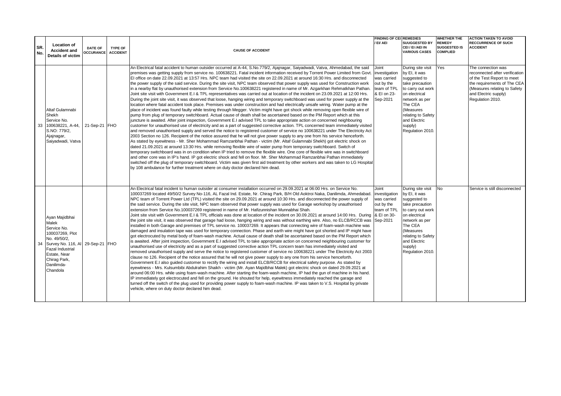|            |                                                                                                                                                                                                       |                                    |                                   |                                                                                                                                                                                                                                                                                                                                                                                                                                                                                                                                                                                                                                                                                                                                                                                                                                                                                                                                                                                                                                                                                                                                                                                                                                                                                                                                                                                                                                                                                                                                                                                                                                                                                                                                                                                                                                                                                                                                                                                                                                                                                                                                                                                                                                                                                                                                                                                                                                                                                                                                                                                                                                              | <b>FINDING OF CEL REMEDIES</b>                                                                |                                                                                                                                                                                                                           | <b>WHETHER THE</b>                                      | <b>ACTION TAKEN TO AVOID</b>                                                                                                                                                                  |
|------------|-------------------------------------------------------------------------------------------------------------------------------------------------------------------------------------------------------|------------------------------------|-----------------------------------|----------------------------------------------------------------------------------------------------------------------------------------------------------------------------------------------------------------------------------------------------------------------------------------------------------------------------------------------------------------------------------------------------------------------------------------------------------------------------------------------------------------------------------------------------------------------------------------------------------------------------------------------------------------------------------------------------------------------------------------------------------------------------------------------------------------------------------------------------------------------------------------------------------------------------------------------------------------------------------------------------------------------------------------------------------------------------------------------------------------------------------------------------------------------------------------------------------------------------------------------------------------------------------------------------------------------------------------------------------------------------------------------------------------------------------------------------------------------------------------------------------------------------------------------------------------------------------------------------------------------------------------------------------------------------------------------------------------------------------------------------------------------------------------------------------------------------------------------------------------------------------------------------------------------------------------------------------------------------------------------------------------------------------------------------------------------------------------------------------------------------------------------------------------------------------------------------------------------------------------------------------------------------------------------------------------------------------------------------------------------------------------------------------------------------------------------------------------------------------------------------------------------------------------------------------------------------------------------------------------------------------------------|-----------------------------------------------------------------------------------------------|---------------------------------------------------------------------------------------------------------------------------------------------------------------------------------------------------------------------------|---------------------------------------------------------|-----------------------------------------------------------------------------------------------------------------------------------------------------------------------------------------------|
| SR.<br>No. | Location of<br><b>Accident and</b><br>Details of victim                                                                                                                                               | <b>DATE OF</b><br><b>OCCURANCE</b> | <b>TYPE OF</b><br><b>ACCIDENT</b> | <b>CAUSE OF ACCIDENT</b>                                                                                                                                                                                                                                                                                                                                                                                                                                                                                                                                                                                                                                                                                                                                                                                                                                                                                                                                                                                                                                                                                                                                                                                                                                                                                                                                                                                                                                                                                                                                                                                                                                                                                                                                                                                                                                                                                                                                                                                                                                                                                                                                                                                                                                                                                                                                                                                                                                                                                                                                                                                                                     | / EI/ AEI                                                                                     | <b>SUUGGESTED BY</b><br>CEI / EI /AEI IN<br><b>VARIOUS CASES</b>                                                                                                                                                          | <b>REMEDY</b><br><b>SUGGESTED IS</b><br><b>COMPLIED</b> | <b>RECCURRENCE OF SUCH</b><br><b>ACCIDENT</b>                                                                                                                                                 |
|            | Altaf Gulamnabi<br>Shekh<br>Service No.<br>33 100638221, A-44.<br>S.NO: 779/2.<br>Ajajnagar,<br>Saiyadwadi, Vatva                                                                                     | 21-Sep-21 FHO                      |                                   | An Electrical fatal accident to human outsider occurred at A-44, S.No.779/2, Ajajnagar, Saiyadwadi, Vatva, Ahmedabad, the said<br>premises was getting supply from service no. 100638221. Fatal incident information received by Torrent Power Limited from Govt<br>El office on date 22.09.2021 at 13:57 Hrs. NPC team had visited the site on 22.09.2021 at around 16:30 Hrs. and disconnected<br>the power supply of the said service. During the site visit, NPC team observed that power supply was used for Construction work<br>in a nearby flat by unauthorised extension from Service No.100638221 registered in name of Mr. Azgarkhan Rehmatkhan Pathan.<br>Joint site visit with Government E.I & TPL representatives was carried out at location of the incident on 23.09.2021 at 12:00 Hrs.<br>During the joint site visit, it was observed that loose, hanging wiring and temporary switchboard was used for power supply at the<br>location where fatal accident took place. Premises was under construction and had electrically unsafe wiring. Water pump at the<br>place of incident was found faulty while testing through Megger. Victim might have got shock while removing open flexible wire of<br>pump from plug of temporary switchboard. Actual cause of death shall be ascertained based on the PM Report which at this<br>juncture is awaited. After joint inspection, Government E.I advised TPL to take appropriate action on concerned neighbouring<br>customer for unauthorised use of electricity and as a part of suggested corrective action. TPL concerned team immediately visited<br>and removed unauthorised supply and served the notice to registered customer of service no 100638221 under The Electricity Act<br>2003 Section no 126. Recipient of the notice assured that he will not give power supply to any one from his service henceforth.<br>As stated by eyewitness - Mr. Sher Mohammad Ramzanbhai Pathan - victim (Mr. Altaf Gulamnabi Shekh) got electric shock on<br>dated 21.09.2021 at around 13:30 Hrs. while removing flexible wire of water pump from temporary switchboard. Switch of<br>temporary switchboard was in on condition when IP tried to remove the flexible wire. One core of flexible wire was in switchboard<br>and other core was in IP's hand. IP got electric shock and fell on floor. Mr. Sher Mohammad Ramzanbhai Pathan immediately<br>switched off the plug of temporary switchboard. Victim was given first aid treatment by other workers and was taken to LG Hospital<br>by 108 ambulance for further treatment where on duty doctor declared him dead. | Joint<br>investigation<br>was carried<br>out by the<br>team of TPL<br>& EI on 23-<br>Sep-2021 | During site visit<br>by EI, it was<br>suggested to<br>take precaution<br>to carry out work<br>on electrical<br>network as per<br>The CEA<br>(Measures<br>relating to Safety<br>and Electric<br>supply)<br>Regulation 2010 | Yes                                                     | The connection was<br>reconnected after verification<br>of the Test Report to meet<br>the requirements of The CEA<br>(Measures relating to Safety<br>and Electric supply)<br>Regulation 2010. |
|            | Ayan Majidbhai<br>Malek<br>Service No.<br>100037269, Plot<br>No. 49/50/2.<br>34 Survey No. 116, AI 29-Sep-21 FHO<br><b>Fazal Industrial</b><br>Estate, Near<br>Chirag Park,<br>Danilimda-<br>Chandola |                                    |                                   | An Electrical fatal incident to human outsider at consumer installation occurred on 29.09.2021 at 06:00 Hrs. on Service No.<br>100037269 located 49/50/2 Survey No-116, AL Fazal Ind. Estate, Nr. Chiraq Park, B/H Old Aoktroi Naka, Danilimda, Ahmedabad.<br>NPC team of Torrent Power Ltd (TPL) visited the site on 29.09.2021 at around 10:30 Hrs. and disconnected the power supply of<br>the said service. During the site visit, NPC team observed that power supply was used for Garage workshop by unauthorised<br>extension from Service No.100037269 registered in name of Mr. Hafizunnishan Munnabhai Shah.<br>Joint site visit with Government E.I & TPL officials was done at location of the incident on 30.09.2021 at around 14:00 Hrs. During   & EI on 30-<br>the joint site visit, it was observed that garage had loose, hanging wiring and was without earthing wire. Also, no ELCB/RCCB was Sep-2021<br>installed in both Garage and premises of TPL service no. 100037269. It appears that connecting wire of foam-wash machine was<br>damaged and insulation tape was used for temporary connection. Phase and earth wire might have got shorted and IP might have<br>got electrocuted by metal body of foam-wash machine. Actual cause of death shall be ascertained based on the PM Report which<br>is awaited. After joint inspection, Government E.I advised TPL to take appropriate action on concerned neighbouring customer for<br>unauthorised use of electricity and as a part of suggested corrective action TPL concern team has immediately visited and<br>removed unauthorised supply and serve the notice to registered customer of service no 100638221 under The Electricity Act 2003<br>clause no 126. Recipient of the notice assured that he will not give power supply to any one from his service henceforth.<br>Government E.I also quided customer to rectify the wiring and install ELCB/RCCB for electrical safety purpose. As stated by<br>eyewitness - Mrs. Kulsumbibi Abdulrahim Shaikh - victim (Mr. Ayan Majidbhai Malek) got electric shock on dated 29.09.2021 at<br>around 06:00 Hrs. while using foam-wash machine. After starting the foam-wash machine, IP had the gun of machine in his hand.<br>IP immediately got electrocuted and fell on the ground. He shouted for help, eyewitness immediately reached the garage and<br>turned off the switch of the plug used for providing power supply to foam-wash machine. IP was taken to V.S. Hospital by private<br>vehicle, where on duty doctor declared him dead.                                                              | Joint<br>investigation<br>was carried<br>out by the<br>team of TPL                            | During site visit<br>by EI, it was<br>suggested to<br>take precaution<br>to carry out work<br>on electrical<br>network as per<br>The CEA<br>(Measures<br>relating to Safety<br>and Electric<br>supply)<br>Regulation 2010 | <b>No</b>                                               | Service is still disconnected                                                                                                                                                                 |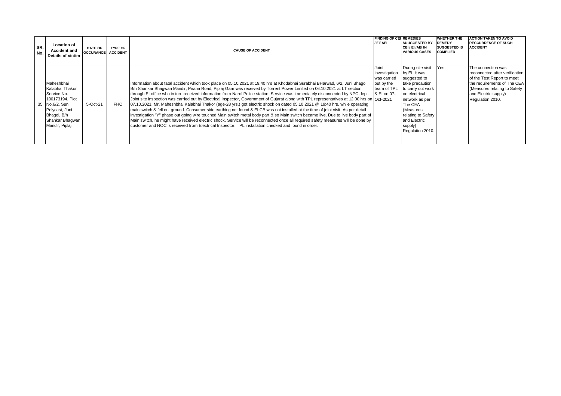| ISR.<br>No. | <b>Location of</b><br><b>Accident and</b><br>Details of victim                                                                                          | <b>DATE OF</b><br><b>OCCURANCE ACCIDENT</b> | <b>TYPE OF</b> | <b>CAUSE OF ACCIDENT</b>                                                                                                                                                                                                                                                                                                                                                                                                                                                                                                                                                                                                                                                                                                                                                                                                                                                                                                                                                                                                                                                                                                                                                                         | <b>FINDING OF CEL REMEDIES</b><br>/ EI/ AEI                                       | <b>SUUGGESTED BY</b><br>CEI/EI/AEI IN<br><b>VARIOUS CASES</b>                                                                                                                                                             | <b>WHETHER THE</b><br><b>REMEDY</b><br><b>SUGGESTED IS</b><br><b>COMPLIED</b> | <b>ACTION TAKEN TO AVOID</b><br><b>RECCURRENCE OF SUCH</b><br><b>ACCIDENT</b>                                                                                                                 |
|-------------|---------------------------------------------------------------------------------------------------------------------------------------------------------|---------------------------------------------|----------------|--------------------------------------------------------------------------------------------------------------------------------------------------------------------------------------------------------------------------------------------------------------------------------------------------------------------------------------------------------------------------------------------------------------------------------------------------------------------------------------------------------------------------------------------------------------------------------------------------------------------------------------------------------------------------------------------------------------------------------------------------------------------------------------------------------------------------------------------------------------------------------------------------------------------------------------------------------------------------------------------------------------------------------------------------------------------------------------------------------------------------------------------------------------------------------------------------|-----------------------------------------------------------------------------------|---------------------------------------------------------------------------------------------------------------------------------------------------------------------------------------------------------------------------|-------------------------------------------------------------------------------|-----------------------------------------------------------------------------------------------------------------------------------------------------------------------------------------------|
|             | Maheshbhai<br>Kalabhai Thakor<br>Service No.<br>100173194, Plot<br>35 No.6/2. Sun<br>Polycast, Juni<br>Bhagol, B/h<br>Shankar Bhagwan<br>Mandir, Piplaj | 5-Oct-21                                    | <b>FHO</b>     | Information about fatal accident which took place on 05.10.2021 at 19:40 hrs at Khodabhai Surabhai BHarwad, 6/2, Juni Bhagol,<br>B/h Shankar Bhagwan Mandir, Pirana Road, Piplaj Gam was received by Torrent Power Limited on 06.10.2021 at LT section<br>through EI office who in turn received information from Narol Police station. Service was immediately disconnected by NPC dept.<br>Joint site inspection was carried out by Electrical Inspector, Government of Gujarat along with TPL representatives at 12:00 hrs on Oct-2021<br>07.10.2021. Mr. Maheshbhai Kalabhai Thakor (age-28 yrs.) got electric shock on dated 05.10.2021 @ 19:40 hrs. while operating<br>main switch & fell on ground. Consumer side earthing not found & ELCB was not installed at the time of joint visit. As per detail<br>investigation "Y" phase out going wire touched Main switch metal body part & so Main switch became live. Due to live body part of<br>Main switch, he might have received electric shock. Service will be reconnected once all required safety measures will be done by<br>customer and NOC is received from Electrical Inspector. TPL installation checked and found in order. | Joint<br>investigation<br>was carried<br>out by the<br>team of TPL<br>& EI on 07- | During site visit<br>by EI, it was<br>suggested to<br>take precaution<br>to carry out work<br>on electrical<br>network as per<br>The CEA<br>Measures<br>relating to Safety<br>and Electric<br>supply)<br>Regulation 2010. | <b>Yes</b>                                                                    | The connection was<br>reconnected after verification<br>of the Test Report to meet<br>the requirements of The CEA<br>(Measures relating to Safety<br>and Electric supply)<br>Regulation 2010. |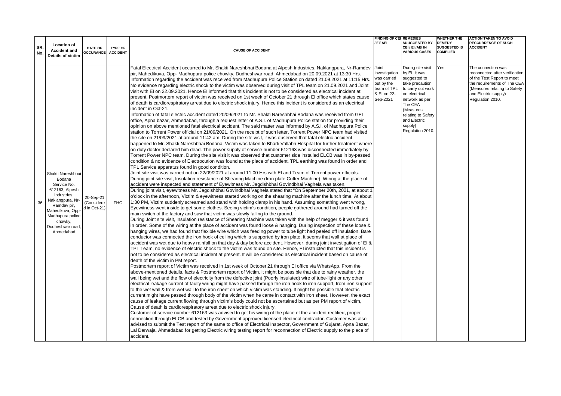|            |                                                                                                                                                                                                    |                                         |                                   |                                                                                                                                                                                                                                                                                                                                                                                                                                                                                                                                                                                                                                                                                                                                                                                                                                                                                                                                                                                                                                                                                                                                                                                                                                                                                                                                                                                                                                                                                                                                                                                                                                                                                                                                                                                                                                                                                                                                                                                                                                                                                                                                                                                                                                                                                                                                                                                                                                                                                                                                                                                                                                                                                                                                                                                                                                                                                                                                                                                                                                                                                                                                                                                                                                                                                                                                                                                                                                                                                                                                                                                                                                                                                                                                                                                                                                                                                                                                                                                                                                                                                                                                                                                                                                                                                                                                                                                                                                                                                                                                                                                                                                                                                                                                                                                                                                                                                                                                                                                                                                                                                                                                                                                                                                                           | <b>FINDING OF CEI REMEDIES</b>                                                                |                                                                                                                                                                                                                            | <b>WHETHER THE</b>                                      | <b>ACTION TAKEN TO AVOID</b>                                                                                                                                                                  |
|------------|----------------------------------------------------------------------------------------------------------------------------------------------------------------------------------------------------|-----------------------------------------|-----------------------------------|-----------------------------------------------------------------------------------------------------------------------------------------------------------------------------------------------------------------------------------------------------------------------------------------------------------------------------------------------------------------------------------------------------------------------------------------------------------------------------------------------------------------------------------------------------------------------------------------------------------------------------------------------------------------------------------------------------------------------------------------------------------------------------------------------------------------------------------------------------------------------------------------------------------------------------------------------------------------------------------------------------------------------------------------------------------------------------------------------------------------------------------------------------------------------------------------------------------------------------------------------------------------------------------------------------------------------------------------------------------------------------------------------------------------------------------------------------------------------------------------------------------------------------------------------------------------------------------------------------------------------------------------------------------------------------------------------------------------------------------------------------------------------------------------------------------------------------------------------------------------------------------------------------------------------------------------------------------------------------------------------------------------------------------------------------------------------------------------------------------------------------------------------------------------------------------------------------------------------------------------------------------------------------------------------------------------------------------------------------------------------------------------------------------------------------------------------------------------------------------------------------------------------------------------------------------------------------------------------------------------------------------------------------------------------------------------------------------------------------------------------------------------------------------------------------------------------------------------------------------------------------------------------------------------------------------------------------------------------------------------------------------------------------------------------------------------------------------------------------------------------------------------------------------------------------------------------------------------------------------------------------------------------------------------------------------------------------------------------------------------------------------------------------------------------------------------------------------------------------------------------------------------------------------------------------------------------------------------------------------------------------------------------------------------------------------------------------------------------------------------------------------------------------------------------------------------------------------------------------------------------------------------------------------------------------------------------------------------------------------------------------------------------------------------------------------------------------------------------------------------------------------------------------------------------------------------------------------------------------------------------------------------------------------------------------------------------------------------------------------------------------------------------------------------------------------------------------------------------------------------------------------------------------------------------------------------------------------------------------------------------------------------------------------------------------------------------------------------------------------------------------------------------------------------------------------------------------------------------------------------------------------------------------------------------------------------------------------------------------------------------------------------------------------------------------------------------------------------------------------------------------------------------------------------------------------------------------------------------------------------------------------|-----------------------------------------------------------------------------------------------|----------------------------------------------------------------------------------------------------------------------------------------------------------------------------------------------------------------------------|---------------------------------------------------------|-----------------------------------------------------------------------------------------------------------------------------------------------------------------------------------------------|
| SR.<br>No. | <b>Location of</b><br><b>Accident and</b><br>Details of victim                                                                                                                                     | <b>DATE OF</b><br><b>OCCURANCE</b>      | <b>TYPE OF</b><br><b>ACCIDENT</b> | <b>CAUSE OF ACCIDENT</b>                                                                                                                                                                                                                                                                                                                                                                                                                                                                                                                                                                                                                                                                                                                                                                                                                                                                                                                                                                                                                                                                                                                                                                                                                                                                                                                                                                                                                                                                                                                                                                                                                                                                                                                                                                                                                                                                                                                                                                                                                                                                                                                                                                                                                                                                                                                                                                                                                                                                                                                                                                                                                                                                                                                                                                                                                                                                                                                                                                                                                                                                                                                                                                                                                                                                                                                                                                                                                                                                                                                                                                                                                                                                                                                                                                                                                                                                                                                                                                                                                                                                                                                                                                                                                                                                                                                                                                                                                                                                                                                                                                                                                                                                                                                                                                                                                                                                                                                                                                                                                                                                                                                                                                                                                                  | / EI/ AEI                                                                                     | <b>SUUGGESTED BY</b><br>CEI / EI /AEI IN<br><b>VARIOUS CASES</b>                                                                                                                                                           | <b>REMEDY</b><br><b>SUGGESTED IS</b><br><b>COMPLIED</b> | <b>RECCURRENCE OF SUCH</b><br><b>ACCIDENT</b>                                                                                                                                                 |
| 36         | Shakti Nareshbhai<br>Bodana<br>Service No.<br>612163, Alpesh<br>Industries,<br>Naklangpura, Nr-<br>Ramdev pir,<br>Mahedikuva, Opp-<br>Madhupura police<br>chowky,<br>Dudheshwar road,<br>Ahmedabad | 20-Sep-21<br>(Considere<br>d in Oct-21) | <b>FHO</b>                        | Fatal Electrical Accident occurred to Mr. Shakti Nareshbhai Bodana at Alpesh Industries, Naklangpura, Nr-Ramdev<br>pir, Mahedikuva, Opp- Madhupura police chowky, Dudheshwar road, Ahmedabad on 20.09.2021 at 13:30 Hrs.<br>Information regarding the accident was received from Madhupura Police Station on dated 21.09.2021 at 11:15 Hrs.<br>No evidence regarding electric shock to the victim was observed during visit of TPL team on 21.09.2021 and Joint<br>visit with EI on 22.09.2021. Hence EI informed that this incident is not to be considered as electrical incident at<br>present. Postmortem report of victim was received on 1st week of October 21 through EI office which states cause<br>of death is cardiorespiratory arrest due to electric shock injury. Hence this incident is considered as an electrical<br>incident in Oct-21.<br>Information of fatal electric accident dated 20/09/2021 to Mr. Shakti Nareshbhai Bodana was received from GEI<br>office, Apna bazar, Ahmedabad, through a request letter of A.S.I. of Madhupura Police station for providing their<br>opinion on above mentioned fatal electrical accident. The said matter was informed by A.S.I. of Madhupura Police<br>station to Torrent Power official on 21/09/2021. On the receipt of such letter, Torrent Power NPC team had visited<br>the site on 21/09/2021 at around 11:42 am. During the site visit, it was observed that fatal electric accident<br>happened to Mr. Shakti Nareshbhai Bodana. Victim was taken to Bharti Vallabh Hospital for further treatment where<br>on duty doctor declared him dead. The power supply of service number 612163 was disconnected immediately by<br>Torrent Power NPC team. During the site visit it was observed that customer side installed ELCB was in by-passed<br>condition & no evidence of Electrocution was found at the place of accident. TPL earthing was found in order and<br>TPL Service apparatus found in good condition.<br>Joint site visit was carried out on 22/09/2021 at around 11:00 Hrs with El and Team of Torrent power officials.<br>During joint site visit, Insulation resistance of Shearing Machine (Iron plate Cutter Machine), Wiring at the place of<br>accident were inspected and statement of Eyewitness Mr. Jagdishbhai Govindbhai Vaghela was taken.<br>During joint visit, eyewitness Mr. Jagdishbhai Govindbhai Vaghela stated that "On September 20th, 2021, at about 1<br>o'clock in the afternoon, Victim & eyewitness started working on the shearing machine after the lunch time. At about<br>1:30 PM, Victim suddenly screamed and stand with holding clamp in his hand. Assuming something went wrong,<br>Eyewitness went inside to get some clothes. Seeing victim's condition, people gathered around had turned off the<br>main switch of the factory and saw that victim was slowly falling to the ground.<br>During Joint site visit, Insulation resistance of Shearing Machine was taken with the help of megger & it was found<br>in order. Some of the wiring at the place of accident was found loose & hanging. During inspection of these loose &<br>hanging wires, we had found that flexible wire which was feeding power to tube light had peeled off insulation. Bare<br>conductor was connected the iron hook of ceiling which is supported by iron plate. It seems that wall at place of<br>accident was wet due to heavy rainfall on that day & day before accident. However, during joint investigation of El &<br>TPL Team, no evidence of electric shock to the victim was found on site. Hence, EI instructed that this incident is<br>not to be considered as electrical incident at present. It will be considered as electrical incident based on cause of<br>death of the victim in PM report.<br>Postmortem report of Victim was received in 1st week of October'21 through El office via WhatsApp. From the<br>above-mentioned details, facts & Postmortem report of Victim, it might be possible that due to rainy weather, the<br>wall being wet and the flow of electricity from the defective joint (Poorly insulated) wire of tube-light or any other<br>electrical leakage current of faulty wiring might have passed through the iron hook to iron support, from iron support<br>to the wet wall & from wet wall to the iron sheet on which victim was standing. It might be possible that electric<br>current might have passed through body of the victim when he came in contact with iron sheet. However, the exact<br>cause of leakage current flowing through victim's body could not be ascertained but as per PM report of victim,<br>Cause of death is cardiorespiratory arrest due to electric shock injury.<br>Customer of service number 612163 was advised to get his wiring of the place of the accident rectified, proper<br>connection through ELCB and tested by Government approved licensed electrical contractor. Customer was also<br>advised to submit the Test report of the same to office of Electrical Inspector, Government of Gujarat, Apna Bazar,<br>Lal Darwaja, Ahmedabad for getting Electric wiring testing report for reconnection of Electric supply to the place of<br>accident. | Joint<br>investigation<br>was carried<br>out by the<br>team of TPL<br>& EI on 22-<br>Sep-2021 | During site visit<br>by EI, it was<br>suggested to<br>take precaution<br>to carry out work<br>on electrical<br>network as per<br>The CEA<br>(Measures<br>relating to Safety<br>and Electric<br>supply)<br>Regulation 2010. | Yes                                                     | The connection was<br>reconnected after verification<br>of the Test Report to meet<br>the requirements of The CEA<br>(Measures relating to Safety<br>and Electric supply)<br>Regulation 2010. |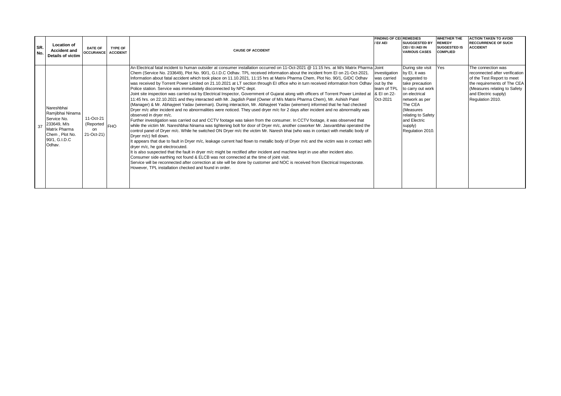| ISR.<br>No. | <b>Location of</b><br><b>Accident and</b><br>Details of victim                                                                    | <b>DATE OF</b><br><b>OCCURANCE</b> ACCIDENT    | TYPE OF | <b>CAUSE OF ACCIDENT</b>                                                                                                                                                                                                                                                                                                                                                                                                                                                                                                                                                                                                                                                                                                                                                                                                                                                                                                                                                                                                                                                                                                                                                                                                                                                                                                                                                                                                                                                                                                                                                                                                                                                                                                                                                                                                                                                                                                                                                                                                                                                                                                                                                                                                 | <b>FINDING OF CEL REMEDIES</b><br>/ EI/ AEI                            | <b>SUUGGESTED BY</b><br>CEI / EI /AEI IN<br><b>VARIOUS CASES</b>                                                                                                                                                           | <b>WHETHER THE</b><br><b>REMEDY</b><br><b>SUGGESTED IS</b><br><b>COMPLIED</b> | <b>ACTION TAKEN TO AVOID</b><br><b>RECCURRENCE OF SUCH</b><br><b>ACCIDENT</b>                                                                                                                 |
|-------------|-----------------------------------------------------------------------------------------------------------------------------------|------------------------------------------------|---------|--------------------------------------------------------------------------------------------------------------------------------------------------------------------------------------------------------------------------------------------------------------------------------------------------------------------------------------------------------------------------------------------------------------------------------------------------------------------------------------------------------------------------------------------------------------------------------------------------------------------------------------------------------------------------------------------------------------------------------------------------------------------------------------------------------------------------------------------------------------------------------------------------------------------------------------------------------------------------------------------------------------------------------------------------------------------------------------------------------------------------------------------------------------------------------------------------------------------------------------------------------------------------------------------------------------------------------------------------------------------------------------------------------------------------------------------------------------------------------------------------------------------------------------------------------------------------------------------------------------------------------------------------------------------------------------------------------------------------------------------------------------------------------------------------------------------------------------------------------------------------------------------------------------------------------------------------------------------------------------------------------------------------------------------------------------------------------------------------------------------------------------------------------------------------------------------------------------------------|------------------------------------------------------------------------|----------------------------------------------------------------------------------------------------------------------------------------------------------------------------------------------------------------------------|-------------------------------------------------------------------------------|-----------------------------------------------------------------------------------------------------------------------------------------------------------------------------------------------|
| . 37        | Nareshbhai<br>Ramjibhai Ninama<br>Service No.<br>233649. M/s<br><b>Matrix Pharma</b><br>Chem, Plot No.<br>90/1, G.I.D.C<br>Odhav. | 11-Oct-21<br>(Reported FHO<br>on<br>21-Oct-21) |         | An Electrical fatal incident to human outsider at consumer installation occurred on 11-Oct-2021 @ 11:15 hrs. at M/s Matrix Pharma Joint<br>Chem (Service No. 233649), Plot No. 90/1, G.I.D.C Odhav. TPL received information about the incident from El on 21-Oct-2021.<br>Information about fatal accident which took place on 11.10.2021, 11:15 hrs at Matrix Pharma Chem, Plot No. 90/1, GIDC Odhav<br>was received by Torrent Power Limited on 21.10.2021 at LT section through EI office who in turn received information from Odhav  out by the<br>Police station. Service was immediately disconnected by NPC dept.<br>Joint site inspection was carried out by Electrical Inspector, Government of Gujarat along with officers of Torrent Power Limited at<br>11:45 hrs. on 22.10.2021 and they interacted with Mr. Jagdish Patel (Owner of M/s Matrix Pharma Chem), Mr. Ashish Patel<br>(Manager) & Mr. Abhayjeet Yadav (wireman). During interaction, Mr. Abhayjeet Yadav (wiremen) informed that he had checked<br>Dryer m/c after incident and no abnormalities were noticed. They used dryer m/c for 2 days after incident and no abnormality was<br>observed in dryer m/c.<br>Further investigation was carried out and CCTV footage was taken from the consumer. In CCTV footage, it was observed that<br>while the victim Mr. Nareshbhai Ninama was tightening bolt for door of Dryer m/c, another coworker Mr. Jasvantbhai operated the<br>control panel of Dryer m/c. While he switched ON Dryer m/c the victim Mr. Naresh bhai (who was in contact with metallic body of<br>Dryer m/c) fell down.<br>It appears that due to fault in Dryer m/c, leakage current had flown to metallic body of Dryer m/c and the victim was in contact with<br>dryer m/c, he got electrocuted.<br>It is also suspected that the fault in dryer m/c might be rectified after incident and machine kept in use after incident also.<br>Consumer side earthing not found & ELCB was not connected at the time of joint visit.<br>Service will be reconnected after correction at site will be done by customer and NOC is received from Electrical Inspectorate.<br>However. TPL installation checked and found in order. | investigation<br>was carried<br>team of TPL<br>& EI on 22-<br>Oct-2021 | During site visit<br>by EI, it was<br>suggested to<br>take precaution<br>to carry out work<br>on electrical<br>network as per<br>The CEA<br>(Measures<br>relating to Safety<br>and Electric<br>supply)<br>Regulation 2010. | <b>Yes</b>                                                                    | The connection was<br>reconnected after verification<br>of the Test Report to meet<br>the requirements of The CEA<br>(Measures relating to Safety<br>and Electric supply)<br>Regulation 2010. |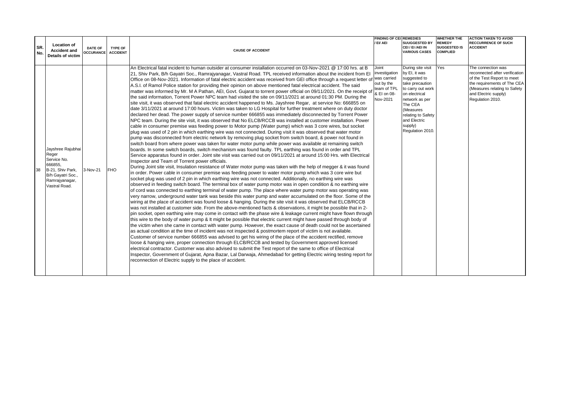| SR.<br>No. | <b>Location of</b><br><b>Accident and</b><br>Details of victim                                                                   | <b>DATE OF</b><br><b>OCCURANCE ACCIDENT</b> | <b>TYPE OF</b> | <b>CAUSE OF ACCIDENT</b>                                                                                                                                                                                                                                                                                                                                                                                                                                                                                                                                                                                                                                                                                                                                                                                                                                                                                                                                                                                                                                                                                                                                                                                                                                                                                                                                                                                                                                                                                                                                                                                                                                                                                                                                                                                                                                                                                                                                                                                                                                                                                                                                                                                                                                                                                                                                                                                                                                                                                                                                                                                                                                                                                                                                                                                                                                                                                                                                                                                                                                                                                                                                                                                                                                                                                                                                                                                                                                                                                                                                                                                                                                                                                                                                                                                                                                                                                                                  | <b>FINDING OF CEL REMEDIES</b><br>/ EI/ AEI                                    | <b>SUUGGESTED BY</b><br>CEI / EI /AEI IN<br><b>VARIOUS CASES</b>                                                                                                                                                           | <b>WHETHER THE</b><br><b>REMEDY</b><br><b>SUGGESTED IS</b><br><b>COMPLIED</b> | <b>ACTION TAKEN TO AVOID</b><br><b>RECCURRENCE OF SUCH</b><br><b>ACCIDENT</b>                                                                                                                 |
|------------|----------------------------------------------------------------------------------------------------------------------------------|---------------------------------------------|----------------|-------------------------------------------------------------------------------------------------------------------------------------------------------------------------------------------------------------------------------------------------------------------------------------------------------------------------------------------------------------------------------------------------------------------------------------------------------------------------------------------------------------------------------------------------------------------------------------------------------------------------------------------------------------------------------------------------------------------------------------------------------------------------------------------------------------------------------------------------------------------------------------------------------------------------------------------------------------------------------------------------------------------------------------------------------------------------------------------------------------------------------------------------------------------------------------------------------------------------------------------------------------------------------------------------------------------------------------------------------------------------------------------------------------------------------------------------------------------------------------------------------------------------------------------------------------------------------------------------------------------------------------------------------------------------------------------------------------------------------------------------------------------------------------------------------------------------------------------------------------------------------------------------------------------------------------------------------------------------------------------------------------------------------------------------------------------------------------------------------------------------------------------------------------------------------------------------------------------------------------------------------------------------------------------------------------------------------------------------------------------------------------------------------------------------------------------------------------------------------------------------------------------------------------------------------------------------------------------------------------------------------------------------------------------------------------------------------------------------------------------------------------------------------------------------------------------------------------------------------------------------------------------------------------------------------------------------------------------------------------------------------------------------------------------------------------------------------------------------------------------------------------------------------------------------------------------------------------------------------------------------------------------------------------------------------------------------------------------------------------------------------------------------------------------------------------------------------------------------------------------------------------------------------------------------------------------------------------------------------------------------------------------------------------------------------------------------------------------------------------------------------------------------------------------------------------------------------------------------------------------------------------------------------------------------------------------|--------------------------------------------------------------------------------|----------------------------------------------------------------------------------------------------------------------------------------------------------------------------------------------------------------------------|-------------------------------------------------------------------------------|-----------------------------------------------------------------------------------------------------------------------------------------------------------------------------------------------|
|            | Jayshree Rajubhai<br>Reger<br>Service No.<br>666855,<br>B-21. Shiv Park.<br>B/h Gayatri Soc.,<br>Ramrajyanagar,<br>Vastral Road. | 3-Nov-21                                    | <b>FHO</b>     | An Electrical fatal incident to human outsider at consumer installation occurred on 03-Nov-2021 @ 17:00 hrs. at B<br>21, Shiv Park, B/h Gayatri Soc., Ramrajyanagar, Vastral Road. TPL received information about the incident from El<br>Office on 08-Nov-2021. Information of fatal electric accident was received from GEI office through a request letter of Was carried<br>A.S.I. of Ramol Police station for providing their opinion on above mentioned fatal electrical accident. The said<br>matter was informed by Mr. M A Pathan, AEI, Govt. Gujarat to torrent power official on 09/11/2021. On the receipt of<br>the said information, Torrent Power NPC team had visited the site on 09/11/2021 at around 01:30 PM. During the<br>site visit, it was observed that fatal electric accident happened to Ms. Jayshree Regar, at service No: 666855 on<br>date 3/11/2021 at around 17:00 hours. Victim was taken to LG Hospital for further treatment where on duty doctor<br>declared her dead. The power supply of service number 666855 was immediately disconnected by Torrent Power<br>NPC team. During the site visit, it was observed that No ELCB/RCCB was installed at customer installation. Power<br>cable in consumer premise was feeding power to Motor pump (Water pump) which was 3 core wires, but socket<br>plug was used of 2 pin in which earthing wire was not connected. During visit it was observed that water motor<br>pump was disconnected from electric network by removing plug socket from switch board, & power not found in<br>switch board from where power was taken for water motor pump while power was available at remaining switch<br>boards. In some switch boards, switch mechanism was found faulty. TPL earthing was found in order and TPL<br>Service apparatus found in order. Joint site visit was carried out on 09/11/2021 at around 15:00 Hrs. with Electrical<br>Inspector and Team of Torrent power officials.<br>During Joint site visit, Insulation resistance of Water motor pump was taken with the help of megger & it was found<br>in order. Power cable in consumer premise was feeding power to water motor pump which was 3 core wire but<br>socket plug was used of 2 pin in which earthing wire was not connected. Additionally, no earthing wire was<br>observed in feeding switch board. The terminal box of water pump motor was in open condition & no earthing wire<br>of cord was connected to earthing terminal of water pump. The place where water pump motor was operating was<br>very narrow, underground water tank was beside this water pump and water accumulated on the floor. Some of the<br>wiring at the place of accident was found loose & hanging. During the site visit it was observed that ELCB/RCCB<br>was not installed at customer side. From the above-mentioned facts & observations, it might be possible that in 2-<br>pin socket, open earthing wire may come in contact with the phase wire & leakage current might have flown through<br>this wire to the body of water pump & It might be possible that electric current might have passed through body of<br>the victim when she came in contact with water pump. However, the exact cause of death could not be ascertained<br>as actual condition at the time of incident was not inspected & postmortem report of victim is not available.<br>Customer of service number 666855 was advised to get his wiring of the place of the accident rectified, remove<br>loose & hanging wire, proper connection through ELCB/RCCB and tested by Government approved licensed<br>electrical contractor. Customer was also advised to submit the Test report of the same to office of Electrical<br>Inspector, Government of Gujarat, Apna Bazar, Lal Darwaja, Ahmedabad for getting Electric wiring testing report for<br>reconnection of Electric supply to the place of accident. | Joint<br>investigation<br>out by the<br>team of TPL<br>& EI on 08-<br>Nov-2021 | During site visit<br>by EI, it was<br>suggested to<br>take precaution<br>to carry out work<br>on electrical<br>network as per<br>The CEA<br>(Measures<br>relating to Safety<br>and Electric<br>supply)<br>Regulation 2010. | Yes                                                                           | The connection was<br>reconnected after verification<br>of the Test Report to meet<br>the requirements of The CEA<br>(Measures relating to Safety<br>and Electric supply)<br>Regulation 2010. |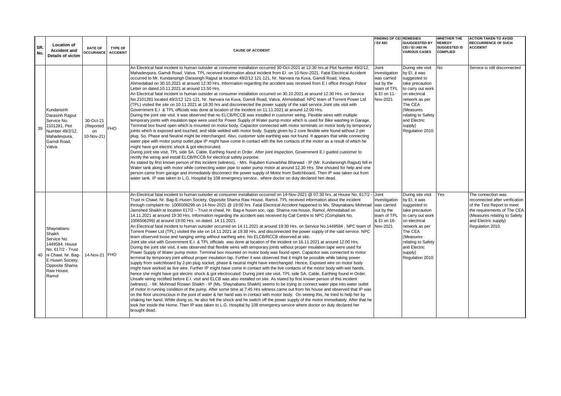| SR.<br>No. | <b>Location of</b><br><b>Accident and</b><br>Details of victim                                                                                                   | DATE OF<br><b>OCCURANCE ACCIDENT</b>       | <b>TYPE OF</b> | <b>CAUSE OF ACCIDENT</b>                                                                                                                                                                                                                                                                                                                                                                                                                                                                                                                                                                                                                                                                                                                                                                                                                                                                                                                                                                                                                                                                                                                                                                                                                                                                                                                                                                                                                                                                                                                                                                                                                                                                                                                                                                                                                                                                                                                                                                                                                                                                                                                                                                                                                                                                                                                                                                                                                                                                                                                                                                                                                                                                                                                                                                                                                     | <b>FINDING OF CEL REMEDIES</b><br>/ EI/ AEI                                                   | <b>SUUGGESTED BY</b><br>CEI / EI /AEI IN<br><b>VARIOUS CASES</b>                                                                                                                                                           | <b>WHETHER THE</b><br><b>REMEDY</b><br><b>SUGGESTED IS</b><br><b>COMPLIED</b> | <b>ACTION TAKEN TO AVOID</b><br><b>RECCURRENCE OF SUCH</b><br><b>ACCIDENT</b>                                                                                                                 |
|------------|------------------------------------------------------------------------------------------------------------------------------------------------------------------|--------------------------------------------|----------------|----------------------------------------------------------------------------------------------------------------------------------------------------------------------------------------------------------------------------------------------------------------------------------------------------------------------------------------------------------------------------------------------------------------------------------------------------------------------------------------------------------------------------------------------------------------------------------------------------------------------------------------------------------------------------------------------------------------------------------------------------------------------------------------------------------------------------------------------------------------------------------------------------------------------------------------------------------------------------------------------------------------------------------------------------------------------------------------------------------------------------------------------------------------------------------------------------------------------------------------------------------------------------------------------------------------------------------------------------------------------------------------------------------------------------------------------------------------------------------------------------------------------------------------------------------------------------------------------------------------------------------------------------------------------------------------------------------------------------------------------------------------------------------------------------------------------------------------------------------------------------------------------------------------------------------------------------------------------------------------------------------------------------------------------------------------------------------------------------------------------------------------------------------------------------------------------------------------------------------------------------------------------------------------------------------------------------------------------------------------------------------------------------------------------------------------------------------------------------------------------------------------------------------------------------------------------------------------------------------------------------------------------------------------------------------------------------------------------------------------------------------------------------------------------------------------------------------------------|-----------------------------------------------------------------------------------------------|----------------------------------------------------------------------------------------------------------------------------------------------------------------------------------------------------------------------------|-------------------------------------------------------------------------------|-----------------------------------------------------------------------------------------------------------------------------------------------------------------------------------------------|
| 39         | Kundansinh<br>Darasinh Rajput<br>Service No.<br>2101281, Plot<br>Number 49/2/12,<br>Mahadevpura,<br>Gamdi Road.<br>Vatva.                                        | 30-Oct-21<br>(Reported<br>on<br>10-Nov-21) | <b>FHO</b>     | An Electrical fatal incident to human outsider at consumer installation occurred 30-Oct-2021 at 12:30 hrs.at Plot Number 49/2/12,<br>Mahadevpura, Gamdi Road, Vatva. TPL received information about incident from EI on 10-Nov-2021. Fatal Electrical Accident<br>occurred to Mr. Kundansingh Darasingh Rajput at location 49/2/12 121-121, Nr. Narvara na Kuva, Gamdi Road, Vatva,<br>Ahmedabad on 30.10.2021 at around 12:30 Hrs. Information regarding the accident was received from E.I office through Police<br>Letter on dated.10.11.2021 at around 13.50 Hrs.<br>An Electrical fatal incident to human outsider at consumer installation occurred on 30.10.2021 at around 12:30 Hrs. on Service<br>No.2101281 located 49/2/12 121-121, Nr. Narvara na Kuva, Gamdi Road, Vatva, Ahmedabad. NPC team of Torrent Power Ltd<br>(TPL) visited the site on 10.11.2021 at 18:30 hrs and disconnected the power supply of the said service. Joint site visit with<br>Government E.I & TPL officials was done at location of the incident on 11.11.2021 at around 12:00 Hrs.<br>During the joint site visit, it was observed that no ELCB/RCCB was installed in customer wiring. Flexible wires with multiple<br>temporary joints with insulation tape were used for Power Supply of Water pump motor which is used for Bike washing in Garage.<br>Terminal box found open which is mounted on motor body. Capacitor connected with motor terminals on motor body by temporary<br>joints which is exposed and touched, and slide welded with motor body. Supply given by 2 core flexible wire found without 2-pin<br>plug. So, Phase and Neutral might be interchanged. Also, customer side earthing was not found. It appears that while connecting<br>water pipe with motor pump outlet pipe IP might have come in contact with the live contacts of the motor as a result of which he<br>might have got electric shock & got electrocuted.<br>During joint site visit, TPL side SA, Cable, Earthing found in Order. After joint inspection, Government E.I guided customer to<br>rectify the wiring and install ELCB/RCCB for electrical safety purpose.<br>As stated by first known person of this incident (witness), - Mrs. Rajuben Kunvarbhai Bharwad - IP (Mr. Kundansingh Rajput) fell in<br>Water tank along with motor while connecting water pipe to water pump motor at around 12.30 Hrs. She shouted for help and one<br>person came from garage and immediately disconnect the power supply of Motor from Switchboard. Then IP was taken out from<br>water tank. IP was taken to L.G. Hospital by 108 emergency service., where doctor on duty declared him dead.                                                                                                                                                              | Joint<br>investigation<br>was carried<br>out by the<br>team of TPL<br>& EI on 11-<br>Nov-2021 | During site visit<br>by EI, it was<br>suggested to<br>take precaution<br>to carry out work<br>on electrical<br>network as per<br>The CEA<br>(Measures<br>relating to Safety<br>and Electric<br>supply)<br>Regulation 2010. | <b>No</b>                                                                     | Service is still disconnected                                                                                                                                                                 |
|            | Shaynabanu<br>Shaikh<br>Service No.<br>1449584, House<br>No. 617/2 - Trust<br>40 ni Chawl, Nr. Bag-<br>E-Husen Society,<br>Opposite Shama<br>Raw House.<br>Ramol | 14-Nov-21 FHO                              |                | An Electrical fatal incident to human outsider at consumer installation occurred on 14-Nov-2021 @ 07:30 hrs. at House No. 617/2 - Joint<br>Trust ni Chawl, Nr. Bag-E-Husen Society, Opposite Shama Raw House, Ramol. TPL received information about the incident<br>through complaint no. 1006506299 on 14-Nov-2021 @ 19:00 hrs. Fatal Electrical Accident happened to Ms. Shaynabanu Mohmad<br>Jamshed Shaikh at location 617/2 – Trust ni chawl, Nr. Bag-e husen soc, opp. Shama row house, Ramol, Ahmedabad on<br>14.11.2021 at around 19:30 Hrs. Information regarding the accident was received by Call Centre to NPC (Complaint No.<br>1006506299) at around 19:00 Hrs. on dated. 14.11.2021.<br>An Electrical fatal incident to human outsider occurred on 14.11.2021 at around 19:30 Hrs. on Service No.1449584. NPC team of<br>Torrent Power Ltd (TPL) visited the site on 14.11.2021 at 19:38 Hrs. and disconnected the power supply of the said service. NPC<br>team observed loose and hanging wiring without earthing wire. No ELCB/RCCB observed at site.<br>Joint site visit with Government E.I. & TPL officials was done at location of the incident on 16.11.2021 at around 12:00 Hrs.<br>During the joint site visit, it was observed that flexible wires with temporary joints without proper insulation tape were used for<br>Power Supply of Water pump motor. Terminal box mounted on motor body was found open. Capacitor was connected to motor<br>terminal by temporary joint without proper insulation tap. Further it was observed that it might be possible while taking power<br>supply from switchboard by 2-pin plug socket, phase & neutral might have interchanged. Hence, Exposed wire on motor body<br>might have worked as live wire. Further IP might have come in contact with the live contacts of the motor body with wet hands,<br>hence she might have got electric shock & got electrocuted. During joint site visit, TPL side SA, Cable, Earthing found in Order.<br>Unsafe wiring rectified before E.I. visit and ELCB was also installed on site. As stated by first known person of this incident<br>(witness), - Mr. Mohmad Rizwan Shaikh - IP (Ms. Shaynabanu Shaikh) seems to be trying to connect water pipe into water outlet<br>of motor in running condition of the pump. After some time at 7:45 Hrs witness came out from his house and observed that IP was<br>on the floor unconscious in the pool of water & her hand was in contact with motor body. On seeing this, he tried to help her by<br>shaking her hand. While doing so, he also felt the shock and he switch off the power supply of the motor immediately. After that he<br>took her inside the Home. Then IP was taken to L.G. Hospital by 108 emergency service where doctor on duty declared her<br>brought dead. | investigation<br>was carried<br>out by the<br>team of TPL<br>& EI on 16-<br>Nov-2021          | During site visit<br>by EI, it was<br>suggested to<br>take precaution<br>to carry out work<br>on electrical<br>network as per<br>The CEA<br>(Measures<br>relating to Safety<br>and Electric<br>supply)<br>Regulation 2010. | Yes                                                                           | The connection was<br>reconnected after verification<br>of the Test Report to meet<br>the requirements of The CEA<br>(Measures relating to Safety<br>and Electric supply)<br>Regulation 2010. |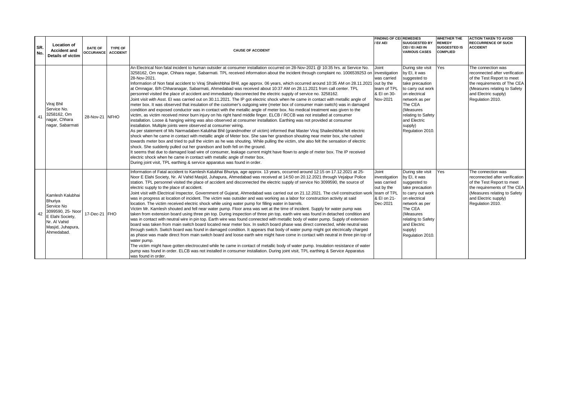| ISR.<br>No. | <b>Location of</b><br><b>Accident and</b><br>Details of victim                                                                        | <b>DATE OF</b><br><b>OCCURANCE ACCIDENT</b> | <b>TYPE OF</b> | <b>CAUSE OF ACCIDENT</b>                                                                                                                                                                                                                                                                                                                                                                                                                                                                                                                                                                                                                                                                                                                                                                                                                                                                                                                                                                                                                                                                                                                                                                                                                                                                                                                                                                                                                                                                                                                                                                                                                                                                                                                                                                                                                                                                                                                                                                                                                                                                                                                                                      | <b>FINDING OF CEL REMEDIES</b><br>/ EI/ AEI                                                   | <b>SUUGGESTED BY</b><br>CEI / EI /AEI IN<br><b>VARIOUS CASES</b>                                                                                                                                                           | <b>WHETHER THE</b><br><b>REMEDY</b><br><b>SUGGESTED IS</b><br><b>COMPLIED</b> | <b>ACTION TAKEN TO AVOID</b><br><b>RECCURRENCE OF SUCH</b><br><b>ACCIDENT</b>                                                                                                                 |
|-------------|---------------------------------------------------------------------------------------------------------------------------------------|---------------------------------------------|----------------|-------------------------------------------------------------------------------------------------------------------------------------------------------------------------------------------------------------------------------------------------------------------------------------------------------------------------------------------------------------------------------------------------------------------------------------------------------------------------------------------------------------------------------------------------------------------------------------------------------------------------------------------------------------------------------------------------------------------------------------------------------------------------------------------------------------------------------------------------------------------------------------------------------------------------------------------------------------------------------------------------------------------------------------------------------------------------------------------------------------------------------------------------------------------------------------------------------------------------------------------------------------------------------------------------------------------------------------------------------------------------------------------------------------------------------------------------------------------------------------------------------------------------------------------------------------------------------------------------------------------------------------------------------------------------------------------------------------------------------------------------------------------------------------------------------------------------------------------------------------------------------------------------------------------------------------------------------------------------------------------------------------------------------------------------------------------------------------------------------------------------------------------------------------------------------|-----------------------------------------------------------------------------------------------|----------------------------------------------------------------------------------------------------------------------------------------------------------------------------------------------------------------------------|-------------------------------------------------------------------------------|-----------------------------------------------------------------------------------------------------------------------------------------------------------------------------------------------|
| 41          | Viraj Bhil<br>Service No.<br>3258162, Om<br>nagar, Chhara<br>nagar, Sabarmati                                                         | 28-Nov-21 NFHO                              |                | An Electrical Non fatal incident to human outsider at consumer installation occurred on 28-Nov-2021 @ 10:35 hrs. at Service No.<br>3258162, Om nagar, Chhara nagar, Sabarmati. TPL received information about the incident through complaint no. 1006539253 on investigation<br>28-Nov-2021.<br>Information of Non fatal accident to Viraj Shaileshbhai BHil, age approx. 06 years, which occurred around 10:35 AM on 28.11.2021<br>at Omnagar, B/h Chharanagar, Sabarmati, Ahmedabad was received about 10:37 AM on 28.11.2021 from call center. TPL<br>personnel visited the place of accident and immediately disconnected the electric supply of service no. 3258162.<br>Joint visit with Asst. El was carried out on 30.11.2021. The IP got electric shock when he came in contact with metallic angle of<br>meter box. It was observed that insulation of the customer's outgoing wire (meter box of consumer main switch) was in damaged<br>condition and exposed conductor was in contact with the metallic angle of meter box. No medical treatment was given to the<br>victim, as victim received minor burn injury on his right hand middle finger. ELCB / RCCB was not installed at consumer<br>installation. Loose & hanging wiring was also observed at consumer installation. Earthing was not provided at consumer<br>installation. Multiple joints were observed at consumer wiring.<br>As per statement of Ms Narmadaben Kalubhai Bhil (grandmother of victim) informed that Master Viraj Shaileshbhai felt electric<br>shock when he came in contact with metallic angle of Meter box. She saw her grandson shouting near meter box, she rushed<br>towards meter box and tried to pull the victim as he was shouting. While pulling the victim, she also felt the sensation of electric<br>shock. She suddenly pulled out her grandson and both fell on the ground.<br>It seems that due to damaged load wire of consumer, leakage current might have flown to angle of meter box. The IP received<br>electric shock when he came in contact with metallic angle of meter box.<br>During joint visit, TPL earthing & service apparatus was found in order. | Joint<br>was carried<br>out by the<br>team of TPL<br>& EI on 30-<br>Nov-2021                  | During site visit<br>by EI, it was<br>suggested to<br>take precaution<br>to carry out work<br>on electrical<br>network as per<br>The CEA<br>(Measures<br>relating to Safety<br>and Electric<br>supply)<br>Regulation 2010. | <b>Yes</b>                                                                    | The connection was<br>reconnected after verification<br>of the Test Report to meet<br>the requirements of The CEA<br>(Measures relating to Safety<br>and Electric supply)<br>Regulation 2010. |
| 42          | Kamlesh Kalubhai<br>Bhuriya<br>Service No<br>3099590, 25- Noor<br>E Elahi Societv.<br>Nr. Al Vahid<br>Masjid, Juhapura,<br>Ahmedabad. | 17-Dec-21 FHO                               |                | Information of Fatal accident to Kamlesh Kalubhai Bhuriya, age approx. 13 years, occurred around 12:15 on 17.12.2021 at 25-<br>Noor E Elahi Society, Nr. Al Vahid Masjid, Juhapura, Ahmedabad was received at 14:50 on 20.12.2021 through Vejalpur Police<br>station. TPL personnel visited the place of accident and disconnected the electric supply of service No 3099590, the source of<br>electric supply to the place of accident.<br>Joint visit with Electrical Inspector, Government of Gujarat, Ahmedabad was carried out on 21.12.2021. The civil construction worl<br>was in progress at location of incident. The victim was outsider and was working as a labor for construction activity at said<br>location. The victim received electric shock while using water pump for filling water in barrels.<br>Victim Mr. Kamlesh shouted and fell near water pump. Floor area was wet at the time of incident. Supply for water pump was<br>taken from extension board using three pin top. During inspection of three pin top, earth wire was found in detached condition and<br>was in contact with neutral wire in pin top. Earth wire was found connected with metallic body of water pump. Supply of extension<br>board was taken from main switch board located near meter box. In switch board phase was direct connected, while neutral was<br>through switch. Switch board was found in damaged condition. It appears that body of water pump might got electrically charged<br>as phase was made direct from main switch board and loose earth wire might have come in contact with neutral in three pin top of<br>water pump.<br>The victim might have gotten electrocuted while he came in contact of metallic body of water pump. Insulation resistance of water<br>pump was found in order. ELCB was not installed in consumer installation. During joint visit, TPL earthing & Service Apparatus<br>was found in order.                                                                                                                                                                                                                              | Joint<br>investigation<br>was carried<br>out by the<br>team of TPL<br>& EI on 21-<br>Dec-2021 | During site visit<br>by EI, it was<br>suggested to<br>take precaution<br>to carry out work<br>on electrical<br>network as per<br>The CEA<br>(Measures<br>relating to Safety<br>and Electric<br>supply)<br>Regulation 2010. | Yes                                                                           | The connection was<br>reconnected after verification<br>of the Test Report to meet<br>the requirements of The CEA<br>(Measures relating to Safety<br>and Electric supply)<br>Regulation 2010. |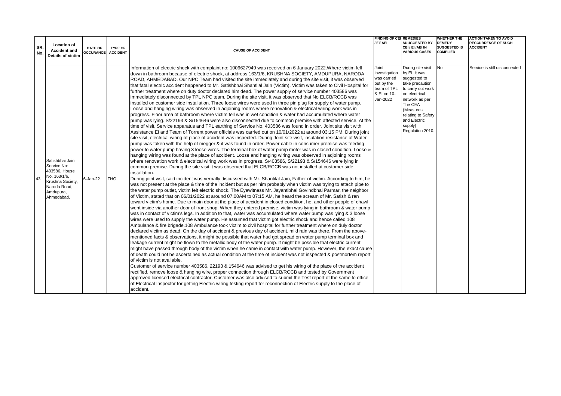|            | <b>Location of</b>                                                                                                             |                                      |                |                                                                                                                                                                                                                                                                                                                                                                                                                                                                                                                                                                                                                                                                                                                                                                                                                                                                                                                                                                                                                                                                                                                                                                                                                                                                                                                                                                                                                                                                                                                                                                                                                                                                                                                                                                                                                                                                                                                                                                                                                                                                                                                                                                                                                                                                                                                                                                                                                                                                                                                                                                                                                                                                                                                                                                                                                                                                                                                                                                                                                                                                                                                                                                                                                                                                                                                                                                                                                                                                                                                                                                                                                                                                                                                                                                                                                                                                                                                                                                                                                                                                                                         | <b>FINDING OF CEL REMEDIES</b><br>/ EI/ AEI                         | <b>SUUGGESTED BY</b>                                                                                                                                                                | WHETHER THE<br><b>REMEDY</b>           | <b>ACTION TAKEN TO AVOID</b><br><b>RECCURRENCE OF SUCH</b> |
|------------|--------------------------------------------------------------------------------------------------------------------------------|--------------------------------------|----------------|---------------------------------------------------------------------------------------------------------------------------------------------------------------------------------------------------------------------------------------------------------------------------------------------------------------------------------------------------------------------------------------------------------------------------------------------------------------------------------------------------------------------------------------------------------------------------------------------------------------------------------------------------------------------------------------------------------------------------------------------------------------------------------------------------------------------------------------------------------------------------------------------------------------------------------------------------------------------------------------------------------------------------------------------------------------------------------------------------------------------------------------------------------------------------------------------------------------------------------------------------------------------------------------------------------------------------------------------------------------------------------------------------------------------------------------------------------------------------------------------------------------------------------------------------------------------------------------------------------------------------------------------------------------------------------------------------------------------------------------------------------------------------------------------------------------------------------------------------------------------------------------------------------------------------------------------------------------------------------------------------------------------------------------------------------------------------------------------------------------------------------------------------------------------------------------------------------------------------------------------------------------------------------------------------------------------------------------------------------------------------------------------------------------------------------------------------------------------------------------------------------------------------------------------------------------------------------------------------------------------------------------------------------------------------------------------------------------------------------------------------------------------------------------------------------------------------------------------------------------------------------------------------------------------------------------------------------------------------------------------------------------------------------------------------------------------------------------------------------------------------------------------------------------------------------------------------------------------------------------------------------------------------------------------------------------------------------------------------------------------------------------------------------------------------------------------------------------------------------------------------------------------------------------------------------------------------------------------------------------------------------------------------------------------------------------------------------------------------------------------------------------------------------------------------------------------------------------------------------------------------------------------------------------------------------------------------------------------------------------------------------------------------------------------------------------------------------------------------------|---------------------------------------------------------------------|-------------------------------------------------------------------------------------------------------------------------------------------------------------------------------------|----------------------------------------|------------------------------------------------------------|
| SR.<br>No. | <b>Accident and</b><br>Details of victim                                                                                       | DATE OF<br><b>OCCURANCE ACCIDENT</b> | <b>TYPE OF</b> | <b>CAUSE OF ACCIDENT</b>                                                                                                                                                                                                                                                                                                                                                                                                                                                                                                                                                                                                                                                                                                                                                                                                                                                                                                                                                                                                                                                                                                                                                                                                                                                                                                                                                                                                                                                                                                                                                                                                                                                                                                                                                                                                                                                                                                                                                                                                                                                                                                                                                                                                                                                                                                                                                                                                                                                                                                                                                                                                                                                                                                                                                                                                                                                                                                                                                                                                                                                                                                                                                                                                                                                                                                                                                                                                                                                                                                                                                                                                                                                                                                                                                                                                                                                                                                                                                                                                                                                                                |                                                                     | CEI / EI /AEI IN<br><b>VARIOUS CASES</b>                                                                                                                                            | <b>SUGGESTED IS</b><br><b>COMPLIED</b> | <b>ACCIDENT</b>                                            |
|            |                                                                                                                                |                                      |                | Information of electric shock with complaint no: 1006627949 was received on 6 January 2022. Where victim fell<br>down in bathroom because of electric shock, at address:163/1/6, KRUSHNA SOCIETY, AMDUPURA, NARODA                                                                                                                                                                                                                                                                                                                                                                                                                                                                                                                                                                                                                                                                                                                                                                                                                                                                                                                                                                                                                                                                                                                                                                                                                                                                                                                                                                                                                                                                                                                                                                                                                                                                                                                                                                                                                                                                                                                                                                                                                                                                                                                                                                                                                                                                                                                                                                                                                                                                                                                                                                                                                                                                                                                                                                                                                                                                                                                                                                                                                                                                                                                                                                                                                                                                                                                                                                                                                                                                                                                                                                                                                                                                                                                                                                                                                                                                                      | Joint<br>investigation                                              | During site visit<br>by EI, it was                                                                                                                                                  | <b>No</b>                              | Service is still disconnected                              |
|            | Satishbhai Jain<br>Service No:<br>403586, House<br>No. 163/1/6,<br>Krushna Society,<br>Naroda Road,<br>Amdupura,<br>Ahmedabad. | 6-Jan-22                             | <b>FHO</b>     | ROAD, AHMEDABAD. Our NPC Team had visited the site immediately and during the site visit, it was observed<br>that fatal electric accident happened to Mr. Satishbhai Shantilal Jain (Victim). Victim was taken to Civil Hospital for<br>further treatment where on duty doctor declared him dead. The power supply of service number 403586 was<br>immediately disconnected by TPL NPC team. During the site visit, it was observed that No ELCB/RCCB was<br>installed on customer side installation. Three loose wires were used in three pin plug for supply of water pump.<br>Loose and hanging wiring was observed in adjoining rooms where renovation & electrical wiring work was in<br>progress. Floor area of bathroom where victim fell was in wet condition & water had accumulated where water<br>pump was lying. S/22193 & S/154646 were also disconnected due to common premise with affected service. At the<br>time of visit, Service apparatus and TPL earthing of Service No. 403586 was found in order. Joint site visit with<br>Assistance EI and Team of Torrent power officials was carried out on 10/01/2022 at around 03:15 PM. During joint<br>site visit, electrical wiring of place of accident was inspected. During Joint site visit, Insulation resistance of Water<br>pump was taken with the help of megger & it was found in order. Power cable in consumer premise was feeding<br>power to water pump having 3 loose wires. The terminal box of water pump motor was in closed condition. Loose &<br>hanging wiring was found at the place of accident. Loose and hanging wiring was observed in adjoining rooms<br>where renovation work & electrical wiring work was in progress. S/403586, S/22193 & S/154646 were lying in<br>common premise. During the site visit it was observed that ELCB/RCCB was not installed at customer side<br>installation.<br>During joint visit, said incident was verbally discussed with Mr. Shantilal Jain, Father of victim. According to him, he<br>was not present at the place & time of the incident but as per him probably when victim was trying to attach pipe to<br>the water pump outlet, victim felt electric shock. The Eyewitness Mr. Jayantibhai Govindbhai Parmar, the neighbor<br>of Victim, stated that on 06/01/2022 at around 07:00AM to 07:15 AM, he heard the scream of Mr. Satish & ran<br>toward victim's home. Due to main door at the place of accident in closed condition, he, and other people of chawl<br>went inside via another door of front shop. When they entered premise, victim was lying in bathroom & water pump<br>was in contact of victim's legs. In addition to that, water was accumulated where water pump was lying & 3 loose<br>wires were used to supply the water pump. He assumed that victim got electric shock and hence called 108<br>Ambulance & fire brigade.108 Ambulance took victim to civil hospital for further treatment where on duly doctor<br>declared victim as dead. On the day of accident & previous day of accident, mild rain was there. From the above-<br>mentioned facts & observations, it might be possible that water had got spread on water pump terminal box and<br>leakage current might be flown to the metallic body of the water pump. It might be possible that electric current<br>might have passed through body of the victim when he came in contact with water pump. However, the exact cause<br>of death could not be ascertained as actual condition at the time of incident was not inspected & postmortem report<br>of victim is not available.<br>Customer of service number 403586, 22193 & 154646 was advised to get his wiring of the place of the accident<br>rectified, remove loose & hanging wire, proper connection through ELCB/RCCB and tested by Government<br>approved licensed electrical contractor. Customer was also advised to submit the Test report of the same to office<br>of Electrical Inspector for getting Electric wiring testing report for reconnection of Electric supply to the place of<br>accident. | was carried<br>out by the<br>team of TPL<br>& El on 10-<br>Jan-2022 | suggested to<br>take precaution<br>to carry out work<br>on electrical<br>network as per<br>The CEA<br>(Measures<br>relating to Safety<br>and Electric<br>supply)<br>Regulation 2010 |                                        |                                                            |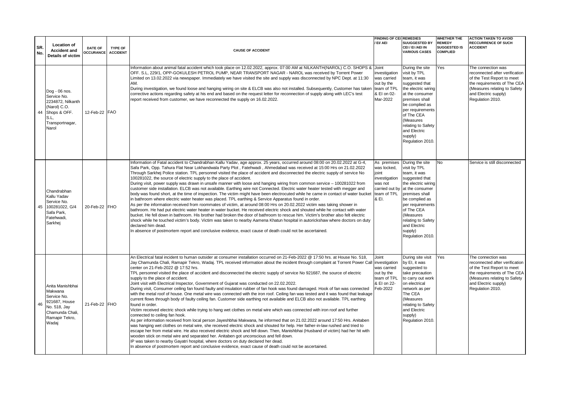| SR.<br>No. | <b>Location of</b><br><b>Accident and</b><br>Details of victim                                                               | DATE OF<br><b>OCCURANCE</b> | TYPE OF<br><b>ACCIDENT</b> | <b>CAUSE OF ACCIDENT</b>                                                                                                                                                                                                                                                                                                                                                                                                                                                                                                                                                                                                                                                                                                                                                                                                                                                                                                                                                                                                                                                                                                                                                                                                                                                                                                                                                                                                                                                                                                                                                                                                                                                                                                                                                                                                                                                              | <b>FINDING OF CEI REMEDIES</b><br>EI/AEI                                             | <b>SUUGGESTED BY</b><br>CEI / EI /AEI IN<br><b>VARIOUS CASES</b>                                                                                                                                                                                                                  | <b>WHETHER THE</b><br><b>REMEDY</b><br><b>SUGGESTED IS</b><br><b>COMPLIED</b> | <b>ACTION TAKEN TO AVOID</b><br><b>RECCURRENCE OF SUCH</b><br><b>ACCIDENT</b>                                                                                                                 |
|------------|------------------------------------------------------------------------------------------------------------------------------|-----------------------------|----------------------------|---------------------------------------------------------------------------------------------------------------------------------------------------------------------------------------------------------------------------------------------------------------------------------------------------------------------------------------------------------------------------------------------------------------------------------------------------------------------------------------------------------------------------------------------------------------------------------------------------------------------------------------------------------------------------------------------------------------------------------------------------------------------------------------------------------------------------------------------------------------------------------------------------------------------------------------------------------------------------------------------------------------------------------------------------------------------------------------------------------------------------------------------------------------------------------------------------------------------------------------------------------------------------------------------------------------------------------------------------------------------------------------------------------------------------------------------------------------------------------------------------------------------------------------------------------------------------------------------------------------------------------------------------------------------------------------------------------------------------------------------------------------------------------------------------------------------------------------------------------------------------------------|--------------------------------------------------------------------------------------|-----------------------------------------------------------------------------------------------------------------------------------------------------------------------------------------------------------------------------------------------------------------------------------|-------------------------------------------------------------------------------|-----------------------------------------------------------------------------------------------------------------------------------------------------------------------------------------------|
| 44         | Dog - 06 nos.<br>Service No.<br>2234872. Nilkanth<br>(Narol) C.O.<br>Shops & OFF.<br>S.L,<br>Transportnagar,<br>Narol        | 12-Feb-22 FAO               |                            | Information about animal fatal accident which took place on 12.02.2022, approx. 07:00 AM at NILKANTH(NAROL) C.O. SHOPS & Uoint<br>OFF. S.L, 229/1, OPP-GOKULESH PETROL PUMP, NEAR TRANSPORT NAGAR - NAROL was received by Torrent Power<br>Limited on 13.02.2022 via newspaper. Immediately we have visited the site and supply was disconnected by NPC Dept. at 11:30<br>AM.<br>During investigation, we found loose and hanging wiring on site & ELCB was also not installed. Subsequently, Customer has taken<br>corrective actions regarding safety at his end and based on the request letter for reconnection of supply along with LEC's test<br>report received from customer, we have reconnected the supply on 16.02.2022.                                                                                                                                                                                                                                                                                                                                                                                                                                                                                                                                                                                                                                                                                                                                                                                                                                                                                                                                                                                                                                                                                                                                                   | investigation<br>was carried<br>out by the<br>team of TPL<br>& EI on 02-<br>Mar-2022 | During the site<br>visit by TPL<br>team, it was<br>suggested that<br>the electric wiring<br>at the consumer<br>premises shall<br>be complied as<br>per requirements<br>of The CEA<br>(Measures<br>relating to Safety<br>and Electric<br>supply)<br>Regulation 2010                | Yes                                                                           | The connection was<br>reconnected after verification<br>of the Test Report to meet<br>the requirements of The CEA<br>(Measures relating to Safety<br>and Electric supply)<br>Regulation 2010. |
|            | Chandrabhan<br>Kallu Yadav<br>Service No.<br>45 100281022, G/4<br>Safa Park,<br>Fatehwadi,<br>Sarkhej                        | 20-Feb-22 FHO               |                            | Information of Fatal accident to Chandrabhan Kallu Yadav, age approx. 25 years, occurred around 08:00 on 20.02.2022 at G-4,<br>Safa Park, Opp. Tahura Flat Near Lokhandwala Party Plot, Fatehwadi, Ahmedabad was received at 15:00 Hrs on 21.02.2022<br>Through Sarkhej Police station. TPL personnel visited the place of accident and disconnected the electric supply of service No<br>100281022, the source of electric supply to the place of accident.<br>During visit, power supply was drawn in unsafe manner with loose and hanging wiring from common service - 100281022 from<br>customer side installation. ELCB was not available. Earthing wire not Connected. Electric water heater tested with megger and<br>body was found short, at the time of inspection. The victim might have been electrocuted while he came in contact of water bucket team of TPL<br>in bathroom where electric water heater was placed. TPL earthing & Service Apparatus found in order.<br>As per the information received from roommates of victim, at around 08:00 Hrs on 20.02.2022 victim was taking shower in<br>bathroom. He had put electric water heater in water bucket. He received electric shock and shouted while he contact with water<br>bucket. He fell down in bathroom. His brother had broken the door of bathroom to rescue him. Victim's brother also felt electric<br>shock while he touched victim's body. Victim was taken to nearby Aamena Khatun hospital in autorickshaw where doctors on duty<br>declared him dead.<br>In absence of postmortem report and conclusive evidence, exact cause of death could not be ascertained.                                                                                                                                                                                                                                 | As premises<br>was locked.<br>joint<br>investigation<br>was not<br>& EI.             | During the site<br>visit by TPL<br>team, it was<br>suggested that<br>the electric wiring<br>carried out by at the consumer<br>premises shall<br>be complied as<br>per requirements<br>of The CEA<br>(Measures<br>relating to Safety<br>and Electric<br>supply)<br>Regulation 2010 | No.                                                                           | Service is still disconnected                                                                                                                                                                 |
|            | Anita Manishbhai<br>Makwana<br>Service No.<br>46 921687, House<br>No. 518, Jay<br>Chamunda Chali,<br>Ramapir Tekro,<br>Wadaj | 21-Feb-22 FHO               |                            | An Electrical fatal incident to human outsider at consumer installation occurred on 21-Feb-2022 @ 17:50 hrs. at House No. 518,<br>Jay Chamunda Chali, Ramapir Tekro, Wadaj. TPL received information about the incident through complaint at Torrent Power Call investigation<br>center on 21-Feb-2022 @ 17:52 hrs.<br>TPL personnel visited the place of accident and disconnected the electric supply of service No 921687, the source of electric<br>supply to the place of accident.<br>Joint visit with Electrical Inspector, Government of Gujarat was conducted on 22.02.2022.<br>During visit, Consumer ceiling fan found faulty and insulation rubber of fan hook was found damaged. Hook of fan was connected<br>with the metal roof of house. One metal wire was connected with the iron roof. Ceiling fan was tested and it was found that leakage<br>current flows through body of faulty ceiling fan. Customer side earthing not available and ELCB also not available. TPL earthing<br>found in order.<br>Victim received electric shock while trying to hang wet clothes on metal wire which was connected with iron roof and further<br>connected to ceiling fan hook.<br>As per information received from local person Jayeshbhai Makwana, he informed that on 21.02.2022 around 17:50 Hrs. Anitaben<br>was hanging wet clothes on metal wire, she received electric shock and shouted for help. Her father-in-law rushed and tried to<br>escape her from metal wire. He also received electric shock and fell down. Then, Manishbhai (Husband of victim) had her hit with<br>wooden stick on metal wire and separated her. Anitaben got unconscious and fell down.<br>IP was taken to nearby Gayatri hospital, where doctors on duty declared her dead.<br>In absence of postmortem report and conclusive evidence, exact cause of death could not be ascertained. | Joint<br>was carried<br>out by the<br>team of TPL<br>& EI on 22-<br>Feb-2022         | During site visit<br>by EI, it was<br>suggested to<br>take precaution<br>to carry out work<br>on electrical<br>network as per<br>The CEA<br>(Measures<br>relating to Safety<br>and Electric<br>supply)<br>Regulation 2010.                                                        | Yes                                                                           | The connection was<br>reconnected after verification<br>of the Test Report to meet<br>the requirements of The CEA<br>(Measures relating to Safety<br>and Electric supply)<br>Regulation 2010. |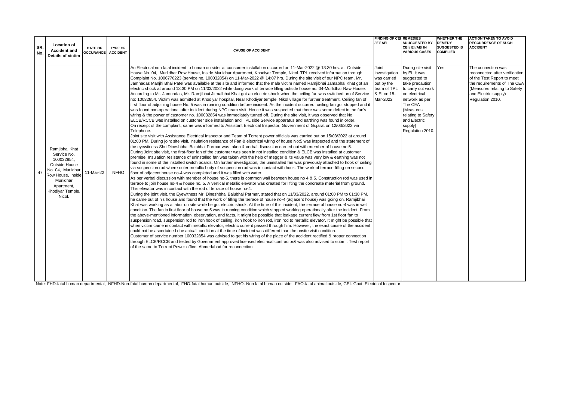| SR.<br>No. | <b>Location of</b><br><b>Accident and</b><br><b>Details of victim</b>                                                                                           | <b>DATE OF</b><br><b>OCCURANCE ACCIDENT</b> | TYPE OF     | <b>CAUSE OF ACCIDENT</b>                                                                                                                                                                                                                                                                                                                                                                                                                                                                                                                                                                                                                                                                                                                                                                                                                                                                                                                                                                                                                                                                                                                                                                                                                                                                                                                                                                                                                                                                                                                                                                                                                                                                                                                                                                                                                                                                                                                                                                                                                                                                                                                                                                                                                                                                                                                                                                                                                                                                                                                                                                                                                                                                                                                                                                                                                                                                                                                                                                                                                                                                                                                                                                                                                                                                                                                                                                                                                                                                                                                                                                                                                                                                                                                                                                                                                                                                                                                                                                                                                                                                                                                                                                                                                                                                                                                                                                                                | <b>FINDING OF CEI REMEDIES</b><br>/ EI/ AEI                                                   | <b>SUUGGESTED BY</b><br>CEI / EI /AEI IN<br><b>VARIOUS CASES</b>                                                                                                                                                           | <b>WHETHER THE</b><br><b>REMEDY</b><br><b>SUGGESTED IS</b><br><b>COMPLIED</b> | <b>ACTION TAKEN TO AVOID</b><br><b>RECCURRENCE OF SUCH</b><br><b>ACCIDENT</b>                                                                                                                 |
|------------|-----------------------------------------------------------------------------------------------------------------------------------------------------------------|---------------------------------------------|-------------|-------------------------------------------------------------------------------------------------------------------------------------------------------------------------------------------------------------------------------------------------------------------------------------------------------------------------------------------------------------------------------------------------------------------------------------------------------------------------------------------------------------------------------------------------------------------------------------------------------------------------------------------------------------------------------------------------------------------------------------------------------------------------------------------------------------------------------------------------------------------------------------------------------------------------------------------------------------------------------------------------------------------------------------------------------------------------------------------------------------------------------------------------------------------------------------------------------------------------------------------------------------------------------------------------------------------------------------------------------------------------------------------------------------------------------------------------------------------------------------------------------------------------------------------------------------------------------------------------------------------------------------------------------------------------------------------------------------------------------------------------------------------------------------------------------------------------------------------------------------------------------------------------------------------------------------------------------------------------------------------------------------------------------------------------------------------------------------------------------------------------------------------------------------------------------------------------------------------------------------------------------------------------------------------------------------------------------------------------------------------------------------------------------------------------------------------------------------------------------------------------------------------------------------------------------------------------------------------------------------------------------------------------------------------------------------------------------------------------------------------------------------------------------------------------------------------------------------------------------------------------------------------------------------------------------------------------------------------------------------------------------------------------------------------------------------------------------------------------------------------------------------------------------------------------------------------------------------------------------------------------------------------------------------------------------------------------------------------------------------------------------------------------------------------------------------------------------------------------------------------------------------------------------------------------------------------------------------------------------------------------------------------------------------------------------------------------------------------------------------------------------------------------------------------------------------------------------------------------------------------------------------------------------------------------------------------------------------------------------------------------------------------------------------------------------------------------------------------------------------------------------------------------------------------------------------------------------------------------------------------------------------------------------------------------------------------------------------------------------------------------------------------------------------------------|-----------------------------------------------------------------------------------------------|----------------------------------------------------------------------------------------------------------------------------------------------------------------------------------------------------------------------------|-------------------------------------------------------------------------------|-----------------------------------------------------------------------------------------------------------------------------------------------------------------------------------------------|
| 47         | Ramiibhai Khat<br>Service No.<br>100032854,<br>Outside House<br>No. 04. Murlidhar<br>Row House, Inside<br>Murlidhar<br>Apartment,<br>Khodiyar Temple,<br>Nicol. | 11-Mar-22                                   | <b>NFHO</b> | An Electrical non fatal incident to human outsider at consumer installation occurred on 11-Mar-2022 @ 13:30 hrs. at Outside<br>House No. 04, Murlidhar Row House, Inside Murlidhar Apartment, Khodiyar Temple, Nicol. TPL received information through<br>Complaint No. 1006776223 (service no. 100032854) on 11-Mar-2022 @ 14:07 hrs. During the site visit of our NPC team, Mr.<br>Jamnadas Manjhi Bhai Patel was available at the site and informed that the male victim named Ramjibhai Jamabhai Khat got an<br>electric shock at around 13:30 PM on 11/03/2022 while doing work of terrace filling outside house no. 04-Murlidhar Raw House.<br>According to Mr. Jamnadas, Mr. Ramjibhai Jitmalbhai Khat got an electric shock when the ceiling fan was switched on of Service<br>no: 10032854. Victim was admitted at Khodiyar hospital, Near Khodiyar temple, Nikol village for further treatment. Ceiling fan of<br>first floor of adjoining house No. 5 was in running condition before incident. As the incident occurred, ceiling fan got stopped and it<br>was found non-operational after incident during NPC team visit. Hence it was suspected that there was some defect in the fan's<br>wiring & the power of customer no. 100032854 was immediately turned off. During the site visit, it was observed that No<br>ELCB/RCCB was installed on customer side installation and TPL side Service apparatus and earthing was found in order.<br>On receipt of the complaint, same was informed to Assistant Electrical Inspector, Government of Gujarat on 12/03/2022 via<br>Telephone.<br>Joint site visit with Assistance Electrical Inspector and Team of Torrent power officials was carried out on 15/03/2022 at around<br>01:00 PM. During joint site visit, insulation resistance of Fan & electrical wiring of house No:5 was inspected and the statement of<br>the eyewitness Shri Dineshbhai Balubhai Parmar was taken & verbal discussion carried out with member of house no:5.<br>During Joint site visit, the first-floor fan of the customer was seen in not installed condition & ELCB was installed at customer<br>premise. Insulation resistance of uninstalled fan was taken with the help of megger & its value was very low & earthing was not<br>found in some of the installed switch boards. On further investigation, the uninstalled fan was previously attached to hook of ceiling<br>via suspension rod where outer metallic body of suspension rod was in contact with hook. The work of terrace filling on second<br>floor of adjacent house no-4 was completed and it was filled with water.<br>As per verbal discussion with member of house no-5, there is common wall between house no 4 & 5. Construction rod was used in<br>terrace to join house no-4 & house no. 5. A vertical metallic elevator was created for lifting the concreate material from ground.<br>This elevator was in contact with the rod of terrace of house no-4.<br>During the joint visit, the Eyewitness Mr. Dineshbhai Balubhai Parmar, stated that on 11/03/2022, around 01:00 PM to 01:30 PM,<br>he came out of his house and found that the work of filling the terrace of house no-4 (adjacent house) was going on. Ramjibhai<br>Khat was working as a labor on site while he got electric shock. At the time of this incident, the terrace of house no-4 was in wet<br>condition. The fan in first floor of house no.5 was in running condition which stopped working operationally after the incident. From<br>the above-mentioned information, observation, and facts, it might be possible that leakage current flew from 1st floor fan to<br>suspension road, suspension rod to iron hook of ceiling, iron hook to iron rod, iron rod to metallic elevator. It might be possible that<br>when victim came in contact with metallic elevator, electric current passed through him. However, the exact cause of the accident<br>could not be ascertained due actual condition at the time of incident was different than the onsite visit condition.<br>Customer of service number 100032854 was advised to get his wiring of the place of the accident rectified & proper connection<br>through ELCB/RCCB and tested by Government approved licensed electrical contractor& was also advised to submit Test report<br>of the same to Torrent Power office, Ahmedabad for reconnection. | Joint<br>investigation<br>was carried<br>out by the<br>team of TPL<br>& EI on 15-<br>Mar-2022 | During site visit<br>by EI, it was<br>suggested to<br>take precaution<br>to carry out work<br>on electrical<br>network as per<br>The CEA<br>(Measures<br>relating to Safety<br>and Electric<br>supply)<br>Regulation 2010. | Yes                                                                           | The connection was<br>reconnected after verification<br>of the Test Report to meet<br>the requirements of The CEA<br>(Measures relating to Safety<br>and Electric supply)<br>Regulation 2010. |

Note: FHD-fatal human departmental, NFHD-Non-fatal human departmental, FHO-fatal human outside, NFHO- Non fatal human outside, FAO-fatal animal outside, GEI- Govt. Electrical Inspector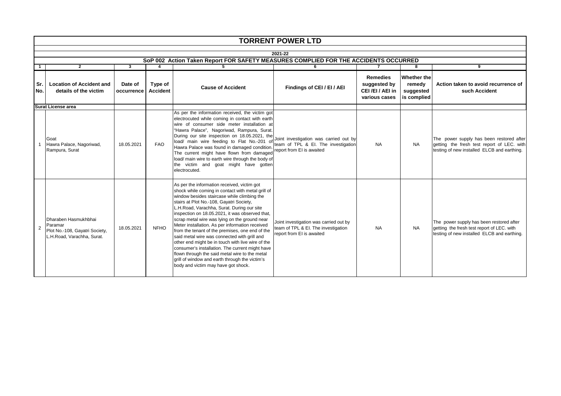|                | <b>TORRENT POWER LTD</b>                                                                        |                       |                            |                                                                                                                                                                                                                                                                                                                                                                                                                                                                                                                                                                                                                                                                                                                                                        |                                                                                                            |                                                                   |                                                          |                                                                                                                                       |  |  |  |
|----------------|-------------------------------------------------------------------------------------------------|-----------------------|----------------------------|--------------------------------------------------------------------------------------------------------------------------------------------------------------------------------------------------------------------------------------------------------------------------------------------------------------------------------------------------------------------------------------------------------------------------------------------------------------------------------------------------------------------------------------------------------------------------------------------------------------------------------------------------------------------------------------------------------------------------------------------------------|------------------------------------------------------------------------------------------------------------|-------------------------------------------------------------------|----------------------------------------------------------|---------------------------------------------------------------------------------------------------------------------------------------|--|--|--|
|                | 2021-22                                                                                         |                       |                            |                                                                                                                                                                                                                                                                                                                                                                                                                                                                                                                                                                                                                                                                                                                                                        |                                                                                                            |                                                                   |                                                          |                                                                                                                                       |  |  |  |
|                |                                                                                                 |                       |                            | SoP 002 Action Taken Report FOR SAFETY MEASURES COMPLIED FOR THE ACCIDENTS OCCURRED                                                                                                                                                                                                                                                                                                                                                                                                                                                                                                                                                                                                                                                                    |                                                                                                            |                                                                   |                                                          |                                                                                                                                       |  |  |  |
|                | $\overline{\mathbf{8}}$<br>$\mathbf{2}$<br>3<br>4<br>5<br>7<br>9<br>6                           |                       |                            |                                                                                                                                                                                                                                                                                                                                                                                                                                                                                                                                                                                                                                                                                                                                                        |                                                                                                            |                                                                   |                                                          |                                                                                                                                       |  |  |  |
| Sr.<br>No.     | <b>Location of Accident and</b><br>details of the victim                                        | Date of<br>occurrence | Type of<br><b>Accident</b> | <b>Cause of Accident</b>                                                                                                                                                                                                                                                                                                                                                                                                                                                                                                                                                                                                                                                                                                                               | Findings of CEI / EI / AEI                                                                                 | <b>Remedies</b><br>suggested by<br>CEI/EI/AEI in<br>various cases | <b>Whether the</b><br>remedy<br>suggested<br>is complied | Action taken to avoid recurrence of<br>such Accident                                                                                  |  |  |  |
|                | Surat License area                                                                              |                       |                            |                                                                                                                                                                                                                                                                                                                                                                                                                                                                                                                                                                                                                                                                                                                                                        |                                                                                                            |                                                                   |                                                          |                                                                                                                                       |  |  |  |
|                | Goat<br>Hawra Palace, Nagoriwad,<br>Rampura, Surat                                              | 18.05.2021            | <b>FAO</b>                 | As per the information received, the victim got<br>electrocuted while coming in contact with earth<br>wire of consumer side meter installation at<br>"Hawra Palace", Nagoriwad, Rampura, Surat.<br>During our site inspection on 18.05.2021, the<br>load/ main wire feeding to Flat No.-201 of<br>Hawra Palace was found in damaged condition.<br>The current might have flown from damaged<br>load/ main wire to earth wire through the body of<br>the victim and goat might have gotten<br>electrocuted.                                                                                                                                                                                                                                             | Joint investigation was carried out by<br>team of TPL & EI. The investigation<br>report from EI is awaited | <b>NA</b>                                                         | <b>NA</b>                                                | The power supply has been restored after<br>getting the fresh test report of LEC. with<br>testing of new installed ELCB and earthing. |  |  |  |
| $\overline{2}$ | Dharaben Hasmukhbhai<br>Paramar<br>Plot No.-108, Gayatri Society,<br>L.H.Road, Varachha, Surat. | 18.05.2021            | <b>NFHO</b>                | As per the information received, victim got<br>shock while coming in contact with metal grill of<br>window besides staircase while climbing the<br>stairs at Plot No.-108, Gayatri Society,<br>L.H.Road, Varachha, Surat. During our site<br>inspection on 18.05.2021, it was observed that,<br>scrap metal wire was lying on the ground near<br>Meter installation. As per information received<br>from the tenant of the premises, one end of the<br>said metal wire was connected with grill and<br>other end might be in touch with live wire of the<br>consumer's installation. The current might have<br>flown through the said metal wire to the metal<br>grill of window and earth through the victim's<br>body and victim may have got shock. | Joint investigation was carried out by<br>team of TPL & El. The investigation<br>report from EI is awaited | <b>NA</b>                                                         | NA.                                                      | The power supply has been restored after<br>getting the fresh test report of LEC. with<br>testing of new installed ELCB and earthing. |  |  |  |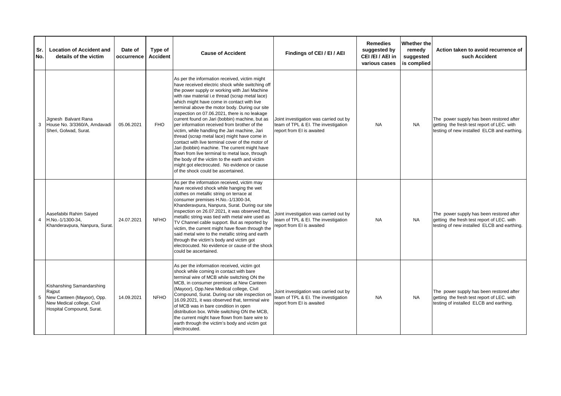| Sr.<br>No. | <b>Location of Accident and</b><br>details of the victim                                                                     | Date of<br>occurrence | Type of<br><b>Accident</b> | <b>Cause of Accident</b>                                                                                                                                                                                                                                                                                                                                                                                                                                                                                                                                                                                                                                                                                                                                                                                                                                  | Findings of CEI / EI / AEI                                                                                 | <b>Remedies</b><br>suggested by<br>CEI/EI/AEI in<br>various cases | Whether the<br>remedy<br>suggested<br>is complied | Action taken to avoid recurrence of<br>such Accident                                                                                  |
|------------|------------------------------------------------------------------------------------------------------------------------------|-----------------------|----------------------------|-----------------------------------------------------------------------------------------------------------------------------------------------------------------------------------------------------------------------------------------------------------------------------------------------------------------------------------------------------------------------------------------------------------------------------------------------------------------------------------------------------------------------------------------------------------------------------------------------------------------------------------------------------------------------------------------------------------------------------------------------------------------------------------------------------------------------------------------------------------|------------------------------------------------------------------------------------------------------------|-------------------------------------------------------------------|---------------------------------------------------|---------------------------------------------------------------------------------------------------------------------------------------|
| 3          | Jignesh Balvant Rana<br>House No. 3/3360/A, Amdavadi<br>Sheri, Golwad, Surat.                                                | 05.06.2021            | <b>FHO</b>                 | As per the information received, victim might<br>have received electric shock while switching off<br>the power supply or working with Jari Machine<br>with raw material i.e thread (scrap metal lace)<br>which might have come in contact with live<br>terminal above the motor body. During our site<br>inspection on 07.06.2021, there is no leakage<br>current found on Jari (bobbin) machine, but as<br>per information received from brother of the<br>victim, while handling the Jari machine, Jari<br>thread (scrap metal lace) might have come in<br>contact with live terminal cover of the motor of<br>Jari (bobbin) machine. The current might have<br>flown from live terminal to metal lace, through<br>the body of the victim to the earth and victim<br>might got electrocuted. No evidence or cause<br>of the shock could be ascertained. | Joint investigation was carried out by<br>team of TPL & EI. The investigation<br>report from EI is awaited | <b>NA</b>                                                         | <b>NA</b>                                         | The power supply has been restored after<br>getting the fresh test report of LEC. with<br>testing of new installed ELCB and earthing. |
| 4          | Aasefabibi Rahim Saiyed<br>H.No.-1/1300-34,<br>Khanderavpura, Nanpura, Surat.                                                | 24.07.2021            | <b>NFHO</b>                | As per the information received, victim may<br>have received shock while hanging the wet<br>clothes on metallic string on terrace at<br>consumer premises H.No.-1/1300-34,<br>Khanderavpura, Nanpura, Surat. During our site<br>inspection on 26.07.2021, it was observed that,<br>metallic string was tied with metal wire used as<br>TV Channel cable support. But as reported by<br>victim, the current might have flown through the<br>said metal wire to the metallic string and earth<br>through the victim's body and victim got<br>electrocuted. No evidence or cause of the shock<br>could be ascertained.                                                                                                                                                                                                                                       | Joint investigation was carried out by<br>team of TPL & EI. The investigation<br>report from EI is awaited | <b>NA</b>                                                         | <b>NA</b>                                         | The power supply has been restored after<br>getting the fresh test report of LEC. with<br>testing of new installed ELCB and earthing. |
| 5          | Kishanshing Samandarshing<br>Rajput<br>New Canteen (Mayoor), Opp.<br>New Medical college, Civil<br>Hospital Compound, Surat. | 14.09.2021            | <b>NFHO</b>                | As per the information received, victim got<br>shock while coming in contact with bare<br>terminal wire of MCB while switching ON the<br>MCB, in consumer premises at New Canteen<br>(Mayoor), Opp.New Medical college, Civil<br>Compound, Surat. During our site inspection on<br>16.09.2021, it was observed that, terminal wire<br>of MCB was in bare condition in open<br>distribution box. While switching ON the MCB,<br>the current might have flown from bare wire to<br>earth through the victim's body and victim got<br>electrocuted.                                                                                                                                                                                                                                                                                                          | Joint investigation was carried out by<br>team of TPL & EI. The investigation<br>report from EI is awaited | <b>NA</b>                                                         | <b>NA</b>                                         | The power supply has been restored after<br>getting the fresh test report of LEC. with<br>testing of installed ELCB and earthing.     |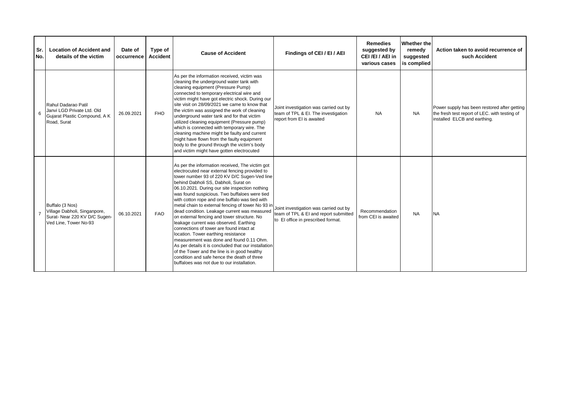| Sr.<br>No. | <b>Location of Accident and</b><br>details of the victim                                                  | Date of<br>occurrence | Type of<br><b>Accident</b> | <b>Cause of Accident</b>                                                                                                                                                                                                                                                                                                                                                                                                                                                                                                                                                                                                                                                                                                                                                                                                                                                         | Findings of CEI / EI / AEI                                                                                            | <b>Remedies</b><br>suggested by<br>CEI/EI/AEI in<br>various cases | <b>Whether the</b><br>remedy<br>suggested<br>is complied | Action taken to avoid recurrence of<br>such Accident                                                                          |
|------------|-----------------------------------------------------------------------------------------------------------|-----------------------|----------------------------|----------------------------------------------------------------------------------------------------------------------------------------------------------------------------------------------------------------------------------------------------------------------------------------------------------------------------------------------------------------------------------------------------------------------------------------------------------------------------------------------------------------------------------------------------------------------------------------------------------------------------------------------------------------------------------------------------------------------------------------------------------------------------------------------------------------------------------------------------------------------------------|-----------------------------------------------------------------------------------------------------------------------|-------------------------------------------------------------------|----------------------------------------------------------|-------------------------------------------------------------------------------------------------------------------------------|
|            | Rahul Dadarao Patil<br>Janvi LGD Private Ltd. Old<br>Gujarat Plastic Compound, A K<br>Road, Surat         | 26.09.2021            | <b>FHO</b>                 | As per the information received, victim was<br>cleaning the underground water tank with<br>cleaning equipment (Pressure Pump)<br>connected to temporary electrical wire and<br>victim might have got electric shock. During our<br>site visit on 28/09/2021 we came to know that<br>the victim was assigned the work of cleaning<br>underground water tank and for that victim<br>utilized cleaning equipment (Pressure pump)<br>which is connected with temporary wire. The<br>cleaning machine might be faulty and current<br>might have flown from the faulty equipment<br>body to the ground through the victim's body<br>and victim might have gotten electrocuted                                                                                                                                                                                                          | Joint investigation was carried out by<br>team of TPL & EI. The investigation<br>report from EI is awaited            | <b>NA</b>                                                         | <b>NA</b>                                                | Power supply has been restored after getting<br>the fresh test report of LEC. with testing of<br>installed ELCB and earthing. |
|            | Buffalo (3 Nos)<br>Village Dabholi, Singanpore,<br>Surat- Near 220 KV D/C Sugen-<br>Ved Line, Tower No-93 | 06.10.2021            | <b>FAO</b>                 | As per the information received, The victim got<br>electrocuted near external fencing provided to<br>tower number 93 of 220 KV D/C Sugen-Ved line<br>behind Dabholi SS, Dabholi, Surat on<br>06.10.2021. During our site inspection nothing<br>was found suspicious. Two buffaloes were tied<br>with cotton rope and one buffalo was tied with<br>metal chain to external fencing of tower No 93 in<br>dead condition. Leakage current was measured<br>on external fencing and tower structure. No<br>leakage current was observed. Earthing<br>connections of tower are found intact at<br>location. Tower earthing resistance<br>measurement was done and found 0.11 Ohm.<br>As per details it is concluded that our installation<br>of the Tower and the line is in good healthy<br>condition and safe hence the death of three<br>buffaloes was not due to our installation. | Joint investigation was carried out by<br>team of TPL & EI and report submitted<br>to El office in prescribed format. | Recommendation<br>from CEI is awaited                             | <b>NA</b>                                                | <b>NA</b>                                                                                                                     |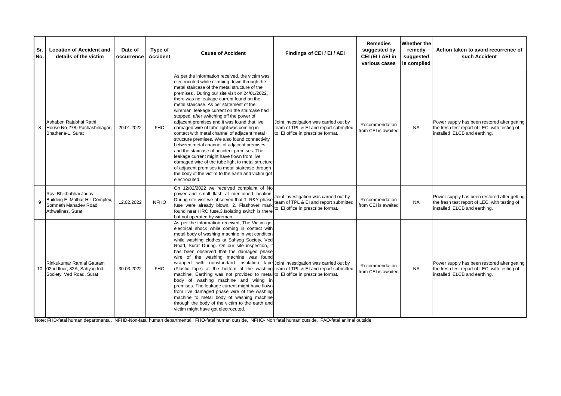| Sr.<br>No. | <b>Location of Accident and</b><br>details of the victim                                                | Date of<br>occurrence | Type of<br><b>Accident</b> | <b>Cause of Accident</b>                                                                                                                                                                                                                                                                                                                                                                                                                                                                                                                                                                                                                                                                                                                                                                                                                                                                                         | Findings of CEI / EI / AEI                                                                                           | <b>Remedies</b><br>suggested by<br>CEI/EI/AEI in<br>various cases | Whether the<br>remedy<br>suggested<br>is complied | Action taken to avoid recurrence of<br>such Accident                                                                          |
|------------|---------------------------------------------------------------------------------------------------------|-----------------------|----------------------------|------------------------------------------------------------------------------------------------------------------------------------------------------------------------------------------------------------------------------------------------------------------------------------------------------------------------------------------------------------------------------------------------------------------------------------------------------------------------------------------------------------------------------------------------------------------------------------------------------------------------------------------------------------------------------------------------------------------------------------------------------------------------------------------------------------------------------------------------------------------------------------------------------------------|----------------------------------------------------------------------------------------------------------------------|-------------------------------------------------------------------|---------------------------------------------------|-------------------------------------------------------------------------------------------------------------------------------|
| 8          | Ashaben Rajubhai Rathi<br>House No-278, Pachashilnagar,<br>Bhathena-1, Surat                            | 20.01.2022            | <b>FHO</b>                 | As per the information received, the victim was<br>electrocuted while climbing down through the<br>metal staircase of the metal structure of the<br>premises. During our site visit on 24/01/2022,<br>there was no leakage current found on the<br>metal staircase. As per statement of the<br>wireman, leakage current on the staircase had<br>stopped after switching off the power of<br>adjacent premises and it was found that live<br>damaged wire of tube light was coming in<br>contact with metal channel of adjacent metal<br>structure premises. We also found connectivity<br>between metal channel of adjacent premises<br>and the staircase of accident premises. The<br>leakage current might have flown from live<br>damaged wire of the tube light to metal structure<br>of adjacent premises to metal staircase through<br>the body of the victim to the earth and victim got<br>electrocuted. | Joint investigation was carried out by<br>team of TPL & EI and report submitted<br>to El office in prescribe format. | Recommendation<br>from CEI is awaited                             | <b>NA</b>                                         | Power supply has been restored after getting<br>the fresh test report of LEC. with testing of<br>installed ELCB and earthing. |
| 9          | Ravi Bhikhubhai Jadav<br>Building E, Malbar Hill Complex,<br>Somnath Mahadev Road.<br>Athwalines, Surat | 12.02.2022            | <b>NFHO</b>                | On 12/02/2022 we received complaint of No<br>power and small flash at mentioned location.<br>During site visit we observed that 1. R&Y phase<br>fuse were already blown. 2. Flashover mark<br>found near HRC fuse.3.Isolating switch is there<br>but not operated by wireman                                                                                                                                                                                                                                                                                                                                                                                                                                                                                                                                                                                                                                     | Joint investigation was carried out by<br>team of TPL & EI and report submitted<br>to El office in prescribe format. | Recommendation<br>from CEI is awaited                             | <b>NA</b>                                         | Power supply has been restored after getting<br>the fresh test report of LEC. with testing of<br>installed ELCB and earthing. |
|            | Rinkukumar Ramlal Gautam<br>10 02nd floor, 82A, Sahyog Ind.<br>Society, Ved Road, Surat                 | 30.03.2022            | <b>FHO</b>                 | As per the information received, The Victim got<br>electrical shock while coming in contact with<br>metal body of washing machine in wet condition<br>while washing clothes at Sahyog Society, Ved<br>Road, Surat During. On our site inspection, it<br>has been observed that the damaged phase<br>wire of the washing machine was found<br>wrapped with nonstandard insulation tape Joint investigation was carried out by<br>(Plastic tape) at the bottom of the washing team of TPL & EI and report submitted<br>machine. Earthing was not provided to metal to El office in prescribe format.<br>body of washing machine and wiring in<br>premises. The leakage current might have flown<br>from live damaged phase wire of the washing<br>machine to metal body of washing machine<br>through the body of the victim to the earth and<br>victim might have got electrocuted.                               |                                                                                                                      | Recommendation<br>from CEI is awaited                             | NA                                                | Power supply has been restored after getting<br>the fresh test report of LEC. with testing of<br>installed ELCB and earthing. |

Note: FHD-fatal human departmental, NFHD-Non-fatal human departmental, FHO-fatal human outside, NFHO- Non fatal human outside, FAO-fatal animal outside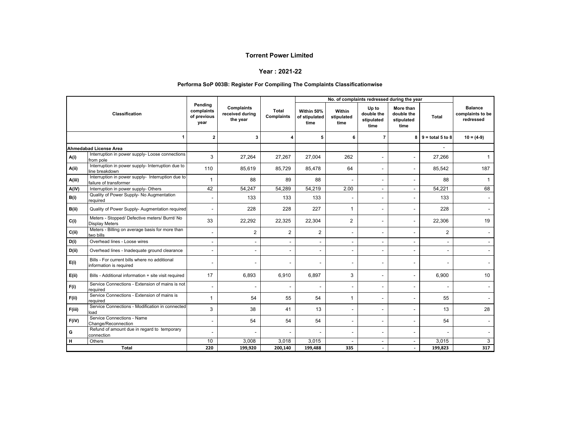#### **Year : 2021-22**

#### **Performa SoP 003B: Register For Compiling The Complaints Classificationwise**

|        |                                                                             |                                              |                                                  |                          |                                     | No. of complaints redressed during the year |                                           |                                               |                           |                                                 |
|--------|-----------------------------------------------------------------------------|----------------------------------------------|--------------------------------------------------|--------------------------|-------------------------------------|---------------------------------------------|-------------------------------------------|-----------------------------------------------|---------------------------|-------------------------------------------------|
|        | Classification                                                              | Pending<br>complaints<br>of previous<br>year | <b>Complaints</b><br>received during<br>the year | Total<br>Complaints      | Within 50%<br>of stipulated<br>time | Within<br>stipulated<br>time                | Up to<br>double the<br>stipulated<br>time | More than<br>double the<br>stipulated<br>time | Total                     | <b>Balance</b><br>complaints to be<br>redressed |
|        | 1                                                                           | $\mathbf{2}$                                 | 3                                                |                          | 5                                   | 6                                           | $\overline{7}$                            |                                               | $8 \mid 9 =$ total 5 to 8 | $10 = (4-9)$                                    |
|        | <b>Ahmedabad License Area</b>                                               |                                              |                                                  |                          |                                     |                                             |                                           |                                               |                           |                                                 |
| A(i)   | Interruption in power supply- Loose connections<br>from pole                | 3                                            | 27,264                                           | 27,267                   | 27,004                              | 262                                         |                                           |                                               | 27,266                    | $\mathbf{1}$                                    |
| A(ii)  | Interruption in power supply- Interruption due to<br>line breakdown         | 110                                          | 85,619                                           | 85,729                   | 85,478                              | 64                                          |                                           | $\overline{\phantom{a}}$                      | 85,542                    | 187                                             |
| A(iii) | Interruption in power supply- Interruption due to<br>failure of transformer | 1                                            | 88                                               | 89                       | 88                                  |                                             |                                           | $\blacksquare$                                | 88                        | $\mathbf{1}$                                    |
| A(iV)  | Interruption in power supply- Others                                        | 42                                           | 54,247                                           | 54,289                   | 54,219                              | 2.00                                        |                                           | $\overline{\phantom{a}}$                      | 54,221                    | 68                                              |
| B(i)   | Quality of Power Supply- No Augmentation<br>reauired                        | $\overline{\phantom{a}}$                     | 133                                              | 133                      | 133                                 |                                             |                                           | $\blacksquare$                                | 133                       |                                                 |
| B(ii)  | Quality of Power Supply- Augmentation required                              |                                              | 228                                              | 228                      | 227                                 | $\mathbf{1}$                                |                                           |                                               | 228                       |                                                 |
| C(i)   | Meters - Stopped/ Defective meters/ Burnt/ No<br><b>Display Meters</b>      | 33                                           | 22,292                                           | 22,325                   | 22,304                              | 2                                           |                                           | $\overline{\phantom{a}}$                      | 22,306                    | 19                                              |
| C(i)   | Meters - Billing on average basis for more than<br>two bills                | $\overline{\phantom{a}}$                     | $\overline{2}$                                   | $\overline{2}$           | $\overline{2}$                      | $\blacksquare$                              |                                           |                                               | $\overline{2}$            |                                                 |
| D(i)   | Overhead lines - Loose wires                                                |                                              |                                                  | $\overline{\phantom{a}}$ | $\blacksquare$                      |                                             |                                           |                                               | $\overline{\phantom{a}}$  |                                                 |
| D(i)   | Overhead lines - Inadequate ground clearance                                | $\overline{\phantom{a}}$                     |                                                  |                          | $\overline{\phantom{a}}$            |                                             |                                           |                                               | $\overline{\phantom{a}}$  |                                                 |
| E(i)   | Bills - For current bills where no additional<br>information is required    | $\overline{\phantom{a}}$                     |                                                  |                          | $\overline{\phantom{a}}$            | ۰                                           |                                           |                                               | $\overline{\phantom{a}}$  |                                                 |
| E(ii)  | Bills - Additional information + site visit required                        | 17                                           | 6,893                                            | 6,910                    | 6,897                               | 3                                           |                                           | $\blacksquare$                                | 6,900                     | 10 <sup>10</sup>                                |
| F(i)   | Service Connections - Extension of mains is not<br>required                 | $\blacksquare$                               |                                                  |                          | $\overline{\phantom{a}}$            |                                             |                                           | ۰                                             | $\blacksquare$            |                                                 |
| F(ii)  | Service Connections - Extension of mains is<br>required                     | 1                                            | 54                                               | 55                       | 54                                  | $\mathbf{1}$                                |                                           |                                               | 55                        |                                                 |
| F(iii) | Service Connections - Modification in connected<br>load                     | 3                                            | 38                                               | 41                       | 13                                  | $\overline{a}$                              |                                           |                                               | 13                        | 28                                              |
| F(iV)  | Service Connections - Name<br>Change/Reconnection                           | $\overline{\phantom{a}}$                     | 54                                               | 54                       | 54                                  | ٠                                           |                                           |                                               | 54                        |                                                 |
| G      | Refund of amount due in regard to temporary<br>connection                   |                                              |                                                  |                          |                                     | $\overline{a}$                              |                                           |                                               |                           |                                                 |
| н      | Others                                                                      | 10                                           | 3,008                                            | 3,018                    | 3,015                               |                                             | $\overline{\phantom{a}}$                  |                                               | 3,015                     | 3                                               |
|        | <b>Total</b>                                                                | 220                                          | 199,920                                          | 200,140                  | 199,488                             | 335                                         | $\overline{\phantom{a}}$                  |                                               | 199,823                   | 317                                             |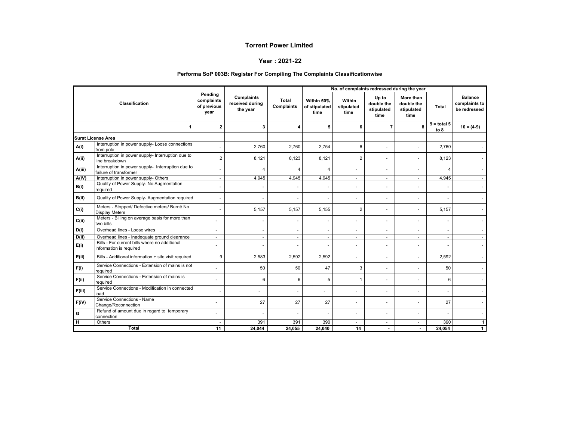#### **Year : 2021-22**

#### **Performa SoP 003B: Register For Compiling The Complaints Classificationwise**

|        |                                                                             |                                              |                                                  |                          |                                     | No. of complaints redressed during the year |                                           |                                               |                       |                                                 |  |
|--------|-----------------------------------------------------------------------------|----------------------------------------------|--------------------------------------------------|--------------------------|-------------------------------------|---------------------------------------------|-------------------------------------------|-----------------------------------------------|-----------------------|-------------------------------------------------|--|
|        | Classification                                                              | Pending<br>complaints<br>of previous<br>year | <b>Complaints</b><br>received during<br>the year | Total<br>Complaints      | Within 50%<br>of stipulated<br>time | Within<br>stipulated<br>time                | Up to<br>double the<br>stipulated<br>time | More than<br>double the<br>stipulated<br>time | <b>Total</b>          | <b>Balance</b><br>complaints to<br>be redressed |  |
|        | 1                                                                           | $\overline{2}$                               | 3                                                | Δ                        | 5                                   | 6                                           | $\overline{7}$                            | 8                                             | $9 =$ total 5<br>to 8 | $10 = (4-9)$                                    |  |
|        | <b>Surat License Area</b>                                                   |                                              |                                                  |                          |                                     |                                             |                                           |                                               |                       |                                                 |  |
| A(i)   | Interruption in power supply- Loose connections<br>from pole                |                                              | 2,760                                            | 2,760                    | 2.754                               | 6                                           |                                           | $\blacksquare$                                | 2.760                 |                                                 |  |
| A(ii)  | Interruption in power supply- Interruption due to<br>line breakdown         | $\overline{2}$                               | 8,121                                            | 8,123                    | 8,121                               | $\overline{2}$                              |                                           | ÷                                             | 8,123                 |                                                 |  |
| A(iii) | Interruption in power supply- Interruption due to<br>failure of transformer |                                              | $\overline{4}$                                   | Δ                        | $\overline{4}$                      |                                             |                                           | $\blacksquare$                                |                       |                                                 |  |
| A(iV)  | Interruption in power supply- Others                                        | $\sim$                                       | 4.945                                            | 4,945                    | 4,945                               | $\sim$                                      | $\overline{\phantom{a}}$                  | $\overline{\phantom{a}}$                      | 4,945                 |                                                 |  |
| B(i)   | Quality of Power Supply- No Augmentation<br>required                        | $\overline{\phantom{a}}$                     |                                                  | $\overline{\phantom{a}}$ |                                     |                                             | $\overline{\phantom{a}}$                  | $\blacksquare$                                |                       |                                                 |  |
| B(ii)  | Quality of Power Supply- Augmentation required                              | $\sim$                                       |                                                  | $\overline{\phantom{a}}$ |                                     |                                             | $\overline{\phantom{a}}$                  | $\ddot{\phantom{1}}$                          |                       |                                                 |  |
| C(i)   | Meters - Stopped/ Defective meters/ Burnt/ No<br><b>Display Meters</b>      | $\overline{\phantom{a}}$                     | 5,157                                            | 5,157                    | 5,155                               | $\overline{2}$                              |                                           | $\blacksquare$                                | 5,157                 |                                                 |  |
| C(ii)  | Meters - Billing on average basis for more than<br>two bills                |                                              |                                                  | $\overline{\phantom{a}}$ |                                     |                                             |                                           | $\blacksquare$                                |                       |                                                 |  |
| D(i)   | Overhead lines - Loose wires                                                | $\sim$                                       | $\overline{\phantom{a}}$                         | $\overline{\phantom{a}}$ |                                     |                                             | $\overline{\phantom{a}}$                  | $\blacksquare$                                |                       |                                                 |  |
| D(i)   | Overhead lines - Inadequate ground clearance                                | $\sim$                                       | $\sim$                                           | $\blacksquare$           | $\overline{\phantom{a}}$            | $\sim$                                      | $\overline{\phantom{a}}$                  | $\sim$                                        |                       |                                                 |  |
| E(i)   | Bills - For current bills where no additional<br>information is required    |                                              |                                                  | $\overline{\phantom{a}}$ |                                     | $\ddot{\phantom{1}}$                        | $\overline{\phantom{a}}$                  | $\blacksquare$                                |                       |                                                 |  |
| E(ii)  | Bills - Additional information + site visit required                        | 9                                            | 2,583                                            | 2,592                    | 2,592                               | $\sim$                                      |                                           | $\blacksquare$                                | 2,592                 |                                                 |  |
| F(i)   | Service Connections - Extension of mains is not<br>required                 |                                              | 50                                               | 50                       | 47                                  | 3                                           |                                           | $\blacksquare$                                | 50                    |                                                 |  |
| F(ii)  | Service Connections - Extension of mains is<br>required                     |                                              | 6                                                | 6                        | 5                                   | $\mathbf{1}$                                | $\blacksquare$                            | $\blacksquare$                                | 6                     |                                                 |  |
| F(iii) | Service Connections - Modification in connected<br>load                     | $\overline{\phantom{a}}$                     |                                                  | $\blacksquare$           |                                     | $\blacksquare$                              | $\blacksquare$                            | $\blacksquare$                                |                       |                                                 |  |
| F(iV)  | Service Connections - Name<br>Change/Reconnection                           | $\sim$                                       | 27                                               | 27                       | 27                                  | $\ddot{\phantom{1}}$                        |                                           | $\blacksquare$                                | 27                    |                                                 |  |
| G      | Refund of amount due in regard to temporary<br>connection                   |                                              |                                                  | $\overline{\phantom{a}}$ |                                     | $\blacksquare$                              |                                           | $\blacksquare$                                |                       |                                                 |  |
| н      | Others                                                                      |                                              | 391                                              | 391                      | 390                                 | $\sim$                                      | $\overline{\phantom{a}}$                  | $\sim$                                        | 390                   |                                                 |  |
|        | <b>Total</b>                                                                | 11                                           | 24,044                                           | 24,055                   | 24,040                              | 14                                          |                                           |                                               | 24,054                | 1                                               |  |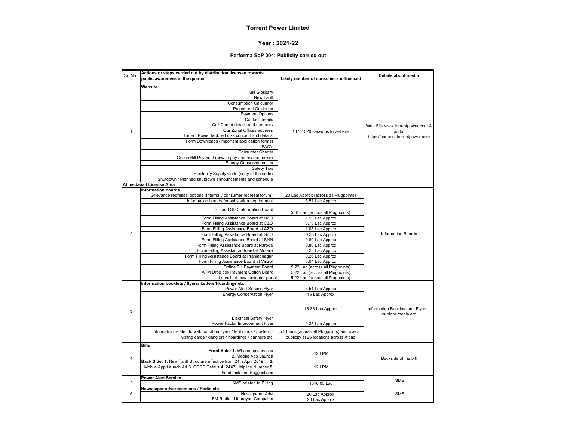#### **Year : 2021-22**

#### **Performa SoP 004: Publicity carried out**

| Sr. No.                 | Actions or steps carried out by distribution licensee towards<br>public awareness in the quarter | Likely number of consumers influenced         | Details about media                                   |
|-------------------------|--------------------------------------------------------------------------------------------------|-----------------------------------------------|-------------------------------------------------------|
|                         |                                                                                                  |                                               |                                                       |
|                         | Website                                                                                          |                                               |                                                       |
|                         | <b>Bill Glossary</b>                                                                             |                                               |                                                       |
|                         | <b>New Tariff</b>                                                                                |                                               |                                                       |
|                         | <b>Consumption Calculator</b>                                                                    |                                               |                                                       |
|                         | <b>Procedural Guidance</b>                                                                       |                                               |                                                       |
|                         | <b>Payment Options</b>                                                                           |                                               |                                                       |
|                         | Contact details                                                                                  |                                               |                                                       |
|                         | Call Center details and numbers                                                                  |                                               | Web Site www.torrentpower.com &                       |
| 1                       | Our Zonal Offices address                                                                        | 13761520 sessions to website                  | portal                                                |
|                         | Torrent Power Mobile Links concept and details                                                   |                                               | https://connect.torrentpower.com                      |
|                         | Form Downloads (important application forms)                                                     |                                               |                                                       |
|                         | FAQ's                                                                                            |                                               |                                                       |
|                         | Consumer Charter                                                                                 |                                               |                                                       |
|                         | Online Bill Payment (how to pay and related forms)                                               |                                               |                                                       |
|                         | <b>Energy Conservation tips</b>                                                                  |                                               |                                                       |
|                         | Safety Tips                                                                                      |                                               |                                                       |
|                         | Electricity Supply Code (copy of the code)                                                       |                                               |                                                       |
|                         | Shutdown / Planned shutdown announcements and schedule                                           |                                               |                                                       |
|                         | <b>Ahmedabad License Area</b>                                                                    |                                               |                                                       |
|                         | <b>Information boards</b>                                                                        |                                               |                                                       |
|                         | Grievance redressal options (Internal / consumer redresal forum)                                 | 20 Lac Approx (across all Plugpoints)         |                                                       |
|                         | Information boards for substation requirement                                                    | 5.51 Lac Approx                               |                                                       |
|                         | SD and SLC Information Board                                                                     | 5.31 Lac (across all Plugpoints)              |                                                       |
|                         | Form Filling Assistance Board at NZO                                                             | 1.13 Lac Approx                               |                                                       |
|                         | Form Filling Assistance Board at CZO                                                             | 0.78 Lac Approx                               |                                                       |
|                         | Form Filling Assistance Board at AZO                                                             | 1.08 Lac Approx                               |                                                       |
|                         | Form Filling Assistance Board at GZO                                                             | 0.38 Lac Approx                               | <b>Information Boards</b>                             |
| $\overline{2}$          | Form Filling Assistance Board at SNN                                                             | 0.80 Lac Approx                               |                                                       |
|                         | Form Filling Assistance Board at Naroda                                                          | 0.80 Lac Approx                               |                                                       |
|                         | Form Filling Assistance Board at Motera                                                          | 0.23 Lac Approx                               |                                                       |
|                         | Form Filling Assistance Board at Prahladnagar                                                    | 0.26 Lac Approx                               |                                                       |
|                         | Form Filling Assistance Board at Vinzol                                                          | 0.04 Lac Approx                               |                                                       |
|                         | Online Bill Payment Board                                                                        | 5.22 Lac (across all Plugpoints)              |                                                       |
|                         | ATM Drop box Payment Option Board                                                                | 5.22 Lac (across all Plugpoints)              |                                                       |
|                         | Launch of new customer portal                                                                    | 5.22 Lac (across all Plugpoints)              |                                                       |
|                         |                                                                                                  |                                               |                                                       |
|                         | Information booklets / flyers/ Letters/Hoardings etc<br>Power Alert Service Flyer                |                                               |                                                       |
|                         | <b>Energy Conservation Flyer</b>                                                                 | 5.51 Lac Approx                               |                                                       |
|                         |                                                                                                  | 15 Lac Approx                                 |                                                       |
| 3                       |                                                                                                  | 16.33 Lac Approx                              | Information Booklets and Flyers,<br>outdoor media etc |
|                         | <b>Electrical Safety Flyer</b>                                                                   |                                               |                                                       |
|                         | Power Factor Improvement Flyer                                                                   | 0.35 Lac Approx                               |                                                       |
|                         | Information related to web portal on flyers / tent cards / posters /                             | 5.31 lacs (acorss all Plugpoints) and overall |                                                       |
|                         | visitng cards / danglers / hoardings / banners etc                                               | publicity at 26 locations across A'bad        |                                                       |
|                         |                                                                                                  |                                               |                                                       |
|                         | <b>Bills</b>                                                                                     |                                               |                                                       |
|                         | Front Side: 1. Whatsapp services                                                                 | 12 LPM                                        |                                                       |
| $\overline{\mathbf{4}}$ | 2. Mobile App Launch                                                                             |                                               | Backside of the bill                                  |
|                         | Back Side: 1. New Tariff Structure effective from 24th April 2019<br>2.                          |                                               |                                                       |
|                         | Mobile App Launch Ad 3. CGRF Details 4. 24X7 Helpline Number 5.                                  | 12 LPM                                        |                                                       |
|                         | Feedback and Suggestions                                                                         |                                               |                                                       |
| 5                       | <b>Power Alert Service</b>                                                                       |                                               | <b>SMS</b>                                            |
|                         | SMS related to Billing                                                                           | 1016.05 Lac                                   |                                                       |
|                         | Newspaper advertisements / Radio etc                                                             |                                               |                                                       |
| 6                       | News paper Advt                                                                                  | 20 Lac Approx                                 | <b>SMS</b>                                            |
|                         | FM Radio - Uttarayan Campaign                                                                    | 20 Lac Approx                                 |                                                       |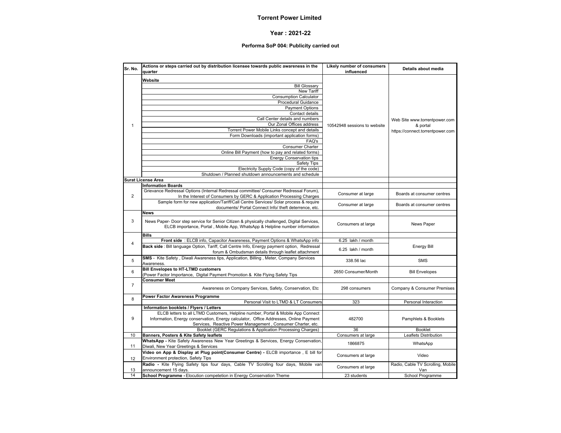#### **Year : 2021-22**

#### **Performa SoP 004: Publicity carried out**

| Sr. No.        | Actions or steps carried out by distribution licensee towards public awareness in the<br>quarter | Likely number of consumers<br>influenced | Details about media               |
|----------------|--------------------------------------------------------------------------------------------------|------------------------------------------|-----------------------------------|
|                | Website                                                                                          |                                          |                                   |
|                | <b>Bill Glossary</b>                                                                             |                                          |                                   |
|                | <b>New Tariff</b>                                                                                |                                          |                                   |
|                | <b>Consumption Calculator</b>                                                                    |                                          |                                   |
|                | Procedural Guidance                                                                              |                                          |                                   |
|                | <b>Payment Options</b>                                                                           |                                          |                                   |
|                | Contact details                                                                                  |                                          |                                   |
|                | Call Center details and numbers                                                                  |                                          |                                   |
|                | Our Zonal Offices address                                                                        |                                          | Web Site www.torrentpower.com     |
| $\mathbf{1}$   | Torrent Power Mobile Links concept and details                                                   | 10542948 sessions to website             | & portal                          |
|                | Form Downloads (important application forms)                                                     |                                          | https://connect.torrentpower.com  |
|                | FAQ's                                                                                            |                                          |                                   |
|                |                                                                                                  |                                          |                                   |
|                | <b>Consumer Charter</b>                                                                          |                                          |                                   |
|                | Online Bill Payment (how to pay and related forms)                                               |                                          |                                   |
|                | <b>Energy Conservation tips</b>                                                                  |                                          |                                   |
|                | Safety Tips                                                                                      |                                          |                                   |
|                | Electricity Supply Code (copy of the code)                                                       |                                          |                                   |
|                | Shutdown / Planned shutdown announcements and schedule                                           |                                          |                                   |
|                | <b>Surat License Area</b>                                                                        |                                          |                                   |
|                | <b>Information Boards</b>                                                                        |                                          |                                   |
|                | Grievance Redressal Options (Internal Redressal committee/ Consumer Redressal Forum),            | Consumer at large                        | Boards at consumer centres        |
| $\overline{2}$ | In the Interest of Consumers by GERC & Application Processing Charges                            |                                          |                                   |
|                | Sample form for new application/Tariff/Call Centre Services/ Solar process & require             | Consumer at large                        | Boards at consumer centres        |
|                | documents/ Portal Connect Info/ theft deterrence, etc.                                           |                                          |                                   |
|                | <b>News</b>                                                                                      |                                          |                                   |
| 3              | News Paper- Door step service for Senior Citizen & physically challenged, Digital Services,      |                                          |                                   |
|                | ELCB importance, Portal, Mobile App, WhatsApp & Helpline number information                      | Consumers at large                       | News Paper                        |
|                |                                                                                                  |                                          |                                   |
|                | <b>Bills</b>                                                                                     |                                          |                                   |
| $\overline{4}$ | Front side: ELCB info, Capacitor Awareness, Payment Options & WhatsApp info                      | 6.25 lakh / month                        |                                   |
|                | Back side : Bill language Option, Tariff, Call Centre Info, Energy payment option, Redressal     | 6.25 lakh / month                        | <b>Energy Bill</b>                |
|                | forum & Ombudsman details through leaflet attachment                                             |                                          |                                   |
| 5              | SMS - Kite Safety, Diwali Awareness tips, Application, Billing, Meter, Company Services          | 338.56 lac                               | <b>SMS</b>                        |
|                | Awareness.                                                                                       |                                          |                                   |
| 6              | <b>Bill Envelopes to HT-LTMD customers</b>                                                       | 2650 Consumer/Month                      | <b>Bill Envelopes</b>             |
|                | (Power Factor Importance, Digital Payment Promotion & Kite Flying Safety Tips                    |                                          |                                   |
|                | <b>Consumer Meet</b>                                                                             |                                          |                                   |
| $\overline{7}$ |                                                                                                  |                                          |                                   |
|                | Awareness on Company Services, Safety, Conservation, Etc                                         | 298 consumers                            | Company & Consumer Premises       |
|                | <b>Power Factor Awareness Programme</b>                                                          |                                          |                                   |
| 8              | Personal Visit to LTMD & LT Consumers                                                            | 323                                      | Personal Interaction              |
|                | Information booklets / Flyers / Letters                                                          |                                          |                                   |
|                | ELCB letters to all LTMD Customers, Helpline number, Portal & Mobile App Connect                 |                                          |                                   |
| 9              | Information, Energy conservation, Energy calculator, Office Addresses, Online Payment            | 482700                                   | Pamphlets & Booklets              |
|                | Services, Reactive Power Management, Consumer Charter, etc.                                      |                                          |                                   |
|                | Booklet (GERC Regulations & Application Processing Charges)                                      | 36                                       | <b>Booklet</b>                    |
| 10             | Banners, Posters & Kite Safety leaflets                                                          | Consumers at large                       | Leaflets Distribution             |
|                | WhatsApp - Kite Safety Awareness New Year Greetings & Services, Energy Conservation,             |                                          |                                   |
| 11             | Diwali, New Year Greetings & Services                                                            | 1866875                                  | WhatsApp                          |
|                | Video on App & Display at Plug point(Consumer Centre) - ELCB importance, E bill for              |                                          |                                   |
|                | Environment protection, Safety Tips                                                              | Consumers at large                       | Video                             |
| 12             |                                                                                                  |                                          |                                   |
|                | Radio - Kite Flying Safety tips four days, Cable TV Scrolling four days, Mobile van              | Consumers at large                       | Radio, Cable TV Scrolling, Mobile |
| 13             | announcement 15 days.                                                                            |                                          | Van                               |
| 14             | School Programme - Elocution competetion in Energy Conservation Theme                            | 23 students                              | School Programme                  |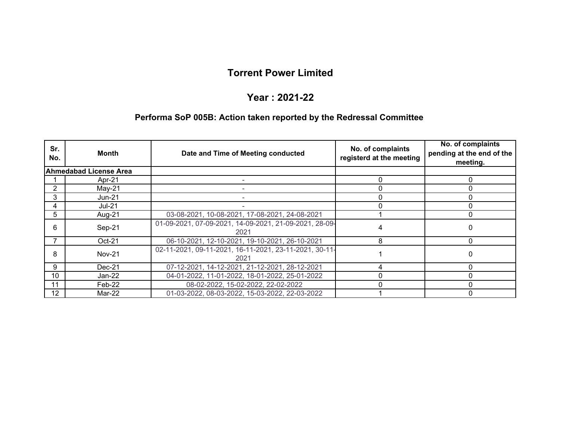#### **Year : 2021-22**

#### **Performa SoP 005B: Action taken reported by the Redressal Committee**

| Sr.<br>No.     | Month                         | Date and Time of Meeting conducted                             | No. of complaints<br>registerd at the meeting | No. of complaints<br>pending at the end of the<br>meeting. |
|----------------|-------------------------------|----------------------------------------------------------------|-----------------------------------------------|------------------------------------------------------------|
|                | <b>Ahmedabad License Area</b> |                                                                |                                               |                                                            |
|                | Apr-21                        |                                                                | 0                                             | 0                                                          |
| $\overline{2}$ | $May-21$                      |                                                                |                                               |                                                            |
| 3              | <b>Jun-21</b>                 |                                                                |                                               |                                                            |
| 4              | <b>Jul-21</b>                 |                                                                |                                               |                                                            |
| 5              | Aug-21                        | 03-08-2021, 10-08-2021, 17-08-2021, 24-08-2021                 |                                               |                                                            |
| 6              | Sep-21                        | 01-09-2021, 07-09-2021, 14-09-2021, 21-09-2021, 28-09-<br>2021 |                                               |                                                            |
|                | $Oct-21$                      | 06-10-2021, 12-10-2021, 19-10-2021, 26-10-2021                 | 8                                             | 0                                                          |
| 8              | <b>Nov-21</b>                 | 02-11-2021, 09-11-2021, 16-11-2021, 23-11-2021, 30-11-<br>2021 |                                               |                                                            |
| 9              | $Dec-21$                      | 07-12-2021, 14-12-2021, 21-12-2021, 28-12-2021                 |                                               |                                                            |
| 10             | Jan-22                        | 04-01-2022, 11-01-2022, 18-01-2022, 25-01-2022                 |                                               |                                                            |
| 11             | Feb-22                        | 08-02-2022, 15-02-2022, 22-02-2022                             |                                               |                                                            |
| 12             | Mar-22                        | 01-03-2022, 08-03-2022, 15-03-2022, 22-03-2022                 |                                               |                                                            |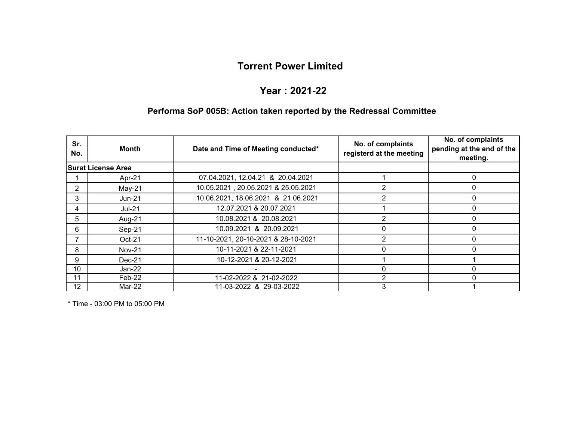#### **Year : 2021-22**

# **Performa SoP 005B: Action taken reported by the Redressal Committee**

| Sr.<br>No.     | <b>Month</b>              | Date and Time of Meeting conducted* | No. of complaints<br>registerd at the meeting | No. of complaints<br>pending at the end of the<br>meeting. |
|----------------|---------------------------|-------------------------------------|-----------------------------------------------|------------------------------------------------------------|
|                | <b>Surat License Area</b> |                                     |                                               |                                                            |
|                | Apr-21                    | 07.04.2021, 12.04.21 & 20.04.2021   |                                               | $\Omega$                                                   |
| $\overline{2}$ | $May-21$                  | 10.05.2021, 20.05.2021 & 25.05.2021 |                                               |                                                            |
| 3              | <b>Jun-21</b>             | 10.06.2021, 18.06.2021 & 21.06.2021 | 2                                             | $\Omega$                                                   |
| 4              | <b>Jul-21</b>             | 12.07.2021 & 20.07.2021             |                                               |                                                            |
| 5              | Aug-21                    | 10.08.2021 & 20.08.2021             | 2                                             | 0                                                          |
| 6              | Sep-21                    | 10.09.2021 & 20.09.2021             |                                               |                                                            |
|                | $Oct-21$                  | 11-10-2021, 20-10-2021 & 28-10-2021 | 2                                             | 0                                                          |
| 8              | <b>Nov-21</b>             | 10-11-2021 & 22-11-2021             | 0                                             |                                                            |
| 9              | $Dec-21$                  | 10-12-2021 & 20-12-2021             |                                               |                                                            |
| 10             | Jan-22                    |                                     | O                                             |                                                            |
| 11             | Feb-22                    | 11-02-2022 & 21-02-2022             | 2                                             |                                                            |
| 12             | Mar-22                    | 11-03-2022 & 29-03-2022             | 3                                             |                                                            |

\* Time - 03:00 PM to 05:00 PM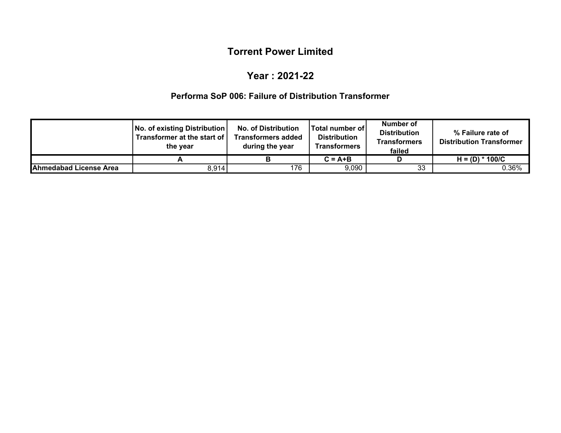#### **Year : 2021-22**

#### **Performa SoP 006: Failure of Distribution Transformer**

|                        | No. of existing Distribution<br>Transformer at the start of I<br>the year | <b>No. of Distribution</b><br><b>Transformers added</b><br>during the year | lTotal number of l<br><b>Distribution</b><br><b>Transformers</b> | Number of<br><b>Distribution</b><br>Transformers<br>failed | % Failure rate of<br><b>Distribution Transformer</b> |
|------------------------|---------------------------------------------------------------------------|----------------------------------------------------------------------------|------------------------------------------------------------------|------------------------------------------------------------|------------------------------------------------------|
|                        |                                                                           |                                                                            | $C = A + B$                                                      |                                                            | $H = (D) * 100/C$                                    |
| Ahmedabad License Area | 8,914                                                                     | 176                                                                        | 9,090                                                            | 33                                                         | 0.36%                                                |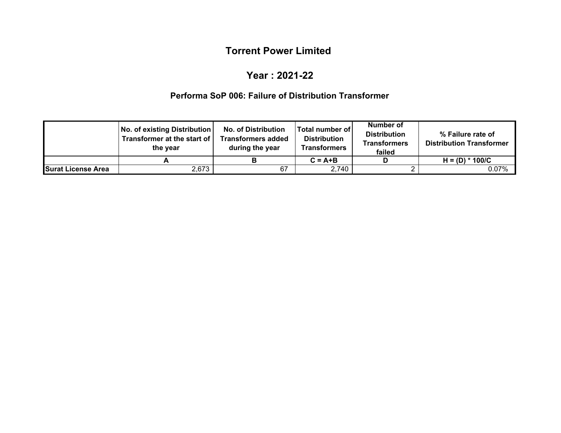### **Year : 2021-22**

### **Performa SoP 006: Failure of Distribution Transformer**

|                           | No. of existing Distribution<br>Transformer at the start of I<br>the vear | <b>No. of Distribution</b><br><b>Transformers added</b><br>during the year | Total number of<br><b>Distribution</b><br><b>Transformers</b> | Number of<br><b>Distribution</b><br><b>Transformers</b><br>failed | % Failure rate of<br><b>Distribution Transformer</b> |
|---------------------------|---------------------------------------------------------------------------|----------------------------------------------------------------------------|---------------------------------------------------------------|-------------------------------------------------------------------|------------------------------------------------------|
|                           |                                                                           |                                                                            | $C = A+B$                                                     |                                                                   | $H = (D) * 100/C$                                    |
| <b>Surat License Area</b> | 2,673                                                                     | 67                                                                         | 2,740                                                         |                                                                   | 0.07%                                                |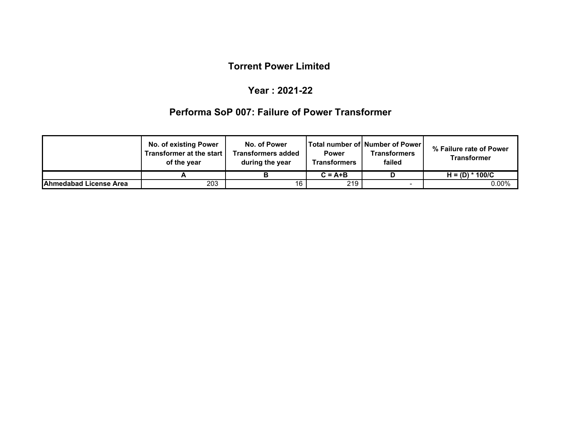### **Year : 2021-22**

# **Performa SoP 007: Failure of Power Transformer**

|                               | <b>No. of existing Power</b><br>Transformer at the start I<br>of the year | No. of Power<br>Transformers added<br>during the year | <b>Power</b><br>Transformers | Total number of   Number of Power  <br>Transformers<br>failed | % Failure rate of Power<br>Transformer |
|-------------------------------|---------------------------------------------------------------------------|-------------------------------------------------------|------------------------------|---------------------------------------------------------------|----------------------------------------|
|                               |                                                                           |                                                       | $C = A+B$                    |                                                               | $H = (D) * 100/C$                      |
| <b>Ahmedabad License Area</b> | 203                                                                       | 16                                                    | 219                          |                                                               | $0.00\%$                               |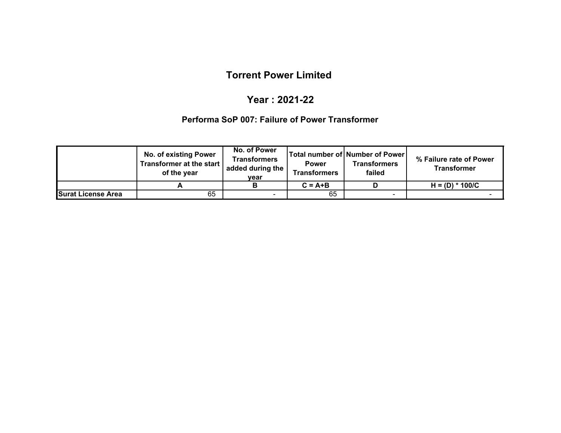# **Year : 2021-22**

#### **Performa SoP 007: Failure of Power Transformer**

|                           | No. of existing Power<br>Transformer at the start<br>of the year | No. of Power<br><b>Transformers</b><br>added during the<br>vear | <b>Power</b><br><b>Transformers</b> | Total number of Number of Power<br>Transformers<br>failed | % Failure rate of Power<br><b>Transformer</b> |
|---------------------------|------------------------------------------------------------------|-----------------------------------------------------------------|-------------------------------------|-----------------------------------------------------------|-----------------------------------------------|
|                           |                                                                  |                                                                 | $C = A + B$                         |                                                           | $H = (D) * 100/C$                             |
| <b>Surat License Area</b> | 65                                                               | $\overline{\phantom{a}}$                                        | 65                                  | $\overline{\phantom{0}}$                                  |                                               |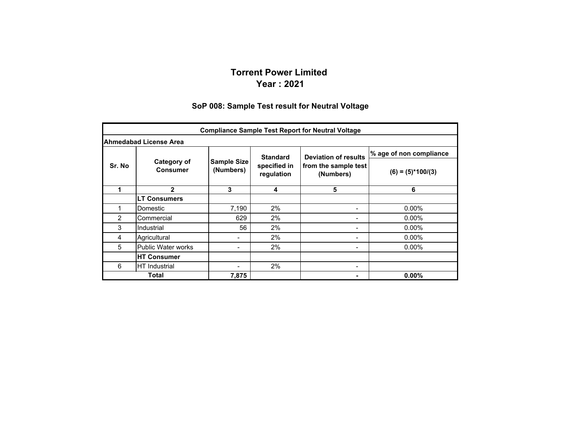#### **Torrent Power Limited Year : 2021**

#### **SoP 008: Sample Test result for Neutral Voltage**

|        |                                |                                 |                            | <b>Compliance Sample Test Report for Neutral Voltage</b> |                         |  |  |  |  |  |  |
|--------|--------------------------------|---------------------------------|----------------------------|----------------------------------------------------------|-------------------------|--|--|--|--|--|--|
|        | Ahmedabad License Area         |                                 |                            |                                                          |                         |  |  |  |  |  |  |
|        |                                |                                 | <b>Standard</b>            | <b>Deviation of results</b>                              | % age of non compliance |  |  |  |  |  |  |
| Sr. No | Category of<br><b>Consumer</b> | <b>Sample Size</b><br>(Numbers) | specified in<br>regulation | from the sample test<br>(Numbers)                        | $(6) = (5)*100/(3)$     |  |  |  |  |  |  |
| 1      | $\mathbf{2}$                   | 3                               | 4                          | 5                                                        | 6                       |  |  |  |  |  |  |
|        | <b>LT Consumers</b>            |                                 |                            |                                                          |                         |  |  |  |  |  |  |
| 1      | Domestic                       | 7,190                           | 2%                         |                                                          | $0.00\%$                |  |  |  |  |  |  |
| 2      | Commercial                     | 629                             | 2%                         | $\overline{\phantom{0}}$                                 | $0.00\%$                |  |  |  |  |  |  |
| 3      | Industrial                     | 56                              | 2%                         |                                                          | 0.00%                   |  |  |  |  |  |  |
| 4      | Agricultural                   |                                 | 2%                         | $\blacksquare$                                           | $0.00\%$                |  |  |  |  |  |  |
| 5      | <b>Public Water works</b>      |                                 | 2%                         |                                                          | $0.00\%$                |  |  |  |  |  |  |
|        | <b>HT Consumer</b>             |                                 |                            |                                                          |                         |  |  |  |  |  |  |
| 6      | HT Industrial                  |                                 | 2%                         | $\overline{\phantom{0}}$                                 |                         |  |  |  |  |  |  |
|        | Total                          | 7,875                           |                            |                                                          | $0.00\%$                |  |  |  |  |  |  |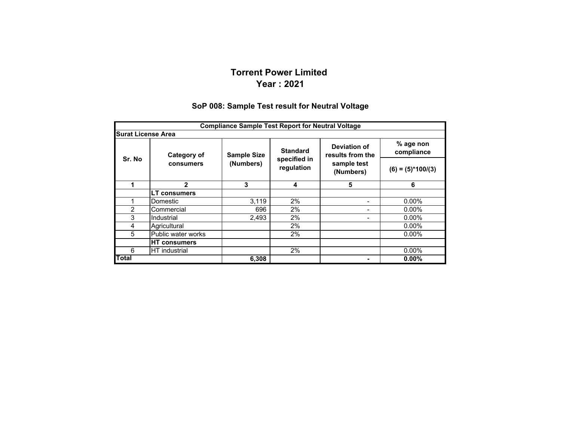#### **Torrent Power Limited Year : 2021**

#### **SoP 008: Sample Test result for Neutral Voltage**

|                           | <b>Compliance Sample Test Report for Neutral Voltage</b> |                    |                            |                                  |                         |  |  |  |  |  |  |
|---------------------------|----------------------------------------------------------|--------------------|----------------------------|----------------------------------|-------------------------|--|--|--|--|--|--|
| <b>Surat License Area</b> |                                                          |                    |                            |                                  |                         |  |  |  |  |  |  |
|                           | Category of                                              | <b>Sample Size</b> | <b>Standard</b>            | Deviation of<br>results from the | % age non<br>compliance |  |  |  |  |  |  |
| Sr. No                    | consumers                                                | (Numbers)          | specified in<br>regulation | sample test<br>(Numbers)         | $(6) = (5)*100/(3)$     |  |  |  |  |  |  |
|                           | $\mathbf{2}$                                             | 3                  | 4                          | 5                                | 6                       |  |  |  |  |  |  |
|                           | <b>LT consumers</b>                                      |                    |                            |                                  |                         |  |  |  |  |  |  |
|                           | Domestic                                                 | 3,119              | 2%                         | -                                | $0.00\%$                |  |  |  |  |  |  |
| $\overline{c}$            | Commercial                                               | 696                | 2%                         | Ξ.                               | $0.00\%$                |  |  |  |  |  |  |
| 3                         | Industrial                                               | 2,493              | 2%                         |                                  | $0.00\%$                |  |  |  |  |  |  |
| 4                         | Agricultural                                             |                    | 2%                         |                                  | $0.00\%$                |  |  |  |  |  |  |
| 5                         | Public water works                                       |                    | 2%                         |                                  | $0.00\%$                |  |  |  |  |  |  |
|                           | <b>HT</b> consumers                                      |                    |                            |                                  |                         |  |  |  |  |  |  |
| 6                         | <b>HT</b> industrial                                     |                    | 2%                         |                                  | $0.00\%$                |  |  |  |  |  |  |
| <b>Total</b>              |                                                          | 6,308              |                            | ۰                                | 0.00%                   |  |  |  |  |  |  |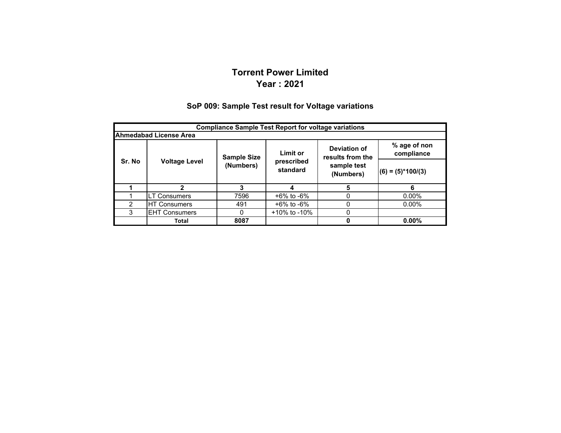## **Torrent Power LimitedYear : 2021**

#### **SoP 009: Sample Test result for Voltage variations**

|                                                                                                         | <b>Compliance Sample Test Report for voltage variations</b> |           |                        |                          |                     |  |  |  |  |  |  |
|---------------------------------------------------------------------------------------------------------|-------------------------------------------------------------|-----------|------------------------|--------------------------|---------------------|--|--|--|--|--|--|
|                                                                                                         | <b>Ahmedabad License Area</b>                               |           |                        |                          |                     |  |  |  |  |  |  |
| % age of non<br>Deviation of<br><b>Limit or</b><br>compliance<br>results from the<br><b>Sample Size</b> |                                                             |           |                        |                          |                     |  |  |  |  |  |  |
| Sr. No                                                                                                  | <b>Voltage Level</b>                                        | (Numbers) | prescribed<br>standard | sample test<br>(Numbers) | $(6) = (5)*100/(3)$ |  |  |  |  |  |  |
|                                                                                                         | 2                                                           |           |                        | 5                        | 6                   |  |  |  |  |  |  |
|                                                                                                         | <b>LT Consumers</b>                                         | 7596      | $+6\%$ to $-6\%$       | 0                        | $0.00\%$            |  |  |  |  |  |  |
| $\mathcal{P}$                                                                                           | +6% to -6%<br><b>HT Consumers</b><br>491<br>$0.00\%$<br>0   |           |                        |                          |                     |  |  |  |  |  |  |
| 3                                                                                                       | $+10\%$ to -10%<br><b>EHT Consumers</b><br>0                |           |                        |                          |                     |  |  |  |  |  |  |
|                                                                                                         | Total                                                       | 8087      |                        | 0                        | $0.00\%$            |  |  |  |  |  |  |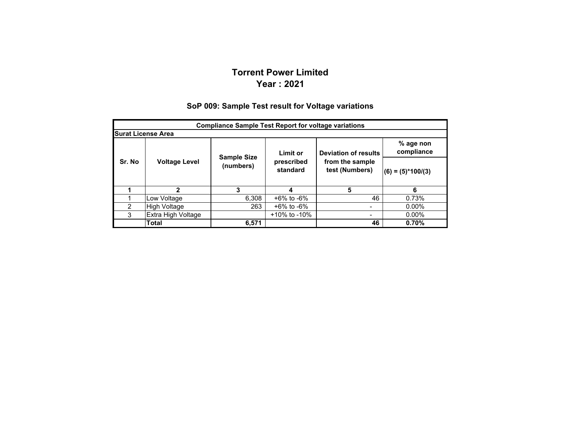### **Torrent Power LimitedYear : 2021**

#### **% age non compliance (6) = (5)\*100/(3) 1 2 34 5 6** 1Low Voltage 6,308 +6% to -6% 46 0.73%<br>
High Voltage 263 +6% to -6% 1 - 0.00% 2 $H$ igh Voltage  $263$  +6% to -6%  $-$ 3 Extra High Voltage +10% to -10% - 0.00% **Total 6,571 46 0.70% Compliance Sample Test Report for voltage variations Surat License Area Deviation of results from the sample test (Numbers) Sr. No Voltage Level Sample Size (numbers) Limit or prescribed standard**

#### **SoP 009: Sample Test result for Voltage variations**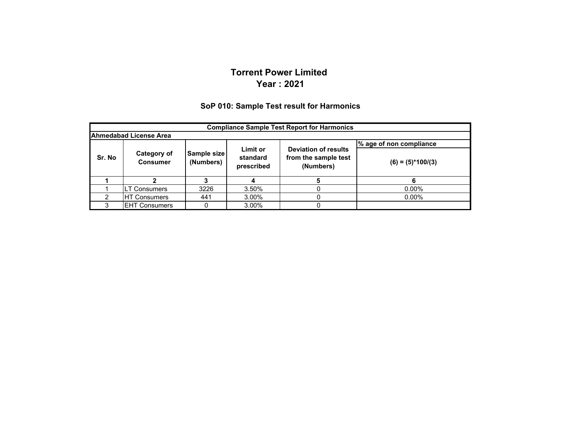#### **Torrent Power Limited Year : 2021**

#### **SoP 010: Sample Test result for Harmonics**

|        | <b>Compliance Sample Test Report for Harmonics</b> |                          |                                                                  |                      |          |  |  |  |  |  |  |
|--------|----------------------------------------------------|--------------------------|------------------------------------------------------------------|----------------------|----------|--|--|--|--|--|--|
|        | <b>Ahmedabad License Area</b>                      |                          |                                                                  |                      |          |  |  |  |  |  |  |
|        | % age of non compliance<br>Limit or                |                          |                                                                  |                      |          |  |  |  |  |  |  |
| Sr. No | Category of<br><b>Consumer</b>                     | Sample size<br>(Numbers) | <b>Deviation of results</b><br>from the sample test<br>(Numbers) | $(6) = (5)^*100/(3)$ |          |  |  |  |  |  |  |
|        |                                                    |                          |                                                                  |                      |          |  |  |  |  |  |  |
|        | LT Consumers                                       | 3226                     | 3.50%                                                            |                      | $0.00\%$ |  |  |  |  |  |  |
| ົ      | <b>HT Consumers</b>                                | 441                      | 3.00%                                                            |                      | $0.00\%$ |  |  |  |  |  |  |
|        | <b>IEHT Consumers</b>                              |                          | 3.00%                                                            |                      |          |  |  |  |  |  |  |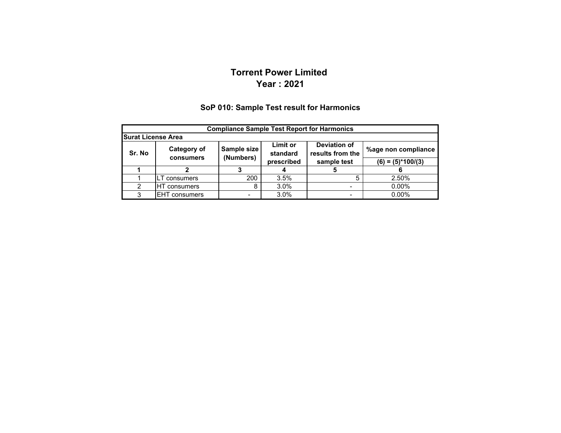## **Torrent Power Limited Year : 2021**

#### **%age non compliance (6) = (5)\*100/(3) 1 2 34 5 6** 1LT consumers 200 3.5% 5 2.50% 2HT consumers | 8 3.0% | - 0.00% 3EHT consumers |  $\overline{3.0\%}$  |  $\overline{1.000\%}$ **Compliance Sample Test Report for Harmonics Surat License Area Sr. No Category of consumersSample size (Numbers) Limit or standard prescribed Deviation of results from the sample test**

#### **SoP 010: Sample Test result for Harmonics**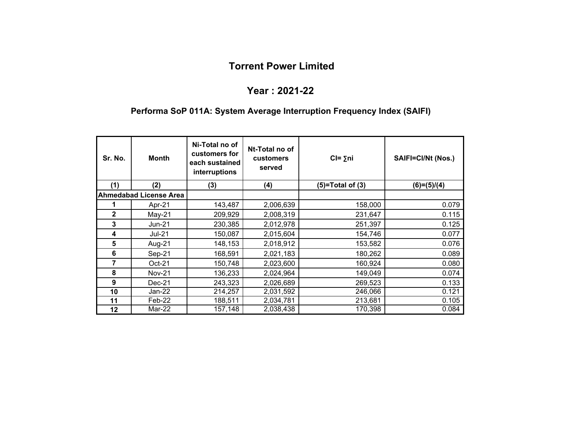#### **Year : 2021-22**

# **Performa SoP 011A: System Average Interruption Frequency Index (SAIFI)**

| Sr. No.      | <b>Month</b>                  | Ni-Total no of<br>customers for<br>each sustained<br>interruptions | Nt-Total no of<br>customers<br>served | $Cl = \sum n_i$    | SAIFI=CI/Nt (Nos.) |
|--------------|-------------------------------|--------------------------------------------------------------------|---------------------------------------|--------------------|--------------------|
| (1)          | (2)                           | (3)                                                                | (4)                                   | $(5)=Total of (3)$ | $(6)=(5)/(4)$      |
|              | <b>Ahmedabad License Area</b> |                                                                    |                                       |                    |                    |
|              | Apr-21                        | 143,487                                                            | 2,006,639                             | 158,000            | 0.079              |
| $\mathbf{2}$ | $May-21$                      | 209,929                                                            | 2,008,319                             | 231,647            | 0.115              |
| 3            | <b>Jun-21</b>                 | 230,385                                                            | 2,012,978                             | 251,397            | 0.125              |
| 4            | <b>Jul-21</b>                 | 150,087                                                            | 2,015,604                             | 154,746            | 0.077              |
| 5            | Aug-21                        | 148,153                                                            | 2,018,912                             | 153,582            | 0.076              |
| 6            | Sep-21                        | 168,591                                                            | 2,021,183                             | 180,262            | 0.089              |
| 7            | Oct-21                        | 150,748                                                            | 2,023,600                             | 160,924            | 0.080              |
| 8            | <b>Nov-21</b>                 | 136,233                                                            | 2,024,964                             | 149,049            | 0.074              |
| 9            | $Dec-21$                      | 243,323                                                            | 2,026,689                             | 269,523            | 0.133              |
| 10           | Jan-22                        | 214,257                                                            | 2,031,592                             | 246,066            | 0.121              |
| 11           | Feb-22                        | 188,511                                                            | 2,034,781                             | 213,681            | 0.105              |
| 12           | Mar-22                        | 157,148                                                            | 2,038,438                             | 170,398            | 0.084              |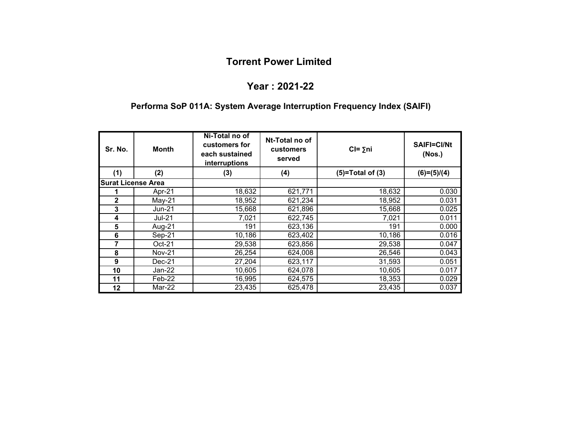#### **Year : 2021-22**

#### **Performa SoP 011A: System Average Interruption Frequency Index (SAIFI)**

| Sr. No.                   | <b>Month</b>  | Ni-Total no of<br>customers for<br>each sustained<br>interruptions | Nt-Total no of<br><b>customers</b><br>served | $CI = \sum n_i$    | <b>SAIFI=CI/Nt</b><br>(Nos.) |
|---------------------------|---------------|--------------------------------------------------------------------|----------------------------------------------|--------------------|------------------------------|
| (1)                       | (2)           | (3)                                                                | (4)                                          | $(5)=Total of (3)$ | $(6)=(5)/(4)$                |
| <b>Surat License Area</b> |               |                                                                    |                                              |                    |                              |
|                           | Apr-21        | 18,632                                                             | 621,771                                      | 18,632             | 0.030                        |
| 2                         | $May-21$      | 18,952                                                             | 621,234                                      | 18,952             | 0.031                        |
| 3                         | <b>Jun-21</b> | 15,668                                                             | 621,896                                      | 15,668             | 0.025                        |
| 4                         | <b>Jul-21</b> | 7,021                                                              | 622,745                                      | 7,021              | 0.011                        |
| 5                         | Aug-21        | 191                                                                | 623,136                                      | 191                | 0.000                        |
| 6                         | Sep-21        | 10,186                                                             | 623,402                                      | 10,186             | 0.016                        |
| 7                         | $Oct-21$      | 29,538                                                             | 623,856                                      | 29,538             | 0.047                        |
| 8                         | <b>Nov-21</b> | 26,254                                                             | 624,008                                      | 26,546             | 0.043                        |
| 9                         | $Dec-21$      | 27,204                                                             | 623,117                                      | 31,593             | 0.051                        |
| 10                        | Jan-22        | 10,605                                                             | 624,078                                      | 10,605             | 0.017                        |
| 11                        | Feb-22        | 16,995                                                             | 624,575                                      | 18,353             | 0.029                        |
| 12                        | Mar-22        | 23,435                                                             | 625,478                                      | 23,435             | 0.037                        |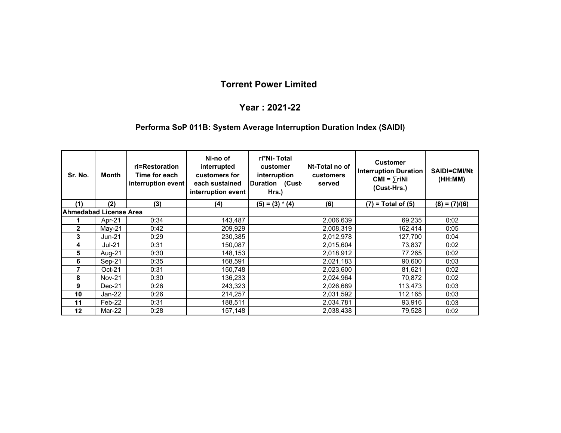### **Year : 2021-22**

#### **Performa SoP 011B: System Average Interruption Duration Index (SAIDI)**

| Sr. No.                | Month         | ri=Restoration<br>Time for each<br>interruption event | Ni-no of<br>interrupted<br>customers for<br>each sustained<br>interruption event | ri*Ni-Total<br>customer<br>interruption<br>Duration (Cust-<br>Hrs.) | Nt-Total no of<br><b>customers</b><br>served | <b>Customer</b><br><b>Interruption Duration</b><br>$CMI = \sum r i Ni$<br>(Cust-Hrs.) | <b>SAIDI=CMI/Nt</b><br>(HH:MM) |
|------------------------|---------------|-------------------------------------------------------|----------------------------------------------------------------------------------|---------------------------------------------------------------------|----------------------------------------------|---------------------------------------------------------------------------------------|--------------------------------|
| (1)                    | (2)           | (3)                                                   | (4)                                                                              | $(5) = (3) * (4)$                                                   | (6)                                          | $(7)$ = Total of $(5)$                                                                | $(8) = (7)/(6)$                |
| Ahmedabad License Area |               |                                                       |                                                                                  |                                                                     |                                              |                                                                                       |                                |
|                        | Apr-21        | 0:34                                                  | 143,487                                                                          |                                                                     | 2,006,639                                    | 69,235                                                                                | 0:02                           |
| $\mathbf{2}$           | $May-21$      | 0:42                                                  | 209,929                                                                          |                                                                     | 2,008,319                                    | 162,414                                                                               | 0:05                           |
| 3                      | $Jun-21$      | 0:29                                                  | 230,385                                                                          |                                                                     | 2,012,978                                    | 127,700                                                                               | 0:04                           |
| 4                      | <b>Jul-21</b> | 0:31                                                  | 150,087                                                                          |                                                                     | 2,015,604                                    | 73,837                                                                                | 0:02                           |
| 5                      | Aug-21        | 0:30                                                  | 148,153                                                                          |                                                                     | 2,018,912                                    | 77,265                                                                                | 0:02                           |
| 6                      | Sep-21        | 0:35                                                  | 168,591                                                                          |                                                                     | 2,021,183                                    | 90,600                                                                                | 0:03                           |
| 7                      | $Oct-21$      | 0:31                                                  | 150,748                                                                          |                                                                     | 2,023,600                                    | 81,621                                                                                | 0:02                           |
| 8                      | <b>Nov-21</b> | 0:30                                                  | 136,233                                                                          |                                                                     | 2,024,964                                    | 70,872                                                                                | 0:02                           |
| 9                      | $Dec-21$      | 0:26                                                  | 243,323                                                                          |                                                                     | 2,026,689                                    | 113,473                                                                               | 0:03                           |
| 10                     | $Jan-22$      | 0:26                                                  | 214,257                                                                          |                                                                     | 2,031,592                                    | 112,165                                                                               | 0:03                           |
| 11                     | Feb-22        | 0:31                                                  | 188,511                                                                          |                                                                     | 2,034,781                                    | 93,916                                                                                | 0:03                           |
| 12                     | Mar-22        | 0:28                                                  | 157,148                                                                          |                                                                     | 2,038,438                                    | 79,528                                                                                | 0:02                           |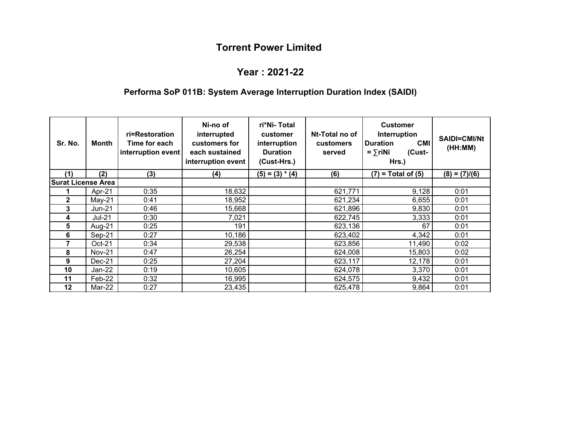#### **Year : 2021-22**

# **Performa SoP 011B: System Average Interruption Duration Index (SAIDI)**

| Sr. No.                   | Month         | ri=Restoration<br>Time for each<br>interruption event | Ni-no of<br>interrupted<br>customers for<br>each sustained<br>interruption event | ri*Ni-Total<br>customer<br>interruption<br><b>Duration</b><br>(Cust-Hrs.) | Nt-Total no of<br><b>customers</b><br>served | <b>Customer</b><br>Interruption<br><b>CMI</b><br><b>Duration</b><br>$=$ $\sum$ riNi<br>(Cust-<br>Hrs.) | <b>SAIDI=CMI/Nt</b><br>(HH:MM) |
|---------------------------|---------------|-------------------------------------------------------|----------------------------------------------------------------------------------|---------------------------------------------------------------------------|----------------------------------------------|--------------------------------------------------------------------------------------------------------|--------------------------------|
| (1)                       | (2)           | (3)                                                   | (4)                                                                              | $(5) = (3) * (4)$                                                         | (6)                                          | $(7)$ = Total of $(5)$                                                                                 | $(8) = (7)/(6)$                |
| <b>Surat License Area</b> |               |                                                       |                                                                                  |                                                                           |                                              |                                                                                                        |                                |
|                           | Apr-21        | 0:35                                                  | 18,632                                                                           |                                                                           | 621,771                                      | 9,128                                                                                                  | 0:01                           |
| $\mathbf{2}$              | $May-21$      | 0:41                                                  | 18,952                                                                           |                                                                           | 621,234                                      | 6,655                                                                                                  | 0:01                           |
| 3                         | <b>Jun-21</b> | 0:46                                                  | 15,668                                                                           |                                                                           | 621,896                                      | 9,830                                                                                                  | 0:01                           |
| 4                         | $Jul-21$      | 0:30                                                  | 7,021                                                                            |                                                                           | 622,745                                      | 3,333                                                                                                  | 0:01                           |
| 5                         | Aug-21        | 0:25                                                  | 191                                                                              |                                                                           | 623,136                                      | 67                                                                                                     | 0:01                           |
| 6                         | Sep-21        | 0:27                                                  | 10,186                                                                           |                                                                           | 623,402                                      | 4,342                                                                                                  | 0:01                           |
| 7                         | $Oct-21$      | 0:34                                                  | 29,538                                                                           |                                                                           | 623,856                                      | 11,490                                                                                                 | 0:02                           |
| 8                         | <b>Nov-21</b> | 0:47                                                  | 26,254                                                                           |                                                                           | 624,008                                      | 15,803                                                                                                 | 0:02                           |
| 9                         | Dec-21        | 0:25                                                  | 27,204                                                                           |                                                                           | 623,117                                      | 12,178                                                                                                 | 0:01                           |
| 10                        | Jan-22        | 0:19                                                  | 10,605                                                                           |                                                                           | 624,078                                      | 3,370                                                                                                  | 0:01                           |
| 11                        | Feb-22        | 0:32                                                  | 16,995                                                                           |                                                                           | 624,575                                      | 9,432                                                                                                  | 0:01                           |
| 12                        | Mar-22        | 0:27                                                  | 23,435                                                                           |                                                                           | 625,478                                      | 9,864                                                                                                  | 0:01                           |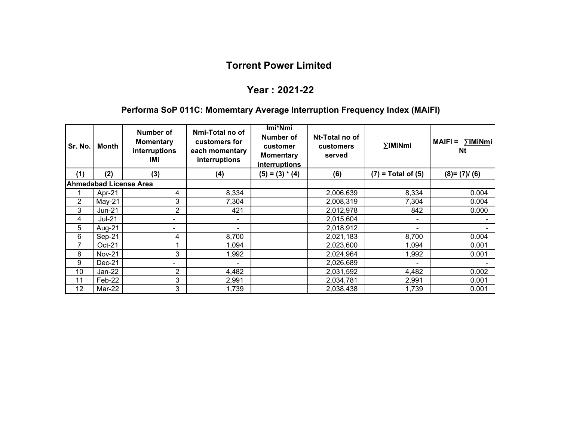# **Year : 2021-22**

# **Performa SoP 011C: Momemtary Average Interruption Frequency Index (MAIFI)**

| Sr. No.        | Month         | Number of<br><b>Momentary</b><br>interruptions<br>IMi | Nmi-Total no of<br>customers for<br>each momentary<br>interruptions | Imi*Nmi<br><b>Number of</b><br>customer<br><b>Momentary</b><br>interruptions | Nt-Total no of<br>customers<br>served | <b><i><u>EIMINmi</u></i></b> | $MAIFI =$<br>∑IMiNmi<br>Nt |
|----------------|---------------|-------------------------------------------------------|---------------------------------------------------------------------|------------------------------------------------------------------------------|---------------------------------------|------------------------------|----------------------------|
| (1)            | (2)           | (3)                                                   | (4)                                                                 | $(5) = (3) * (4)$                                                            | (6)                                   | $(7)$ = Total of $(5)$       | $(8)=(7)/(6)$              |
|                |               | <b>Ahmedabad License Area</b>                         |                                                                     |                                                                              |                                       |                              |                            |
|                | Apr-21        | 4                                                     | 8,334                                                               |                                                                              | 2,006,639                             | 8,334                        | 0.004                      |
| $\overline{2}$ | $May-21$      | 3                                                     | 7,304                                                               |                                                                              | 2,008,319                             | 7,304                        | 0.004                      |
| 3              | $Jun-21$      | 2                                                     | 421                                                                 |                                                                              | 2,012,978                             | 842                          | 0.000                      |
| 4              | <b>Jul-21</b> | ۰.                                                    | $\blacksquare$                                                      |                                                                              | 2,015,604                             | $\overline{\phantom{a}}$     |                            |
| 5              | Aug-21        | ۰.                                                    |                                                                     |                                                                              | 2,018,912                             | $\overline{\phantom{0}}$     |                            |
| 6              | Sep-21        | 4                                                     | 8,700                                                               |                                                                              | 2,021,183                             | 8,700                        | 0.004                      |
| 7              | $Oct-21$      |                                                       | 1,094                                                               |                                                                              | 2,023,600                             | 1,094                        | 0.001                      |
| 8              | <b>Nov-21</b> | 3                                                     | 1,992                                                               |                                                                              | 2,024,964                             | 1,992                        | 0.001                      |
| 9              | Dec-21        |                                                       |                                                                     |                                                                              | 2,026,689                             |                              |                            |
| 10             | Jan-22        | 2                                                     | 4,482                                                               |                                                                              | 2,031,592                             | 4,482                        | 0.002                      |
| 11             | Feb-22        | 3                                                     | 2,991                                                               |                                                                              | 2,034,781                             | 2,991                        | 0.001                      |
| 12             | Mar-22        | 3                                                     | 1,739                                                               |                                                                              | 2,038,438                             | 1,739                        | 0.001                      |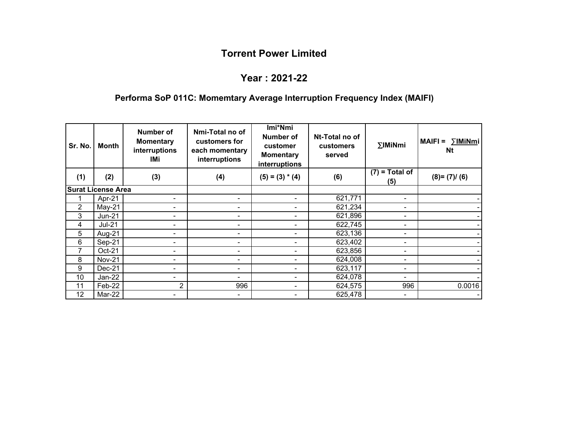# **Year : 2021-22**

# **Performa SoP 011C: Momemtary Average Interruption Frequency Index (MAIFI)**

| Sr. No. | Month                     | Number of<br><b>Momentary</b><br>interruptions<br>IMi | Nmi-Total no of<br>customers for<br>each momentary<br>interruptions | Imi*Nmi<br><b>Number of</b><br>customer<br><b>Momentary</b><br>interruptions | Nt-Total no of<br><b>customers</b><br>served | $\Sigma$ IMiNmi         | ∑IMiNmi<br>$MAIFI =$<br><b>Nt</b> |
|---------|---------------------------|-------------------------------------------------------|---------------------------------------------------------------------|------------------------------------------------------------------------------|----------------------------------------------|-------------------------|-----------------------------------|
| (1)     | (2)                       | (3)                                                   | (4)                                                                 | $(5) = (3) * (4)$                                                            | (6)                                          | $(7)$ = Total of<br>(5) | $(8)=(7)/(6)$                     |
|         | <b>Surat License Area</b> |                                                       |                                                                     |                                                                              |                                              |                         |                                   |
|         | Apr-21                    |                                                       |                                                                     | ۰                                                                            | 621,771                                      |                         |                                   |
| 2       | $May-21$                  | $\blacksquare$                                        | ٠                                                                   | ۰                                                                            | 621,234                                      | Ξ.                      |                                   |
| 3       | <b>Jun-21</b>             | $\blacksquare$                                        |                                                                     | ۰                                                                            | 621,896                                      |                         |                                   |
| 4       | <b>Jul-21</b>             |                                                       | -                                                                   | -                                                                            | 622,745                                      |                         |                                   |
| 5       | Aug-21                    |                                                       | -                                                                   | ۰                                                                            | 623,136                                      |                         |                                   |
| 6       | Sep-21                    | $\overline{\phantom{0}}$                              | $\blacksquare$                                                      | ۰                                                                            | 623,402                                      |                         |                                   |
| 7       | Oct-21                    | -                                                     | ٠                                                                   | ۰                                                                            | 623,856                                      |                         |                                   |
| 8       | <b>Nov-21</b>             | $\blacksquare$                                        | $\blacksquare$                                                      | ۰                                                                            | 624,008                                      |                         |                                   |
| 9       | $Dec-21$                  | -                                                     | -                                                                   | ۰                                                                            | 623,117                                      |                         |                                   |
| 10      | $Jan-22$                  | $\blacksquare$                                        | ٠                                                                   | ۰                                                                            | 624,078                                      |                         |                                   |
| 11      | Feb-22                    | 2                                                     | 996                                                                 | ۰                                                                            | 624,575                                      | 996                     | 0.0016                            |
| 12      | Mar-22                    | $\blacksquare$                                        | -                                                                   | $\blacksquare$                                                               | 625,478                                      |                         |                                   |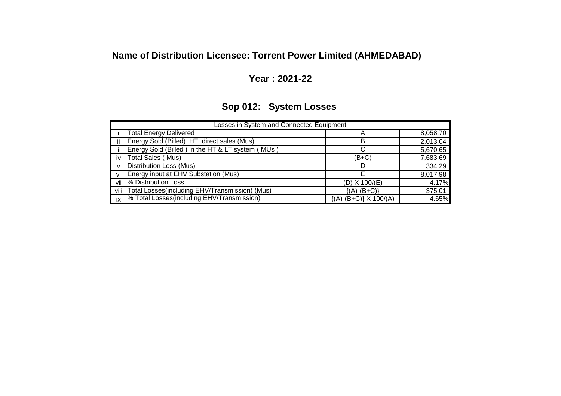# **Name of Distribution Licensee: Torrent Power Limited (AHMEDABAD)**

# **Year : 2021-22**

# **Sop 012: System Losses**

|              | Losses in System and Connected Equipment         |                               |          |  |  |  |  |  |  |
|--------------|--------------------------------------------------|-------------------------------|----------|--|--|--|--|--|--|
|              | <b>Total Energy Delivered</b>                    | A                             | 8,058.70 |  |  |  |  |  |  |
| ii.          | Energy Sold (Billed). HT direct sales (Mus)      | в                             | 2,013.04 |  |  |  |  |  |  |
| iii          | Energy Sold (Billed) in the HT & LT system (MUs) |                               | 5,670.65 |  |  |  |  |  |  |
| iv           | <b>Total Sales (Mus)</b>                         | (B+C)                         | 7,683.69 |  |  |  |  |  |  |
| $\mathsf{V}$ | Distribution Loss (Mus)                          |                               | 334.29   |  |  |  |  |  |  |
| vi           | Energy input at EHV Substation (Mus)             |                               | 8,017.98 |  |  |  |  |  |  |
| vii          | % Distribution Loss                              | $(D)$ X 100/ $(E)$            | 4.17%    |  |  |  |  |  |  |
| viii         | Total Losses(including EHV/Transmission) (Mus)   | $\{(A)-(B+C)\}$               | 375.01   |  |  |  |  |  |  |
| ix           | % Total Losses(including EHV/Transmission)       | $\{(A)-(B+C)\}\times 100/(A)$ | 4.65%    |  |  |  |  |  |  |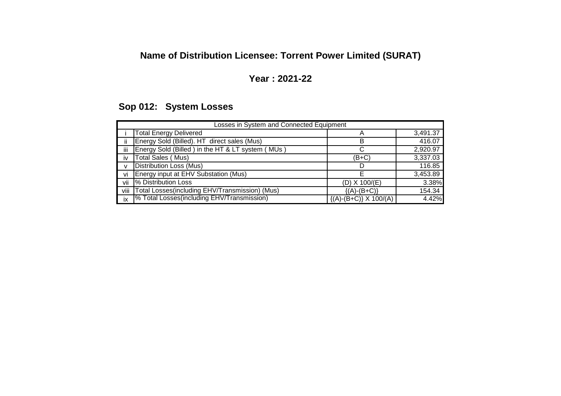# **Name of Distribution Licensee: Torrent Power Limited (SURAT)**

# **Year : 2021-22**

# **Sop 012: System Losses**

|              | Losses in System and Connected Equipment                 |                               |          |  |  |  |  |  |  |
|--------------|----------------------------------------------------------|-------------------------------|----------|--|--|--|--|--|--|
|              | <b>Total Energy Delivered</b>                            | A                             | 3,491.37 |  |  |  |  |  |  |
| ii           | Energy Sold (Billed). HT direct sales (Mus)              | B                             | 416.07   |  |  |  |  |  |  |
| iii          | Energy Sold (Billed) in the HT & LT system (MUs)         |                               | 2,920.97 |  |  |  |  |  |  |
| <b>IV</b>    | Total Sales (Mus)                                        | (B+C)                         | 3,337.03 |  |  |  |  |  |  |
| $\mathsf{v}$ | <b>Distribution Loss (Mus)</b>                           |                               | 116.85   |  |  |  |  |  |  |
| vi           | Energy input at EHV Substation (Mus)                     |                               | 3,453.89 |  |  |  |  |  |  |
| vii          | % Distribution Loss                                      | $(D)$ X 100/ $(E)$            | 3.38%    |  |  |  |  |  |  |
| viii         | Total Losses(including EHV/Transmission) (Mus)           | $\{(A)-(B+C)\}$               | 154.34   |  |  |  |  |  |  |
| ix           | <sup>9</sup> % Total Losses (including EHV/Transmission) | $\{(A)-(B+C)\}\times 100/(A)$ | 4.42%    |  |  |  |  |  |  |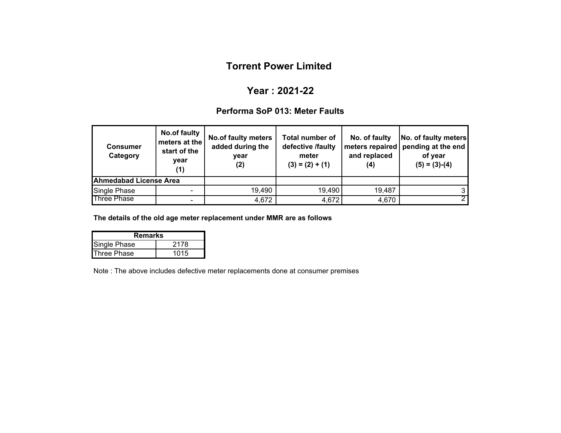## **Year : 2021-22**

### **Performa SoP 013: Meter Faults**

| <b>Consumer</b><br>Category | No.of faulty<br>meters at the<br>start of the<br>year<br>(1) | <b>No.of faulty meters</b><br>added during the<br>year<br>(2) | <b>Total number of</b><br>defective /faulty<br>meter<br>$(3) = (2) + (1)$ | No. of faulty<br>and replaced<br>(4) | No. of faulty meters<br>meters repaired   pending at the end<br>of year<br>$(5) = (3)-(4)$ |
|-----------------------------|--------------------------------------------------------------|---------------------------------------------------------------|---------------------------------------------------------------------------|--------------------------------------|--------------------------------------------------------------------------------------------|
| Ahmedabad License Area      |                                                              |                                                               |                                                                           |                                      |                                                                                            |
| Single Phase                |                                                              | 19,490                                                        | 19,490                                                                    | 19,487                               |                                                                                            |
| <b>Three Phase</b>          |                                                              | 4,672                                                         | 4,672                                                                     | 4,670                                |                                                                                            |

**The details of the old age meter replacement under MMR are as follows**

| Remarks             |      |  |  |  |  |  |
|---------------------|------|--|--|--|--|--|
| <b>Single Phase</b> | 2178 |  |  |  |  |  |
| <b>Three Phase</b>  | 1015 |  |  |  |  |  |

Note : The above includes defective meter replacements done at consumer premises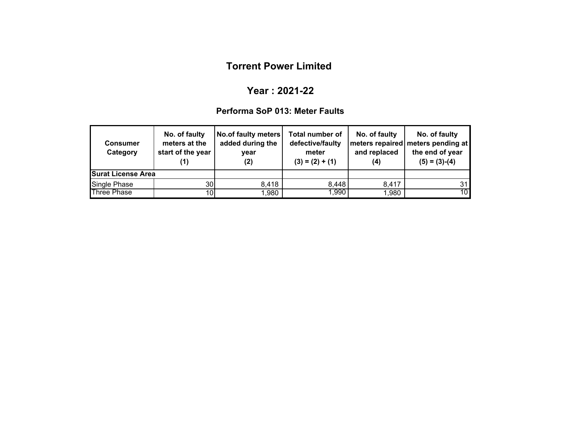## **Year : 2021-22**

#### **Performa SoP 013: Meter Faults**

| <b>Consumer</b><br>Category | No. of faulty<br>meters at the<br>start of the year<br>(1) | <b>No.of faulty meters</b><br>added during the<br>year<br>(2) | <b>Total number of</b><br>defective/faulty<br>meter<br>$(3) = (2) + (1)$ | No. of faulty<br>and replaced<br>(4) | No. of faulty<br>  meters repaired   meters pending at<br>the end of year<br>$(5) = (3)-(4)$ |
|-----------------------------|------------------------------------------------------------|---------------------------------------------------------------|--------------------------------------------------------------------------|--------------------------------------|----------------------------------------------------------------------------------------------|
| <b>Surat License Area</b>   |                                                            |                                                               |                                                                          |                                      |                                                                                              |
| Single Phase                | 30 <sup>1</sup>                                            | 8,418                                                         | 8,448                                                                    | 8,417                                | 31 l                                                                                         |
| <b>Three Phase</b>          | 10 <sub>l</sub>                                            | 1,980                                                         | 1,990                                                                    | 1,980                                | 10 <sup>1</sup>                                                                              |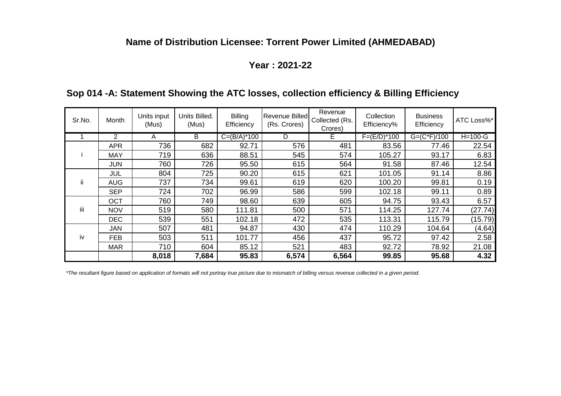# **Name of Distribution Licensee: Torrent Power Limited (AHMEDABAD)**

### **Year : 2021-22**

# **Sop 014 -A: Statement Showing the ATC losses, collection efficiency & Billing Efficiency**

| Sr.No. | Month      | Units input<br>(Mus) | Units Billed.<br>(Mus) | <b>Billing</b><br>Efficiency | <b>Revenue Billed</b><br>(Rs. Crores) | Revenue<br>Collected (Rs.<br>Crores) | Collection<br>Efficiency% | <b>Business</b><br>Efficiency | ATC Loss%* |
|--------|------------|----------------------|------------------------|------------------------------|---------------------------------------|--------------------------------------|---------------------------|-------------------------------|------------|
|        | 2          | A                    | B                      | $C = (B/A)^*100$             | D                                     | E.                                   | $F=(E/D)*100$             | $G = (C*F)/100$               | $H=100-G$  |
|        | <b>APR</b> | 736                  | 682                    | 92.71                        | 576                                   | 481                                  | 83.56                     | 77.46                         | 22.54      |
|        | <b>MAY</b> | 719                  | 636                    | 88.51                        | 545                                   | 574                                  | 105.27                    | 93.17                         | 6.83       |
|        | <b>JUN</b> | 760                  | 726                    | 95.50                        | 615                                   | 564                                  | 91.58                     | 87.46                         | 12.54      |
|        | <b>JUL</b> | 804                  | 725                    | 90.20                        | 615                                   | 621                                  | 101.05                    | 91.14                         | 8.86       |
| ij     | <b>AUG</b> | 737                  | 734                    | 99.61                        | 619                                   | 620                                  | 100.20                    | 99.81                         | 0.19       |
|        | <b>SEP</b> | 724                  | 702                    | 96.99                        | 586                                   | 599                                  | 102.18                    | 99.11                         | 0.89       |
|        | <b>OCT</b> | 760                  | 749                    | 98.60                        | 639                                   | 605                                  | 94.75                     | 93.43                         | 6.57       |
| iii    | <b>NOV</b> | 519                  | 580                    | 111.81                       | 500                                   | 571                                  | 114.25                    | 127.74                        | (27.74)    |
|        | <b>DEC</b> | 539                  | 551                    | 102.18                       | 472                                   | 535                                  | 113.31                    | 115.79                        | (15.79)    |
|        | <b>JAN</b> | 507                  | 481                    | 94.87                        | 430                                   | 474                                  | 110.29                    | 104.64                        | (4.64)     |
| iv     | <b>FEB</b> | 503                  | 511                    | 101.77                       | 456                                   | 437                                  | 95.72                     | 97.42                         | 2.58       |
|        | <b>MAR</b> | 710                  | 604                    | 85.12                        | 521                                   | 483                                  | 92.72                     | 78.92                         | 21.08      |
|        |            | 8,018                | 7,684                  | 95.83                        | 6,574                                 | 6,564                                | 99.85                     | 95.68                         | 4.32       |

*\*The resultant figure based on application of formats will not portray true picture due to mismatch of billing versus revenue collected in a given period.*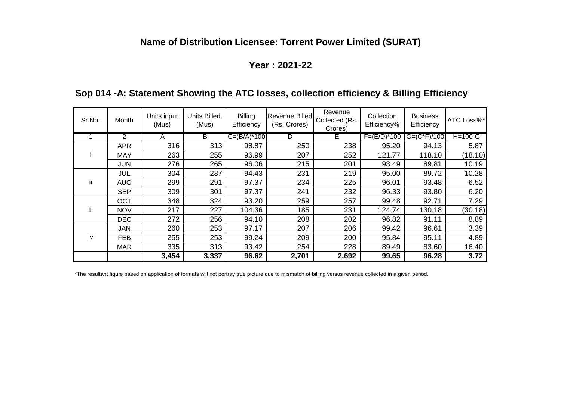# **Name of Distribution Licensee: Torrent Power Limited (SURAT)**

### **Year : 2021-22**

# **Sop 014 -A: Statement Showing the ATC losses, collection efficiency & Billing Efficiency**

| Sr.No. | Month          | Units input<br>(Mus) | Units Billed.<br>(Mus) | <b>Billing</b><br>Efficiency | <b>Revenue Billed</b><br>(Rs. Crores) | Revenue<br>Collected (Rs.<br>Crores) | Collection<br>Efficiency% | <b>Business</b><br>Efficiency | ATC Loss%* |
|--------|----------------|----------------------|------------------------|------------------------------|---------------------------------------|--------------------------------------|---------------------------|-------------------------------|------------|
|        | $\overline{2}$ | A                    | B                      | $C = (B/A)^*100$             | D                                     | E.                                   | $F=(E/D)*100$             | $G=(C*F)/100$                 | $H=100-G$  |
|        | <b>APR</b>     | 316                  | 313                    | 98.87                        | 250                                   | 238                                  | 95.20                     | 94.13                         | 5.87       |
|        | <b>MAY</b>     | 263                  | 255                    | 96.99                        | 207                                   | 252                                  | 121.77                    | 118.10                        | (18.10)    |
|        | <b>JUN</b>     | 276                  | 265                    | 96.06                        | 215                                   | 201                                  | 93.49                     | 89.81                         | 10.19      |
|        | <b>JUL</b>     | 304                  | 287                    | 94.43                        | 231                                   | 219                                  | 95.00                     | 89.72                         | 10.28      |
| ii.    | <b>AUG</b>     | 299                  | 291                    | 97.37                        | 234                                   | 225                                  | 96.01                     | 93.48                         | 6.52       |
|        | <b>SEP</b>     | 309                  | 301                    | 97.37                        | 241                                   | 232                                  | 96.33                     | 93.80                         | 6.20       |
|        | OCT            | 348                  | 324                    | 93.20                        | 259                                   | 257                                  | 99.48                     | 92.71                         | 7.29       |
| iii    | <b>NOV</b>     | 217                  | 227                    | 104.36                       | 185                                   | 231                                  | 124.74                    | 130.18                        | (30.18)    |
|        | <b>DEC</b>     | 272                  | 256                    | 94.10                        | 208                                   | 202                                  | 96.82                     | 91.11                         | 8.89       |
|        | JAN            | 260                  | 253                    | 97.17                        | 207                                   | 206                                  | 99.42                     | 96.61                         | 3.39       |
| iv     | <b>FEB</b>     | 255                  | 253                    | 99.24                        | 209                                   | 200                                  | 95.84                     | 95.11                         | 4.89       |
|        | <b>MAR</b>     | 335                  | 313                    | 93.42                        | 254                                   | 228                                  | 89.49                     | 83.60                         | 16.40      |
|        |                | 3,454                | 3,337                  | 96.62                        | 2,701                                 | 2,692                                | 99.65                     | 96.28                         | 3.72       |

\*The resultant figure based on application of formats will not portray true picture due to mismatch of billing versus revenue collected in a given period.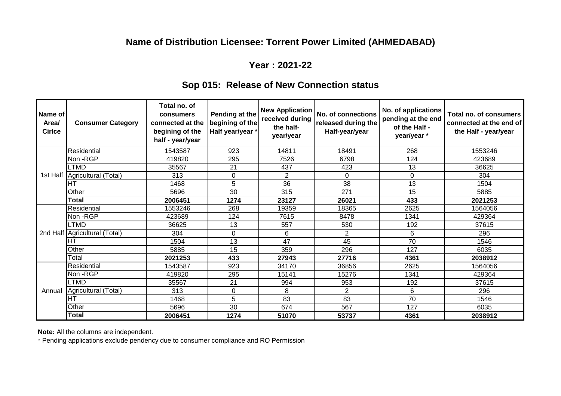# **Name of Distribution Licensee: Torrent Power Limited (AHMEDABAD)**

### **Year : 2021-22**

# **Sop 015: Release of New Connection status**

| Name of<br>Area/<br><b>Cirlce</b> | <b>Consumer Category</b>      | Total no. of<br>consumers<br>connected at the<br>begining of the<br>half - year/year | Pending at the<br>begining of the<br>Half year/year * | <b>New Application</b><br>received during<br>the half-<br>year/year | No. of connections<br>released during the<br>Half-year/year | No. of applications<br>pending at the end<br>of the Half -<br>year/year * | Total no. of consumers<br>connected at the end of<br>the Half - year/year |
|-----------------------------------|-------------------------------|--------------------------------------------------------------------------------------|-------------------------------------------------------|---------------------------------------------------------------------|-------------------------------------------------------------|---------------------------------------------------------------------------|---------------------------------------------------------------------------|
|                                   | Residential                   | 1543587                                                                              | 923                                                   | 14811                                                               | 18491                                                       | 268                                                                       | 1553246                                                                   |
|                                   | Non -RGP                      | 419820                                                                               | 295                                                   | 7526                                                                | 6798                                                        | 124                                                                       | 423689                                                                    |
|                                   | LTMD                          | 35567                                                                                | 21                                                    | 437                                                                 | 423                                                         | 13                                                                        | 36625                                                                     |
| 1st Half                          | Agricultural (Total)          | 313                                                                                  | 0                                                     | $\overline{2}$                                                      | 0                                                           | 0                                                                         | 304                                                                       |
|                                   | Iнт                           | 1468                                                                                 | 5                                                     | 36                                                                  | 38                                                          | 13                                                                        | 1504                                                                      |
|                                   | Other                         | 5696                                                                                 | 30                                                    | 315                                                                 | 271                                                         | 15                                                                        | 5885                                                                      |
|                                   | <b>Total</b>                  | 2006451                                                                              | 1274                                                  | 23127                                                               | 26021                                                       | 433                                                                       | 2021253                                                                   |
|                                   | Residential                   | 1553246                                                                              | 268                                                   | 19359                                                               | 18365                                                       | 2625                                                                      | 1564056                                                                   |
|                                   | Non -RGP                      | 423689                                                                               | 124                                                   | 7615                                                                | 8478                                                        | 1341                                                                      | 429364                                                                    |
|                                   | <b>LTMD</b>                   | 36625                                                                                | 13                                                    | 557                                                                 | 530                                                         | 192                                                                       | 37615                                                                     |
|                                   | 2nd Half Agricultural (Total) | 304                                                                                  | 0                                                     | 6                                                                   | 2                                                           | 6                                                                         | 296                                                                       |
|                                   | IHT                           | 1504                                                                                 | 13                                                    | 47                                                                  | 45                                                          | 70                                                                        | 1546                                                                      |
|                                   | Other                         | 5885                                                                                 | 15                                                    | 359                                                                 | 296                                                         | 127                                                                       | 6035                                                                      |
|                                   | Total                         | 2021253                                                                              | 433                                                   | 27943                                                               | 27716                                                       | 4361                                                                      | 2038912                                                                   |
|                                   | Residential                   | 1543587                                                                              | 923                                                   | 34170                                                               | 36856                                                       | 2625                                                                      | 1564056                                                                   |
|                                   | Non -RGP                      | 419820                                                                               | 295                                                   | 15141                                                               | 15276                                                       | 1341                                                                      | 429364                                                                    |
|                                   | <b>LTMD</b>                   | 35567                                                                                | 21                                                    | 994                                                                 | 953                                                         | 192                                                                       | 37615                                                                     |
| Annual                            | Agricultural (Total)          | 313                                                                                  | 0                                                     | 8                                                                   | 2                                                           | 6                                                                         | 296                                                                       |
|                                   | IHT                           | 1468                                                                                 | 5                                                     | 83                                                                  | 83                                                          | 70                                                                        | 1546                                                                      |
|                                   | Other                         | 5696                                                                                 | 30                                                    | 674                                                                 | 567                                                         | 127                                                                       | 6035                                                                      |
|                                   | Total                         | 2006451                                                                              | 1274                                                  | 51070                                                               | 53737                                                       | 4361                                                                      | 2038912                                                                   |

**Note:** All the columns are independent.

\* Pending applications exclude pendency due to consumer compliance and RO Permission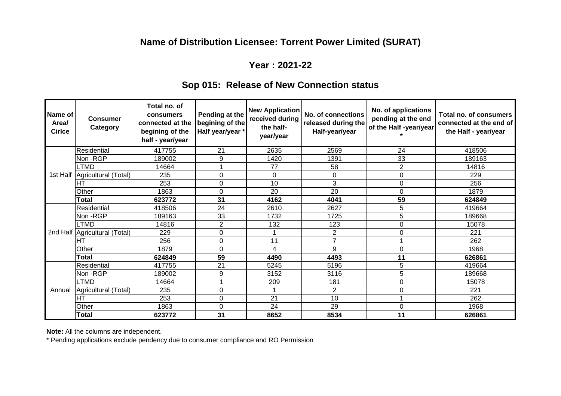# **Name of Distribution Licensee: Torrent Power Limited (SURAT)**

### **Year : 2021-22**

# **Sop 015: Release of New Connection status**

| Name of<br>Area/<br><b>Cirlce</b> | <b>Consumer</b><br>Category     | Total no. of<br>consumers<br>connected at the<br>begining of the<br>half - year/year | Pending at the<br>begining of the<br>Half year/year * | <b>New Application</b><br>received during<br>the half-<br>year/year | No. of connections<br>released during the<br>Half-year/year | No. of applications<br>pending at the end<br>of the Half -year/year | Total no. of consumers<br>connected at the end of<br>the Half - year/year |
|-----------------------------------|---------------------------------|--------------------------------------------------------------------------------------|-------------------------------------------------------|---------------------------------------------------------------------|-------------------------------------------------------------|---------------------------------------------------------------------|---------------------------------------------------------------------------|
|                                   | Residential                     | 417755                                                                               | 21                                                    | 2635                                                                | 2569                                                        | 24                                                                  | 418506                                                                    |
|                                   | Non -RGP                        | 189002                                                                               | 9                                                     | 1420                                                                | 1391                                                        | 33                                                                  | 189163                                                                    |
|                                   | <b>LTMD</b>                     | 14664                                                                                |                                                       | 77                                                                  | 58                                                          | $\overline{2}$                                                      | 14816                                                                     |
|                                   | 1st Half   Agricultural (Total) | 235                                                                                  | 0                                                     | 0                                                                   | 0                                                           | 0                                                                   | 229                                                                       |
|                                   | lнт                             | 253                                                                                  | 0                                                     | 10                                                                  | 3                                                           | 0                                                                   | 256                                                                       |
|                                   | Other                           | 1863                                                                                 | 0                                                     | 20                                                                  | 20                                                          | $\Omega$                                                            | 1879                                                                      |
|                                   | Total                           | 623772                                                                               | 31                                                    | 4162                                                                | 4041                                                        | 59                                                                  | 624849                                                                    |
|                                   | Residential                     | 418506                                                                               | 24                                                    | 2610                                                                | 2627                                                        | 5                                                                   | 419664                                                                    |
|                                   | Non -RGP                        | 189163                                                                               | 33                                                    | 1732                                                                | 1725                                                        | 5                                                                   | 189668                                                                    |
|                                   | <b>LTMD</b>                     | 14816                                                                                | $\overline{2}$                                        | 132                                                                 | 123                                                         | 0                                                                   | 15078                                                                     |
|                                   | 2nd Half Agricultural (Total)   | 229                                                                                  | 0                                                     | 1                                                                   | 2                                                           | 0                                                                   | 221                                                                       |
|                                   | lΗT                             | 256                                                                                  | 0                                                     | 11                                                                  | $\overline{7}$                                              |                                                                     | 262                                                                       |
|                                   | Other                           | 1879                                                                                 | 0                                                     | 4                                                                   | 9                                                           | 0                                                                   | 1968                                                                      |
|                                   | Total                           | 624849                                                                               | 59                                                    | 4490                                                                | 4493                                                        | 11                                                                  | 626861                                                                    |
|                                   | Residential                     | 417755                                                                               | 21                                                    | 5245                                                                | 5196                                                        | 5                                                                   | 419664                                                                    |
|                                   | Non -RGP                        | 189002                                                                               | 9                                                     | 3152                                                                | 3116                                                        | 5                                                                   | 189668                                                                    |
|                                   | <b>LTMD</b>                     | 14664                                                                                |                                                       | 209                                                                 | 181                                                         | 0                                                                   | 15078                                                                     |
| Annual                            | Agricultural (Total)            | 235                                                                                  | 0                                                     | 1                                                                   | $\overline{2}$                                              | 0                                                                   | 221                                                                       |
|                                   | IНT                             | 253                                                                                  | 0                                                     | 21                                                                  | 10                                                          |                                                                     | 262                                                                       |
|                                   | Other                           | 1863                                                                                 | 0                                                     | 24                                                                  | 29                                                          | 0                                                                   | 1968                                                                      |
|                                   | Total                           | 623772                                                                               | 31                                                    | 8652                                                                | 8534                                                        | 11                                                                  | 626861                                                                    |

**Note:** All the columns are independent.

\* Pending applications exclude pendency due to consumer compliance and RO Permission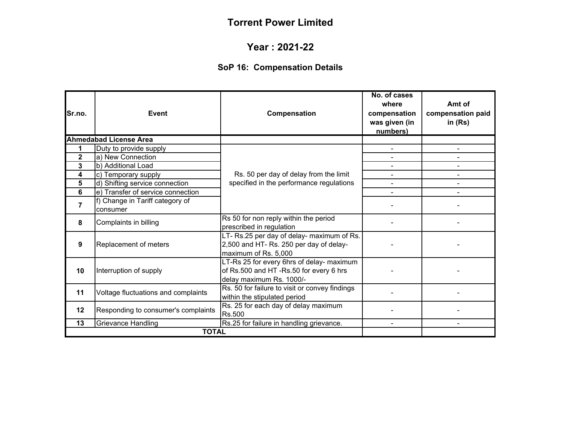#### **Year : 2021-22**

# **SoP 16: Compensation Details**

| Sr.no.         | Event                                       | Compensation                                                                                                    | No. of cases<br>where<br>compensation<br>was given (in<br>numbers) | Amt of<br>compensation paid<br>in $(Rs)$ |
|----------------|---------------------------------------------|-----------------------------------------------------------------------------------------------------------------|--------------------------------------------------------------------|------------------------------------------|
|                | <b>Ahmedabad License Area</b>               |                                                                                                                 |                                                                    |                                          |
| 1              | Duty to provide supply                      | Rs. 50 per day of delay from the limit<br>specified in the performance regulations                              |                                                                    |                                          |
| $\mathbf 2$    | a) New Connection                           |                                                                                                                 |                                                                    |                                          |
| 3              | b) Additional Load                          |                                                                                                                 |                                                                    |                                          |
| 4              | c) Temporary supply                         |                                                                                                                 |                                                                    |                                          |
| 5              | d) Shifting service connection              |                                                                                                                 | ٠                                                                  |                                          |
| 6              | e) Transfer of service connection           |                                                                                                                 |                                                                    |                                          |
| $\overline{7}$ | f) Change in Tariff category of<br>consumer |                                                                                                                 |                                                                    |                                          |
| 8              | Complaints in billing                       | Rs 50 for non reply within the period<br>prescribed in regulation                                               |                                                                    |                                          |
| 9              | Replacement of meters                       | LT- Rs.25 per day of delay- maximum of Rs.<br>2,500 and HT- Rs. 250 per day of delay-<br>maximum of Rs. 5,000   |                                                                    |                                          |
| 10             | Interruption of supply                      | LT-Rs 25 for every 6hrs of delay- maximum<br>of Rs.500 and HT-Rs.50 for every 6 hrs<br>delay maximum Rs. 1000/- |                                                                    |                                          |
| 11             | Voltage fluctuations and complaints         | Rs. 50 for failure to visit or convey findings<br>within the stipulated period                                  |                                                                    |                                          |
| 12             | Responding to consumer's complaints         | Rs. 25 for each day of delay maximum<br>Rs.500                                                                  |                                                                    |                                          |
| 13             | Grievance Handling                          | Rs.25 for failure in handling grievance.                                                                        |                                                                    |                                          |
|                | <b>TOTAL</b>                                |                                                                                                                 |                                                                    |                                          |